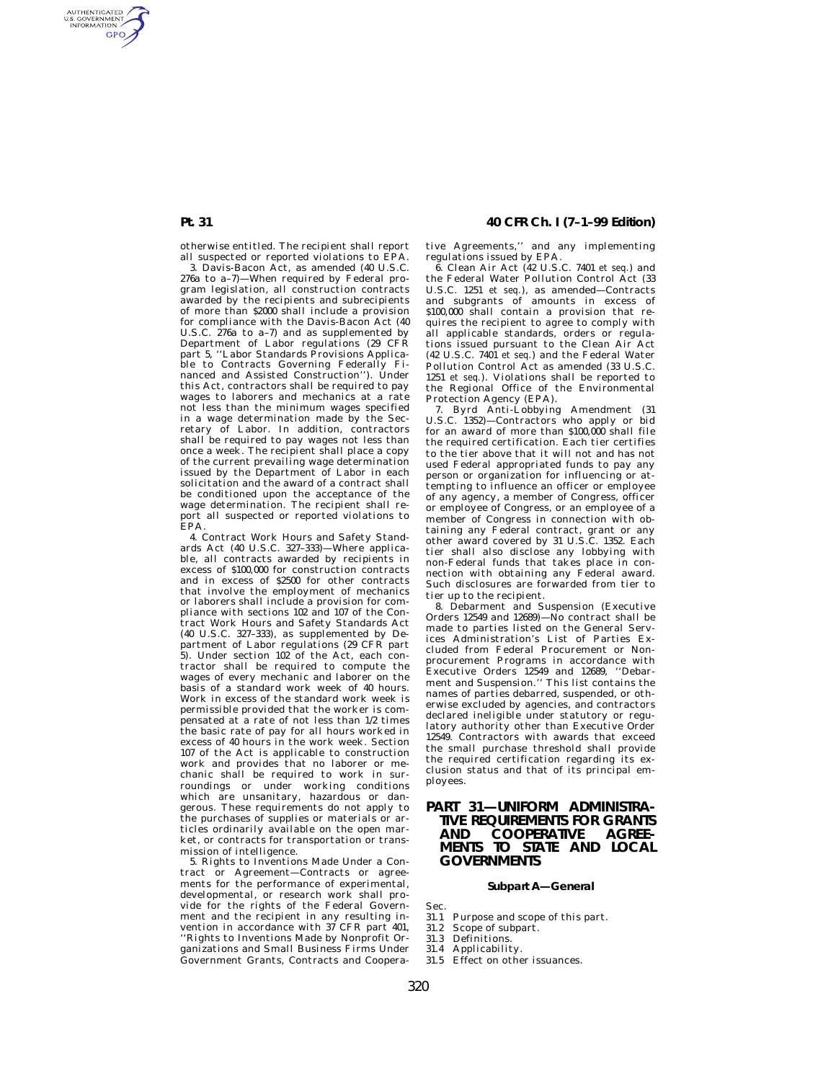AUTHENTICATED<br>U.S. GOVERNMENT<br>INFORMATION GPO

> otherwise entitled. The recipient shall report all suspected or reported violations to EPA.

3. Davis-Bacon Act, as amended (40 U.S.C. 276a to a–7)—When required by Federal program legislation, all construction contracts awarded by the recipients and subrecipients of more than \$2000 shall include a provision for compliance with the Davis-Bacon Act (40 U.S.C. 276a to a–7) and as supplemented by Department of Labor regulations (29 CFR part 5, ''Labor Standards Provisions Applicable to Contracts Governing Federally Financed and Assisted Construction''). Under this Act, contractors shall be required to pay wages to laborers and mechanics at a rate not less than the minimum wages specified in a wage determination made by the Secretary of Labor. In addition, contractors shall be required to pay wages not less than once a week. The recipient shall place a copy of the current prevailing wage determination issued by the Department of Labor in each solicitation and the award of a contract shall be conditioned upon the acceptance of the wage determination. The recipient shall report all suspected or reported violations to EPA.

4. Contract Work Hours and Safety Standards Act (40 U.S.C. 327–333)—Where applicable, all contracts awarded by recipients in excess of \$100,000 for construction contracts and in excess of \$2500 for other contracts that involve the employment of mechanics or laborers shall include a provision for compliance with sections 102 and 107 of the Contract Work Hours and Safety Standards Act (40 U.S.C. 327–333), as supplemented by Department of Labor regulations (29 CFR part 5). Under section 102 of the Act, each contractor shall be required to compute the wages of every mechanic and laborer on the basis of a standard work week of 40 hours. Work in excess of the standard work week is permissible provided that the worker is compensated at a rate of not less than 1/2 times the basic rate of pay for all hours worked in excess of 40 hours in the work week. Section 107 of the Act is applicable to construction work and provides that no laborer or mechanic shall be required to work in surroundings or under working conditions which are unsanitary, hazardous or dangerous. These requirements do not apply to the purchases of supplies or materials or articles ordinarily available on the open market, or contracts for transportation or transmission of intelligence.

5. Rights to Inventions Made Under a Contract or Agreement—Contracts or agreements for the performance of experimental, developmental, or research work shall provide for the rights of the Federal Government and the recipient in any resulting invention in accordance with 37 CFR part 401, ''Rights to Inventions Made by Nonprofit Organizations and Small Business Firms Under Government Grants, Contracts and Coopera-

### **Pt. 31 40 CFR Ch. I (7–1–99 Edition)**

tive Agreements,'' and any implementing regulations issued by EPA.

6. Clean Air Act (42 U.S.C. 7401 *et seq.*) and the Federal Water Pollution Control Act (33 U.S.C. 1251 *et seq.*), as amended—Contracts and subgrants of amounts in excess of \$100,000 shall contain a provision that requires the recipient to agree to comply with all applicable standards, orders or regulations issued pursuant to the Clean Air Act (42 U.S.C. 7401 *et seq.*) and the Federal Water Pollution Control Act as amended (33 U.S.C. 1251 *et seq.*). Violations shall be reported to the Regional Office of the Environmental Protection Agency (EPA).

7. Byrd Anti-Lobbying Amendment (31 U.S.C. 1352)—Contractors who apply or bid for an award of more than \$100,000 shall file the required certification. Each tier certifies to the tier above that it will not and has not used Federal appropriated funds to pay any person or organization for influencing or attempting to influence an officer or employee of any agency, a member of Congress, officer or employee of Congress, or an employee of a member of Congress in connection with obtaining any Federal contract, grant or any other award covered by 31 U.S.C. 1352. Each tier shall also disclose any lobbying with non-Federal funds that takes place in connection with obtaining any Federal award. Such disclosures are forwarded from tier to tier up to the recipient.

8. Debarment and Suspension (Executive Orders 12549 and 12689)—No contract shall be made to parties listed on the General Services Administration's List of Parties Excluded from Federal Procurement or Nonprocurement Programs in accordance with Executive Orders 12549 and 12689, ''Debarment and Suspension.'' This list contains the names of parties debarred, suspended, or otherwise excluded by agencies, and contractors declared ineligible under statutory or regulatory authority other than Executive Order 12549. Contractors with awards that exceed the small purchase threshold shall provide the required certification regarding its exclusion status and that of its principal employees.

# **PART 31—UNIFORM ADMINISTRA-TIVE REQUIREMENTS FOR GRANTS COOPERATIVE MENTS TO STATE AND LOCAL GOVERNMENTS**

#### **Subpart A—General**

Sec.

- 31.1 Purpose and scope of this part.
- 31.2 Scope of subpart.
- 31.3 Definitions.
- 31.4 Applicability.
- 31.5 Effect on other issuances.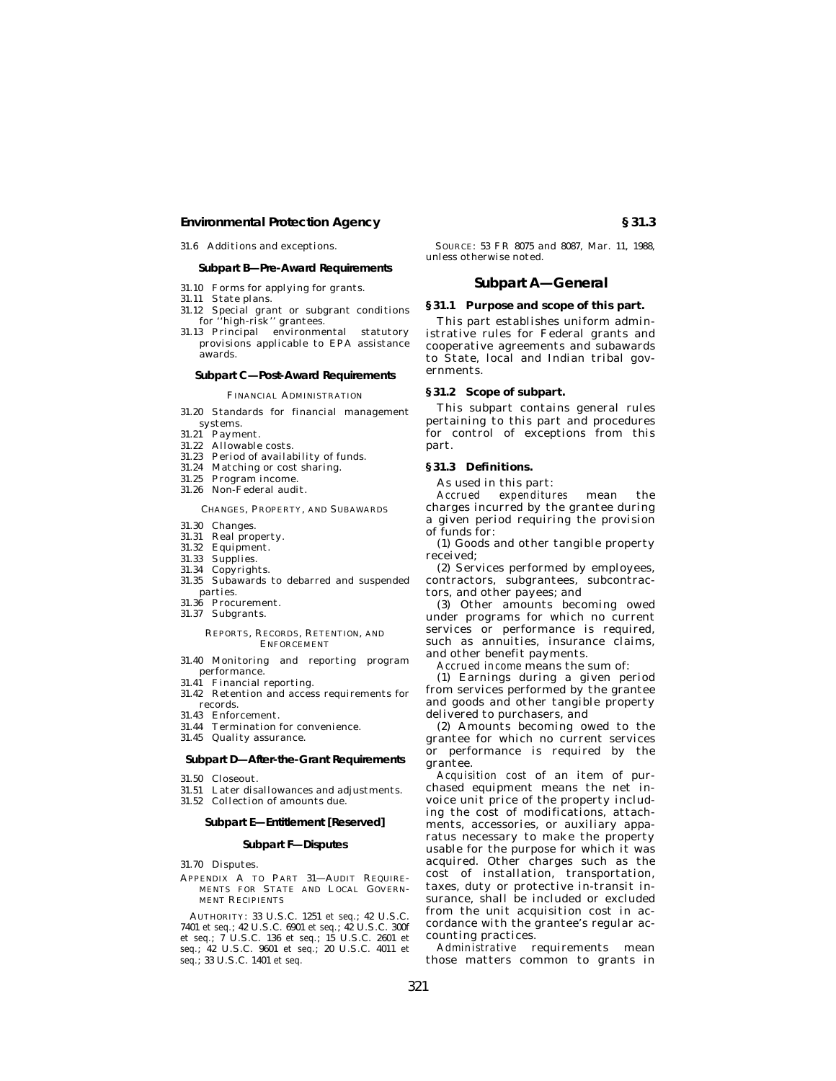31.6 Additions and exceptions.

#### **Subpart B—Pre-Award Requirements**

- 31.10 Forms for applying for grants.
- 31.11 State plans.
- 31.12 Special grant or subgrant conditions for "high-risk" grantees.
- 31.13 Principal environmental statutory provisions applicable to EPA assistance awards.

#### **Subpart C—Post-Award Requirements**

#### FINANCIAL ADMINISTRATION

- 31.20 Standards for financial management systems.
- 31.21 Payment.
- 31.22 Allowable costs.
- 31.23 Period of availability of funds.
- 31.24 Matching or cost sharing.
- 31.25 Program income.
- 31.26 Non-Federal audit.

# CHANGES, PROPERTY, AND SUBAWARDS

- 31.30 Changes.
- 31.31 Real property.
- 31.32 Equipment.
- 31.33 Supplies.
- 31.34 Copyrights.
- 31.35 Subawards to debarred and suspended parties.
- 31.36 Procurement.

# 31.37 Subgrants.

#### REPORTS, RECORDS, RETENTION, AND ENFORCEMENT

- 31.40 Monitoring and reporting program performance.
- 31.41 Financial reporting.
- 31.42 Retention and access requirements for records.
- 31.43 Enforcement.
- 31.44 Termination for convenience.
- 31.45 Quality assurance.

#### **Subpart D—After-the-Grant Requirements**

- 31.50 Closeout.
- 31.51 Later disallowances and adjustments.
- 31.52 Collection of amounts due.

#### **Subpart E—Entitlement [Reserved]**

#### **Subpart F—Disputes**

- 31.70 Disputes.
- APPENDIX A TO PART 31—AUDIT REQUIRE-MENTS FOR STATE AND LOCAL GOVERN-MENT RECIPIENTS

AUTHORITY: 33 U.S.C. 1251 *et seq.*; 42 U.S.C. 7401 *et seq.*; 42 U.S.C. 6901 *et seq.*; 42 U.S.C. 300f *et seq.*; 7 U.S.C. 136 *et seq.*; 15 U.S.C. 2601 *et seq.*; 42 U.S.C. 9601 *et seq.*; 20 U.S.C. 4011 *et seq.*; 33 U.S.C. 1401 *et seq.*

SOURCE: 53 FR 8075 and 8087, Mar. 11, 1988, unless otherwise noted.

#### **Subpart A—General**

### **§ 31.1 Purpose and scope of this part.**

This part establishes uniform administrative rules for Federal grants and cooperative agreements and subawards to State, local and Indian tribal governments.

#### **§ 31.2 Scope of subpart.**

This subpart contains general rules pertaining to this part and procedures for control of exceptions from this part.

#### **§ 31.3 Definitions.**

As used in this part:

*Accrued expenditures* mean the charges incurred by the grantee during a given period requiring the provision of funds for:

(1) Goods and other tangible property received;

(2) Services performed by employees, contractors, subgrantees, subcontractors, and other payees; and

(3) Other amounts becoming owed under programs for which no current services or performance is required, such as annuities, insurance claims, and other benefit payments.

*Accrued income* means the sum of:

(1) Earnings during a given period from services performed by the grantee and goods and other tangible property delivered to purchasers, and

(2) Amounts becoming owed to the grantee for which no current services or performance is required by the grantee.

*Acquisition cost* of an item of purchased equipment means the net invoice unit price of the property including the cost of modifications, attachments, accessories, or auxiliary apparatus necessary to make the property usable for the purpose for which it was acquired. Other charges such as the cost of installation, transportation, taxes, duty or protective in-transit insurance, shall be included or excluded from the unit acquisition cost in accordance with the grantee's regular accounting practices.

*Administrative* requirements mean those matters common to grants in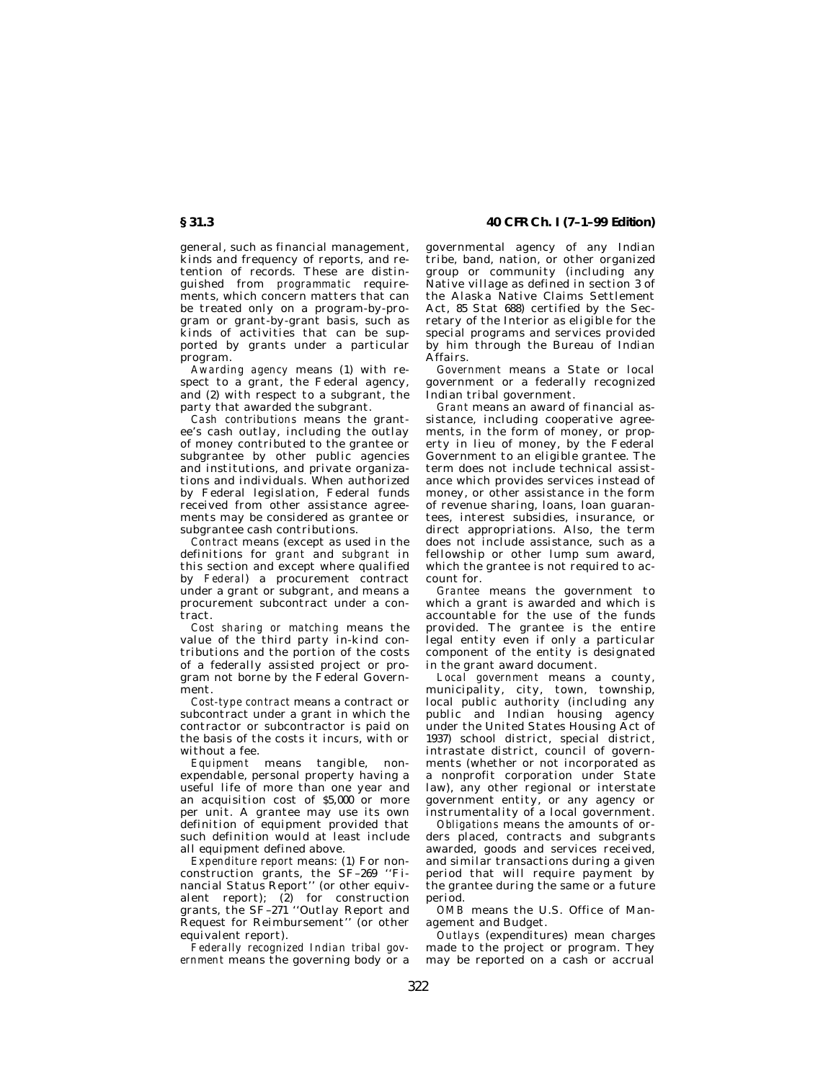# **§ 31.3 40 CFR Ch. I (7–1–99 Edition)**

general, such as financial management, kinds and frequency of reports, and retention of records. These are distinguished from *programmatic* requirements, which concern matters that can be treated only on a program-by-program or grant-by-grant basis, such as kinds of activities that can be supported by grants under a particular program.

*Awarding agency* means (1) with respect to a grant, the Federal agency, and (2) with respect to a subgrant, the party that awarded the subgrant.

*Cash contributions* means the grantee's cash outlay, including the outlay of money contributed to the grantee or subgrantee by other public agencies and institutions, and private organizations and individuals. When authorized by Federal legislation, Federal funds received from other assistance agreements may be considered as grantee or subgrantee cash contributions.

*Contract* means (except as used in the definitions for *grant* and *subgrant* in this section and except where qualified by *Federal*) a procurement contract under a grant or subgrant, and means a procurement subcontract under a contract.

*Cost sharing or matching* means the value of the third party in-kind contributions and the portion of the costs of a federally assisted project or program not borne by the Federal Government.

*Cost-type contract* means a contract or subcontract under a grant in which the contractor or subcontractor is paid on the basis of the costs it incurs, with or without a fee.

*Equipment* means tangible, nonexpendable, personal property having a useful life of more than one year and an acquisition cost of \$5,000 or more per unit. A grantee may use its own definition of equipment provided that such definition would at least include all equipment defined above.

*Expenditure report* means: (1) For nonconstruction grants, the SF–269 ''Financial Status Report'' (or other equivalent report); (2) for construction grants, the SF–271 ''Outlay Report and Request for Reimbursement'' (or other equivalent report).

*Federally recognized Indian tribal government* means the governing body or a

governmental agency of any Indian tribe, band, nation, or other organized group or community (including any Native village as defined in section 3 of the Alaska Native Claims Settlement Act, 85 Stat 688) certified by the Secretary of the Interior as eligible for the special programs and services provided by him through the Bureau of Indian Affairs.

*Government* means a State or local government or a federally recognized Indian tribal government.

*Grant* means an award of financial assistance, including cooperative agreements, in the form of money, or property in lieu of money, by the Federal Government to an eligible grantee. The term does not include technical assistance which provides services instead of money, or other assistance in the form of revenue sharing, loans, loan guarantees, interest subsidies, insurance, or direct appropriations. Also, the term does not include assistance, such as a fellowship or other lump sum award, which the grantee is not required to account for.

*Grantee* means the government to which a grant is awarded and which is accountable for the use of the funds provided. The grantee is the entire legal entity even if only a particular component of the entity is designated in the grant award document.

*Local government* means a county, municipality, city, town, township, local public authority (including any public and Indian housing agency under the United States Housing Act of 1937) school district, special district, intrastate district, council of governments (whether or not incorporated as a nonprofit corporation under State law), any other regional or interstate government entity, or any agency or instrumentality of a local government.

*Obligations* means the amounts of orders placed, contracts and subgrants awarded, goods and services received, and similar transactions during a given period that will require payment by the grantee during the same or a future period.

*OMB* means the U.S. Office of Management and Budget.

*Outlays* (expenditures) mean charges made to the project or program. They may be reported on a cash or accrual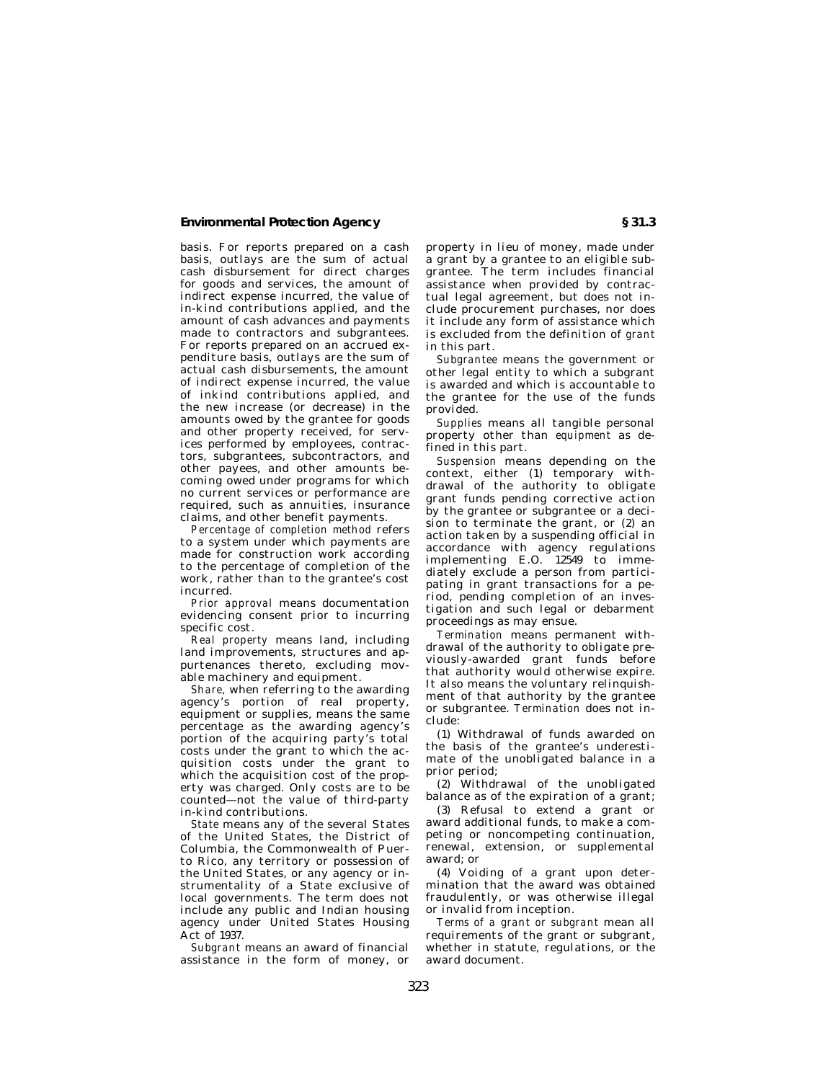basis. For reports prepared on a cash basis, outlays are the sum of actual cash disbursement for direct charges for goods and services, the amount of indirect expense incurred, the value of in-kind contributions applied, and the amount of cash advances and payments made to contractors and subgrantees. For reports prepared on an accrued expenditure basis, outlays are the sum of actual cash disbursements, the amount of indirect expense incurred, the value of inkind contributions applied, and the new increase (or decrease) in the amounts owed by the grantee for goods and other property received, for services performed by employees, contractors, subgrantees, subcontractors, and other payees, and other amounts becoming owed under programs for which no current services or performance are required, such as annuities, insurance claims, and other benefit payments.

*Percentage of completion method* refers to a system under which payments are made for construction work according to the percentage of completion of the work, rather than to the grantee's cost incurred.

*Prior approval* means documentation evidencing consent prior to incurring specific cost.

*Real property* means land, including land improvements, structures and appurtenances thereto, excluding mov-.<br>able machinery and equipment.

*Share,* when referring to the awarding agency's portion of real property, equipment or supplies, means the same percentage as the awarding agency's portion of the acquiring party's total costs under the grant to which the acquisition costs under the grant to which the acquisition cost of the property was charged. Only costs are to be counted—not the value of third-party in-kind contributions.

*State* means any of the several States of the United States, the District of Columbia, the Commonwealth of Puerto Rico, any territory or possession of the United States, or any agency or instrumentality of a State exclusive of local governments. The term does not include any public and Indian housing agency under United States Housing Act of 1937.

*Subgrant* means an award of financial assistance in the form of money, or

property in lieu of money, made under a grant by a grantee to an eligible subgrantee. The term includes financial assistance when provided by contractual legal agreement, but does not include procurement purchases, nor does it include any form of assistance which is excluded from the definition of *grant* in this part.

*Subgrantee* means the government or other legal entity to which a subgrant is awarded and which is accountable to the grantee for the use of the funds provided.

*Supplies* means all tangible personal property other than *equipment* as defined in this part.

*Suspension* means depending on the context, either (1) temporary withdrawal of the authority to obligate grant funds pending corrective action by the grantee or subgrantee or a decision to terminate the grant, or (2) an action taken by a suspending official in accordance with agency regulations implementing E.O. 12549 to immediately exclude a person from participating in grant transactions for a period, pending completion of an investigation and such legal or debarment proceedings as may ensue.

*Termination* means permanent withdrawal of the authority to obligate previously-awarded grant funds before that authority would otherwise expire. It also means the voluntary relinquishment of that authority by the grantee or subgrantee. *Termination* does not include:

(1) Withdrawal of funds awarded on the basis of the grantee's underestimate of the unobligated balance in a prior period;

(2) Withdrawal of the unobligated balance as of the expiration of a grant;

(3) Refusal to extend a grant or award additional funds, to make a competing or noncompeting continuation, renewal, extension, or supplemental award; or

(4) Voiding of a grant upon determination that the award was obtained fraudulently, or was otherwise illegal or invalid from inception.

*Terms of a grant or subgrant* mean all requirements of the grant or subgrant, whether in statute, regulations, or the award document.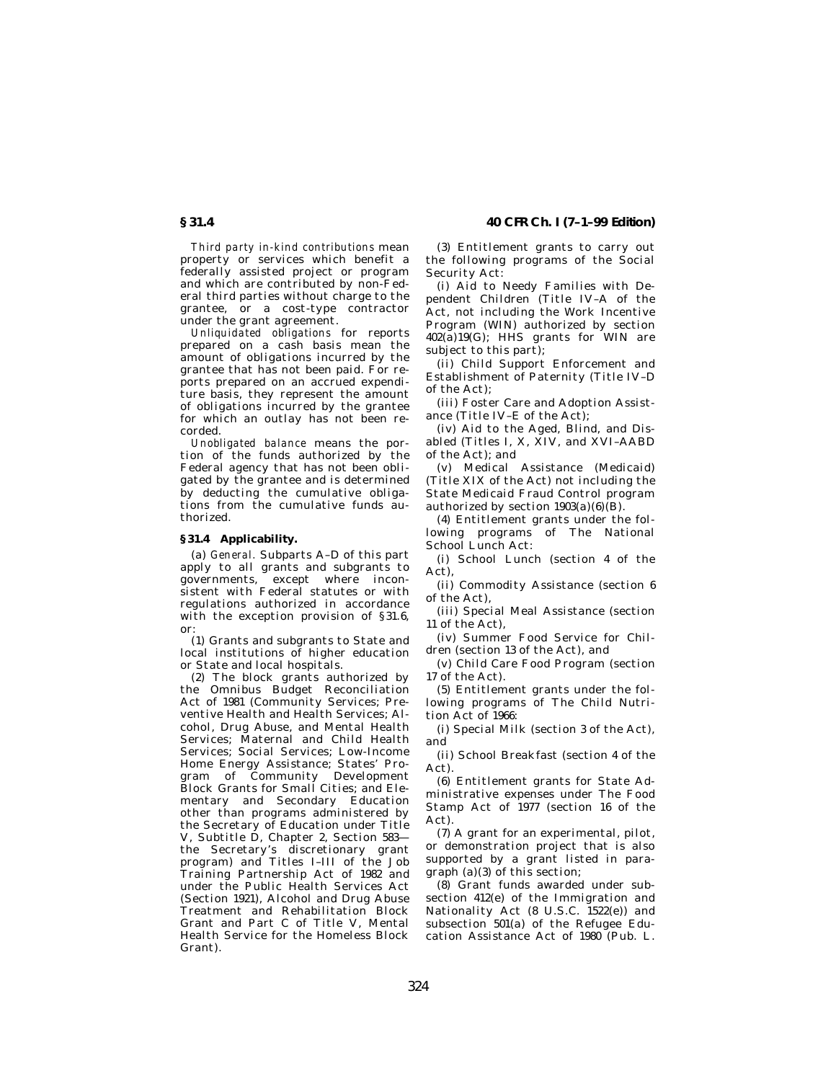*Third party in-kind contributions* mean property or services which benefit a federally assisted project or program and which are contributed by non-Federal third parties without charge to the grantee, or a cost-type contractor under the grant agreement.

*Unliquidated obligations* for reports prepared on a cash basis mean the amount of obligations incurred by the grantee that has not been paid. For reports prepared on an accrued expenditure basis, they represent the amount of obligations incurred by the grantee for which an outlay has not been recorded.

*Unobligated balance* means the portion of the funds authorized by the Federal agency that has not been obligated by the grantee and is determined by deducting the cumulative obligations from the cumulative funds authorized.

#### **§ 31.4 Applicability.**

(a) *General.* Subparts A–D of this part apply to all grants and subgrants to governments, except where inconsistent with Federal statutes or with regulations authorized in accordance with the exception provision of § 31.6, or:

(1) Grants and subgrants to State and local institutions of higher education or State and local hospitals.

(2) The block grants authorized by the Omnibus Budget Reconciliation Act of 1981 (Community Services; Preventive Health and Health Services; Alcohol, Drug Abuse, and Mental Health Services; Maternal and Child Health Services; Social Services; Low-Income Home Energy Assistance; States' Program of Community Development Block Grants for Small Cities; and Elementary and Secondary Education other than programs administered by the Secretary of Education under Title V, Subtitle D, Chapter 2, Section 583 the Secretary's discretionary grant program) and Titles I–III of the Job Training Partnership Act of 1982 and under the Public Health Services Act (Section 1921), Alcohol and Drug Abuse Treatment and Rehabilitation Block Grant and Part C of Title V, Mental Health Service for the Homeless Block Grant).

(3) Entitlement grants to carry out the following programs of the Social Security Act:

(i) Aid to Needy Families with Dependent Children (Title IV–A of the Act, not including the Work Incentive Program (WIN) authorized by section 402(a)19(G); HHS grants for WIN are subject to this part);

(ii) Child Support Enforcement and Establishment of Paternity (Title IV–D of the Act);

(iii) Foster Care and Adoption Assistance (Title IV–E of the Act);

(iv) Aid to the Aged, Blind, and Disabled (Titles I, X, XIV, and XVI–AABD of the Act); and

(v) Medical Assistance (Medicaid) (Title XIX of the Act) not including the State Medicaid Fraud Control program authorized by section  $1903(a)(6)(B)$ .

(4) Entitlement grants under the following programs of The National School Lunch Act:

(i) School Lunch (section 4 of the Act),

(ii) Commodity Assistance (section 6 of the Act),

(iii) Special Meal Assistance (section 11 of the Act),

(iv) Summer Food Service for Children (section 13 of the Act), and

(v) Child Care Food Program (section 17 of the Act).

(5) Entitlement grants under the following programs of The Child Nutrition Act of 1966:

(i) Special Milk (section 3 of the Act), and

(ii) School Breakfast (section 4 of the Act).

(6) Entitlement grants for State Administrative expenses under The Food Stamp Act of 1977 (section 16 of the Act).

(7) A grant for an experimental, pilot, or demonstration project that is also supported by a grant listed in paragraph (a)(3) of this section;

(8) Grant funds awarded under subsection 412(e) of the Immigration and Nationality Act (8 U.S.C. 1522(e)) and subsection 501(a) of the Refugee Education Assistance Act of 1980 (Pub. L.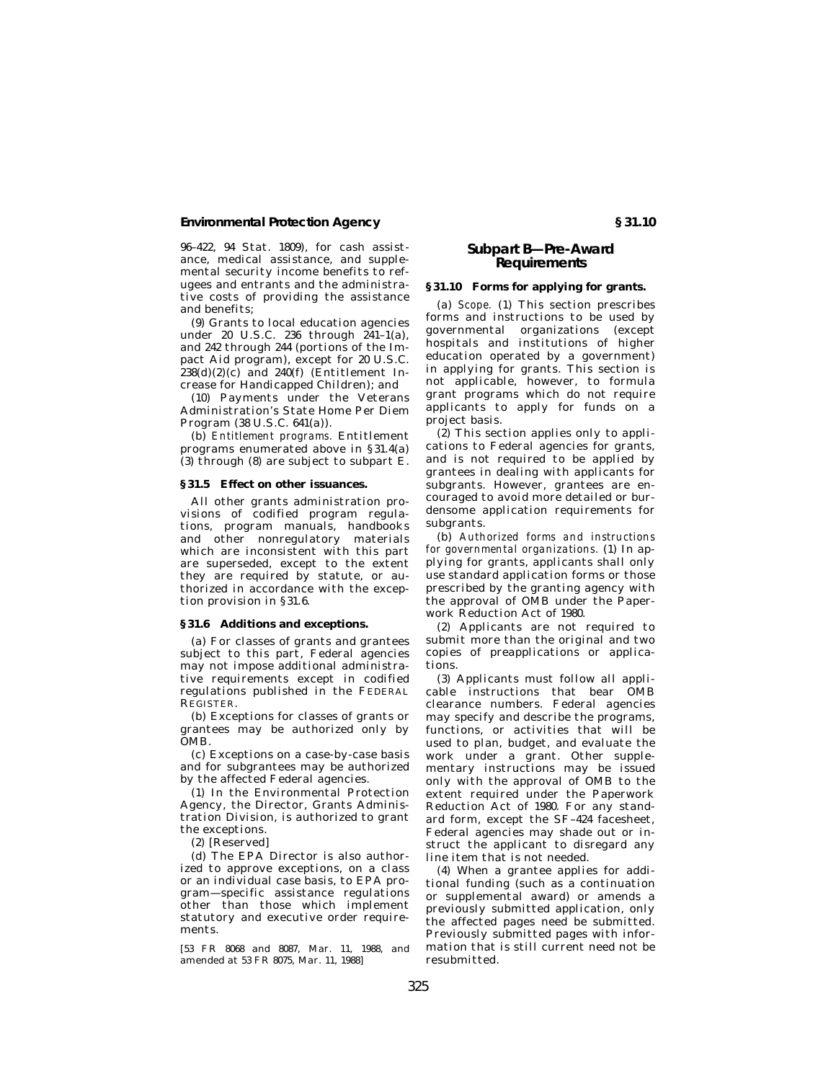96–422, 94 Stat. 1809), for cash assistance, medical assistance, and supplemental security income benefits to refugees and entrants and the administrative costs of providing the assistance and benefits;

(9) Grants to local education agencies under 20 U.S.C. 236 through 241–1(a), and 242 through 244 (portions of the Impact Aid program), except for 20 U.S.C.  $238(d)(2)(c)$  and  $240(f)$  (Entitlement Increase for Handicapped Children); and

(10) Payments under the Veterans Administration's State Home Per Diem Program (38 U.S.C. 641(a)).

(b) *Entitlement programs.* Entitlement programs enumerated above in § 31.4(a) (3) through (8) are subject to subpart E.

#### **§ 31.5 Effect on other issuances.**

All other grants administration provisions of codified program regulations, program manuals, handbooks and other nonregulatory materials which are inconsistent with this part are superseded, except to the extent they are required by statute, or authorized in accordance with the exception provision in §31.6.

#### **§ 31.6 Additions and exceptions.**

(a) For classes of grants and grantees subject to this part, Federal agencies may not impose additional administrative requirements except in codified regulations published in the FEDERAL REGISTER.

(b) Exceptions for classes of grants or grantees may be authorized only by OMB.

(c) Exceptions on a case-by-case basis and for subgrantees may be authorized by the affected Federal agencies.

(1) In the Environmental Protection Agency, the Director, Grants Administration Division, is authorized to grant the exceptions.

(2) [Reserved]

(d) The EPA Director is also authorized to approve exceptions, on a class or an individual case basis, to EPA program—specific assistance regulations other than those which implement statutory and executive order requirements.

[53 FR 8068 and 8087, Mar. 11, 1988, and amended at 53 FR 8075, Mar. 11, 1988]

# **Subpart B—Pre-Award Requirements**

#### **§ 31.10 Forms for applying for grants.**

(a) *Scope.* (1) This section prescribes forms and instructions to be used by governmental organizations (except hospitals and institutions of higher education operated by a government) in applying for grants. This section is not applicable, however, to formula grant programs which do not require applicants to apply for funds on a project basis.

(2) This section applies only to applications to Federal agencies for grants, and is not required to be applied by grantees in dealing with applicants for subgrants. However, grantees are encouraged to avoid more detailed or burdensome application requirements for subgrants.

(b) *Authorized forms and instructions for governmental organizations.* (1) In applying for grants, applicants shall only use standard application forms or those prescribed by the granting agency with the approval of OMB under the Paperwork Reduction Act of 1980.

(2) Applicants are not required to submit more than the original and two copies of preapplications or applications.

(3) Applicants must follow all applicable instructions that bear OMB clearance numbers. Federal agencies may specify and describe the programs, functions, or activities that will be used to plan, budget, and evaluate the work under a grant. Other supplementary instructions may be issued only with the approval of OMB to the extent required under the Paperwork Reduction Act of 1980. For any standard form, except the SF–424 facesheet, Federal agencies may shade out or instruct the applicant to disregard any line item that is not needed.

(4) When a grantee applies for additional funding (such as a continuation or supplemental award) or amends a previously submitted application, only the affected pages need be submitted. Previously submitted pages with information that is still current need not be resubmitted.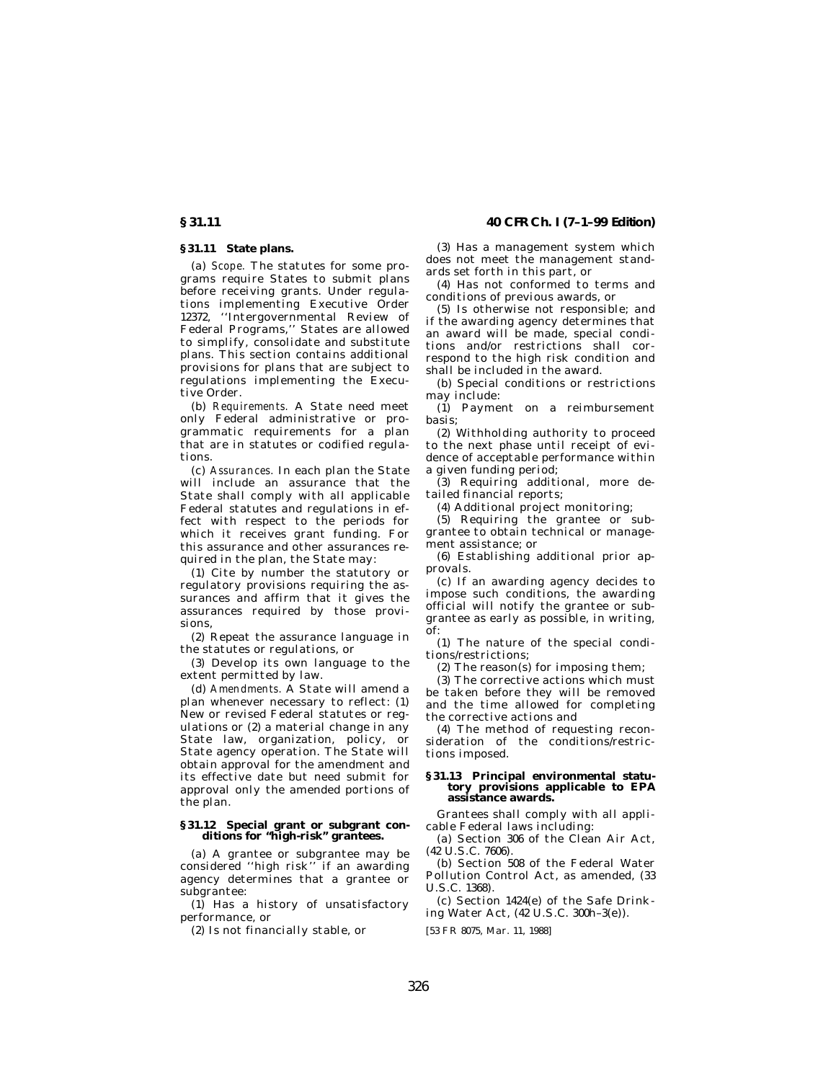**§ 31.11 40 CFR Ch. I (7–1–99 Edition)**

#### **§ 31.11 State plans.**

(a) *Scope.* The statutes for some programs require States to submit plans before receiving grants. Under regulations implementing Executive Order 12372, ''Intergovernmental Review of Federal Programs,'' States are allowed to simplify, consolidate and substitute plans. This section contains additional provisions for plans that are subject to regulations implementing the Executive Order.

(b) *Requirements.* A State need meet only Federal administrative or programmatic requirements for a plan that are in statutes or codified regulations.

(c) *Assurances.* In each plan the State will include an assurance that the State shall comply with all applicable Federal statutes and regulations in effect with respect to the periods for which it receives grant funding. For this assurance and other assurances required in the plan, the State may:

(1) Cite by number the statutory or regulatory provisions requiring the assurances and affirm that it gives the assurances required by those provisions,

(2) Repeat the assurance language in the statutes or regulations, or

(3) Develop its own language to the extent permitted by law.

(d) *Amendments.* A State will amend a plan whenever necessary to reflect: (1) New or revised Federal statutes or regulations or (2) a material change in any State law, organization, policy, or State agency operation. The State will obtain approval for the amendment and its effective date but need submit for approval only the amended portions of the plan.

#### **§ 31.12 Special grant or subgrant conditions for ''high-risk'' grantees.**

(a) A grantee or subgrantee may be considered ''high risk'' if an awarding agency determines that a grantee or subgrantee:

(1) Has a history of unsatisfactory performance, or

(2) Is not financially stable, or

(3) Has a management system which does not meet the management standards set forth in this part, or

(4) Has not conformed to terms and conditions of previous awards, or

(5) Is otherwise not responsible; and if the awarding agency determines that an award will be made, special conditions and/or restrictions shall correspond to the high risk condition and shall be included in the award.

(b) Special conditions or restrictions may include:

(1) Payment on a reimbursement basis;

(2) Withholding authority to proceed to the next phase until receipt of evidence of acceptable performance within a given funding period;

(3) Requiring additional, more detailed financial reports;

(4) Additional project monitoring;

(5) Requiring the grantee or subgrantee to obtain technical or management assistance; or

(6) Establishing additional prior approvals.

(c) If an awarding agency decides to impose such conditions, the awarding official will notify the grantee or subgrantee as early as possible, in writing, of:

(1) The nature of the special conditions/restrictions;

(2) The reason(s) for imposing them;

(3) The corrective actions which must be taken before they will be removed and the time allowed for completing the corrective actions and

(4) The method of requesting reconsideration of the conditions/restrictions imposed.

#### **§ 31.13 Principal environmental statutory provisions applicable to EPA assistance awards.**

Grantees shall comply with all applicable Federal laws including:

(a) Section 306 of the Clean Air Act, (42 U.S.C. 7606).

(b) Section 508 of the Federal Water Pollution Control Act, as amended, (33 U.S.C. 1368).

(c) Section 1424(e) of the Safe Drinking Water Act, (42 U.S.C. 300h–3(e)).

[53 FR 8075, Mar. 11, 1988]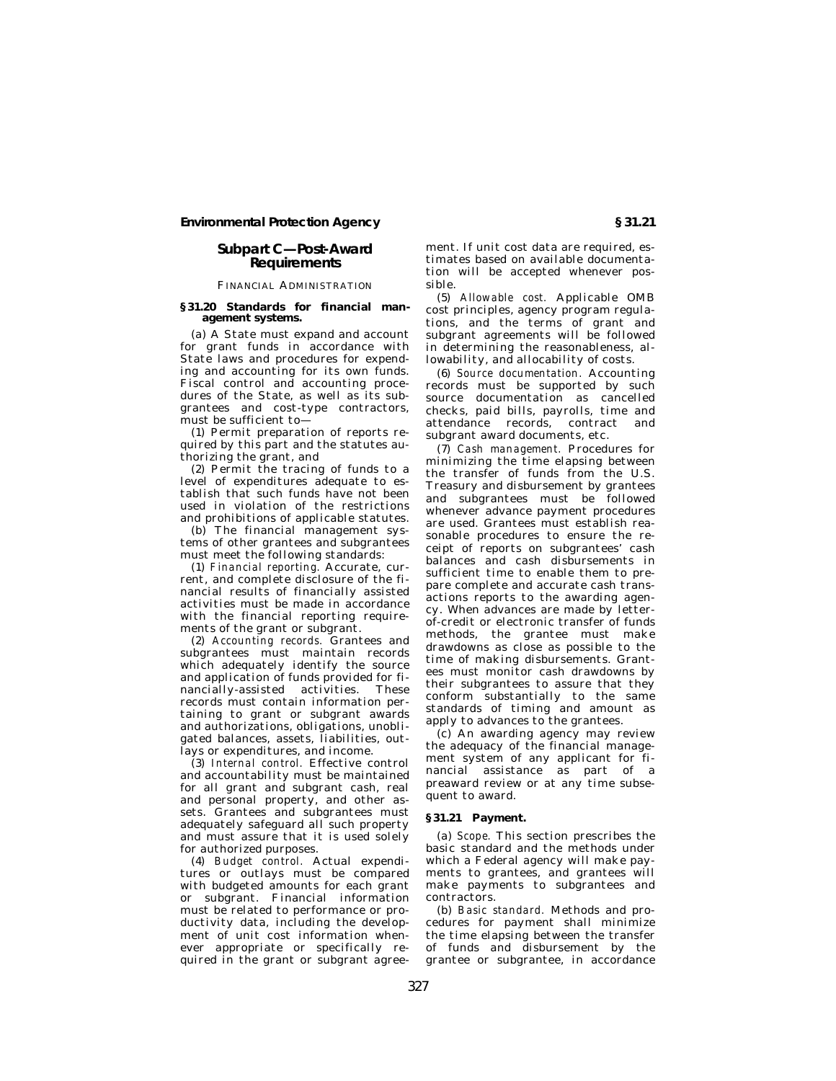# **Subpart C—Post-Award Requirements**

#### FINANCIAL ADMINISTRATION

#### **§ 31.20 Standards for financial management systems.**

(a) A State must expand and account for grant funds in accordance with State laws and procedures for expending and accounting for its own funds. Fiscal control and accounting procedures of the State, as well as its subgrantees and cost-type contractors, must be sufficient to—

(1) Permit preparation of reports required by this part and the statutes authorizing the grant, and

(2) Permit the tracing of funds to a level of expenditures adequate to establish that such funds have not been used in violation of the restrictions and prohibitions of applicable statutes.

(b) The financial management systems of other grantees and subgrantees must meet the following standards:

(1) *Financial reporting.* Accurate, current, and complete disclosure of the financial results of financially assisted activities must be made in accordance with the financial reporting requirements of the grant or subgrant.

(2) *Accounting records.* Grantees and subgrantees must maintain records which adequately identify the source and application of funds provided for financially-assisted activities. These records must contain information pertaining to grant or subgrant awards and authorizations, obligations, unobligated balances, assets, liabilities, outlays or expenditures, and income.

(3) *Internal control.* Effective control and accountability must be maintained for all grant and subgrant cash, real and personal property, and other assets. Grantees and subgrantees must adequately safeguard all such property and must assure that it is used solely for authorized purposes.

(4) *Budget control.* Actual expenditures or outlays must be compared with budgeted amounts for each grant or subgrant. Financial information must be related to performance or productivity data, including the development of unit cost information whenever appropriate or specifically required in the grant or subgrant agree-

ment. If unit cost data are required, estimates based on available documentation will be accepted whenever possible.

(5) *Allowable cost.* Applicable OMB cost principles, agency program regulations, and the terms of grant and subgrant agreements will be followed in determining the reasonableness, allowability, and allocability of costs.

(6) *Source documentation.* Accounting records must be supported by such source documentation as cancelled checks, paid bills, payrolls, time and attendance records, contract and subgrant award documents, etc.

(7) *Cash management.* Procedures for minimizing the time elapsing between the transfer of funds from the U.S. Treasury and disbursement by grantees and subgrantees must be followed whenever advance payment procedures are used. Grantees must establish reasonable procedures to ensure the receipt of reports on subgrantees' cash balances and cash disbursements in sufficient time to enable them to prepare complete and accurate cash transactions reports to the awarding agency. When advances are made by letterof-credit or electronic transfer of funds methods, the grantee must make drawdowns as close as possible to the time of making disbursements. Grantees must monitor cash drawdowns by their subgrantees to assure that they conform substantially to the same standards of timing and amount as apply to advances to the grantees.

(c) An awarding agency may review the adequacy of the financial management system of any applicant for financial assistance as part of a preaward review or at any time subsequent to award.

#### **§ 31.21 Payment.**

(a) *Scope.* This section prescribes the basic standard and the methods under which a Federal agency will make payments to grantees, and grantees will make payments to subgrantees and contractors.

(b) *Basic standard.* Methods and procedures for payment shall minimize the time elapsing between the transfer of funds and disbursement by the grantee or subgrantee, in accordance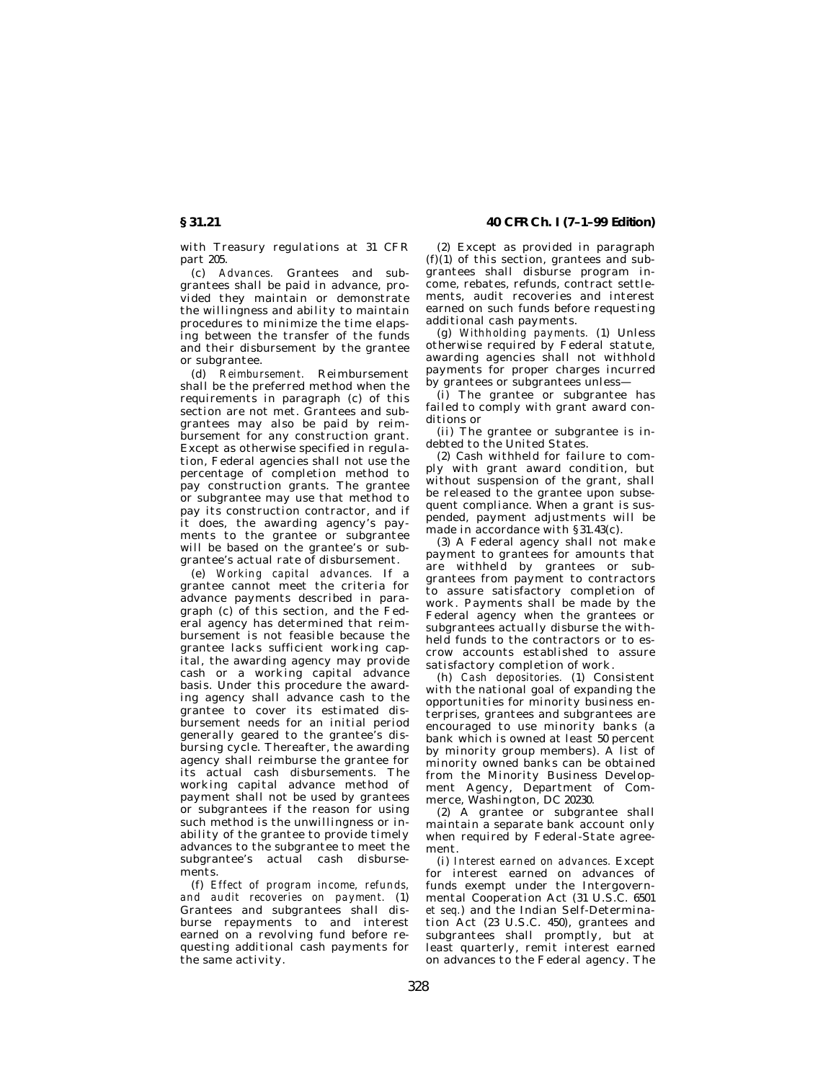with Treasury regulations at 31 CFR part 205.

(c) *Advances.* Grantees and subgrantees shall be paid in advance, provided they maintain or demonstrate the willingness and ability to maintain procedures to minimize the time elapsing between the transfer of the funds and their disbursement by the grantee or subgrantee.

(d) *Reimbursement.* Reimbursement shall be the preferred method when the requirements in paragraph (c) of this section are not met. Grantees and subgrantees may also be paid by reimbursement for any construction grant. Except as otherwise specified in regulation, Federal agencies shall not use the percentage of completion method to pay construction grants. The grantee or subgrantee may use that method to pay its construction contractor, and if it does, the awarding agency's payments to the grantee or subgrantee will be based on the grantee's or subgrantee's actual rate of disbursement.

(e) *Working capital advances.* If a grantee cannot meet the criteria for advance payments described in paragraph (c) of this section, and the Federal agency has determined that reimbursement is not feasible because the grantee lacks sufficient working capital, the awarding agency may provide cash or a working capital advance basis. Under this procedure the awarding agency shall advance cash to the grantee to cover its estimated disbursement needs for an initial period generally geared to the grantee's disbursing cycle. Thereafter, the awarding agency shall reimburse the grantee for its actual cash disbursements. The working capital advance method of payment shall not be used by grantees or subgrantees if the reason for using such method is the unwillingness or inability of the grantee to provide timely advances to the subgrantee to meet the subgrantee's actual cash disbursements.

(f) *Effect of program income, refunds, and audit recoveries on payment.* (1) Grantees and subgrantees shall disburse repayments to and interest earned on a revolving fund before requesting additional cash payments for the same activity.

(2) Except as provided in paragraph (f)(1) of this section, grantees and subgrantees shall disburse program income, rebates, refunds, contract settlements, audit recoveries and interest earned on such funds before requesting additional cash payments.

(g) *Withholding payments.* (1) Unless otherwise required by Federal statute, awarding agencies shall not withhold payments for proper charges incurred by grantees or subgrantees unless—

(i) The grantee or subgrantee has failed to comply with grant award conditions or

(ii) The grantee or subgrantee is indebted to the United States.

(2) Cash withheld for failure to comply with grant award condition, but without suspension of the grant, shall be released to the grantee upon subsequent compliance. When a grant is suspended, payment adjustments will be made in accordance with §31.43(c).

(3) A Federal agency shall not make payment to grantees for amounts that are withheld by grantees or subgrantees from payment to contractors to assure satisfactory completion of work. Payments shall be made by the Federal agency when the grantees or subgrantees actually disburse the withheld funds to the contractors or to escrow accounts established to assure satisfactory completion of work.

(h) *Cash depositories.* (1) Consistent with the national goal of expanding the opportunities for minority business enterprises, grantees and subgrantees are encouraged to use minority banks (a bank which is owned at least 50 percent by minority group members). A list of minority owned banks can be obtained from the Minority Business Development Agency, Department of Commerce, Washington, DC 20230.

(2) A grantee or subgrantee shall maintain a separate bank account only when required by Federal-State agreement.

(i) *Interest earned on advances.* Except for interest earned on advances of funds exempt under the Intergovernmental Cooperation Act (31 U.S.C. 6501 *et seq.*) and the Indian Self-Determination Act (23 U.S.C. 450), grantees and subgrantees shall promptly, but at least quarterly, remit interest earned on advances to the Federal agency. The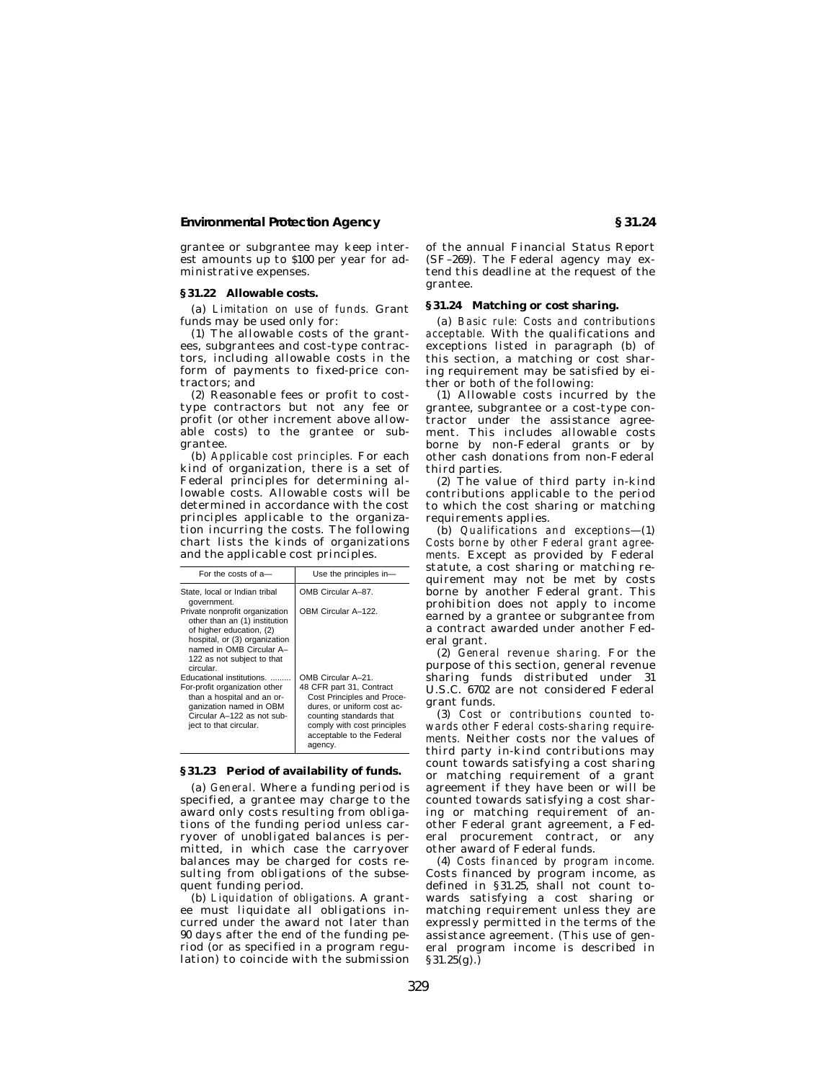grantee or subgrantee may keep interest amounts up to \$100 per year for administrative expenses.

# **§ 31.22 Allowable costs.**

(a) *Limitation on use of funds.* Grant funds may be used only for:

(1) The allowable costs of the grantees, subgrantees and cost-type contractors, including allowable costs in the form of payments to fixed-price contractors; and

(2) Reasonable fees or profit to costtype contractors but not any fee or profit (or other increment above allowable costs) to the grantee or subgrantee.

(b) *Applicable cost principles.* For each kind of organization, there is a set of Federal principles for determining allowable costs. Allowable costs will be determined in accordance with the cost principles applicable to the organization incurring the costs. The following chart lists the kinds of organizations and the applicable cost principles.

| For the costs of $a$ —                                                                                                                                                                              | Use the principles in-                                                                                                                                                                                       |
|-----------------------------------------------------------------------------------------------------------------------------------------------------------------------------------------------------|--------------------------------------------------------------------------------------------------------------------------------------------------------------------------------------------------------------|
| State, local or Indian tribal<br>government.                                                                                                                                                        | OMB Circular A-87.                                                                                                                                                                                           |
| Private nonprofit organization<br>other than an (1) institution<br>of higher education, (2)<br>hospital, or (3) organization<br>named in OMB Circular A-<br>122 as not subject to that<br>circular. | OBM Circular A-122.                                                                                                                                                                                          |
| Educational institutions.<br>For-profit organization other<br>than a hospital and an or-<br>ganization named in OBM<br>Circular A-122 as not sub-<br>ject to that circular.                         | OMB Circular A-21.<br>48 CFR part 31, Contract<br>Cost Principles and Proce-<br>dures, or uniform cost ac-<br>counting standards that<br>comply with cost principles<br>acceptable to the Federal<br>agency. |

#### **§ 31.23 Period of availability of funds.**

(a) *General.* Where a funding period is specified, a grantee may charge to the award only costs resulting from obligations of the funding period unless carryover of unobligated balances is permitted, in which case the carryover balances may be charged for costs resulting from obligations of the subsequent funding period.

(b) *Liquidation of obligations.* A grantee must liquidate all obligations incurred under the award not later than 90 days after the end of the funding period (or as specified in a program regulation) to coincide with the submission of the annual Financial Status Report (SF–269). The Federal agency may extend this deadline at the request of the grantee.

# **§ 31.24 Matching or cost sharing.**

(a) *Basic rule: Costs and contributions acceptable.* With the qualifications and exceptions listed in paragraph (b) of this section, a matching or cost sharing requirement may be satisfied by either or both of the following:

(1) Allowable costs incurred by the grantee, subgrantee or a cost-type contractor under the assistance agreement. This includes allowable costs borne by non-Federal grants or by other cash donations from non-Federal third parties.

(2) The value of third party in-kind contributions applicable to the period to which the cost sharing or matching requirements applies.

(b) *Qualifications and exceptions*—(1) *Costs borne by other Federal grant agreements.* Except as provided by Federal statute, a cost sharing or matching requirement may not be met by costs borne by another Federal grant. This prohibition does not apply to income earned by a grantee or subgrantee from a contract awarded under another Federal grant.

(2) *General revenue sharing.* For the purpose of this section, general revenue sharing funds distributed under 31 U.S.C. 6702 are not considered Federal grant funds.

(3) *Cost or contributions counted towards other Federal costs-sharing requirements.* Neither costs nor the values of third party in-kind contributions may count towards satisfying a cost sharing or matching requirement of a grant agreement if they have been or will be counted towards satisfying a cost sharing or matching requirement of another Federal grant agreement, a Federal procurement contract, or any other award of Federal funds.

(4) *Costs financed by program income.* Costs financed by program income, as defined in § 31.25, shall not count towards satisfying a cost sharing or matching requirement unless they are expressly permitted in the terms of the assistance agreement. (This use of general program income is described in  $§31.25(g).$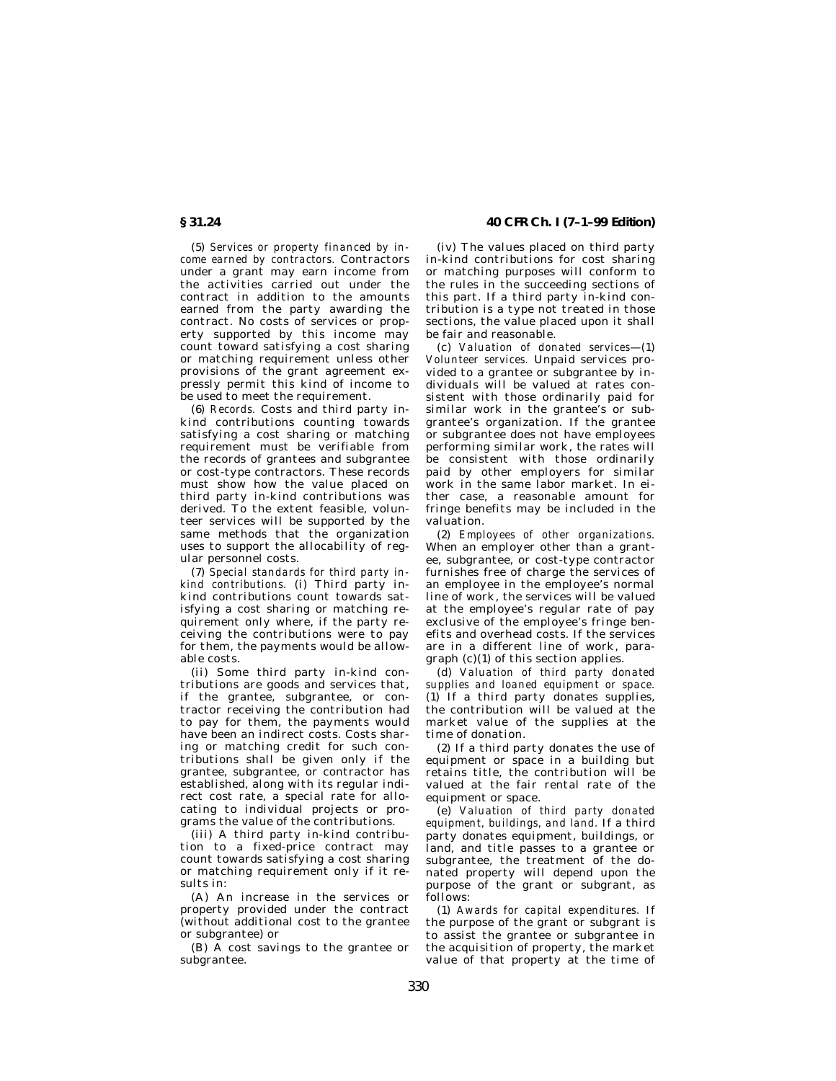(5) *Services or property financed by income earned by contractors.* Contractors under a grant may earn income from the activities carried out under the contract in addition to the amounts earned from the party awarding the contract. No costs of services or property supported by this income may count toward satisfying a cost sharing or matching requirement unless other provisions of the grant agreement expressly permit this kind of income to be used to meet the requirement.

(6) *Records.* Costs and third party inkind contributions counting towards satisfying a cost sharing or matching requirement must be verifiable from the records of grantees and subgrantee or cost-type contractors. These records must show how the value placed on third party in-kind contributions was derived. To the extent feasible, volunteer services will be supported by the same methods that the organization uses to support the allocability of regular personnel costs.

(7) *Special standards for third party inkind contributions.* (i) Third party inkind contributions count towards satisfying a cost sharing or matching requirement only where, if the party receiving the contributions were to pay for them, the payments would be allowable costs.

(ii) Some third party in-kind contributions are goods and services that, if the grantee, subgrantee, or contractor receiving the contribution had to pay for them, the payments would have been an indirect costs. Costs sharing or matching credit for such contributions shall be given only if the grantee, subgrantee, or contractor has established, along with its regular indirect cost rate, a special rate for allocating to individual projects or programs the value of the contributions.

(iii) A third party in-kind contribution to a fixed-price contract may count towards satisfying a cost sharing or matching requirement only if it results in:

(A) An increase in the services or property provided under the contract (without additional cost to the grantee or subgrantee) or

(B) A cost savings to the grantee or subgrantee.

# **§ 31.24 40 CFR Ch. I (7–1–99 Edition)**

(iv) The values placed on third party in-kind contributions for cost sharing or matching purposes will conform to the rules in the succeeding sections of this part. If a third party in-kind contribution is a type not treated in those sections, the value placed upon it shall be fair and reasonable.

(c) *Valuation of donated services*—(1) *Volunteer services.* Unpaid services provided to a grantee or subgrantee by individuals will be valued at rates consistent with those ordinarily paid for similar work in the grantee's or subgrantee's organization. If the grantee or subgrantee does not have employees performing similar work, the rates will be consistent with those ordinarily paid by other employers for similar work in the same labor market. In either case, a reasonable amount for fringe benefits may be included in the valuation.

(2) *Employees of other organizations.* When an employer other than a grantee, subgrantee, or cost-type contractor furnishes free of charge the services of an employee in the employee's normal line of work, the services will be valued at the employee's regular rate of pay exclusive of the employee's fringe benefits and overhead costs. If the services are in a different line of work, paragraph (c)(1) of this section applies.

(d) *Valuation of third party donated supplies and loaned equipment or space.* (1) If a third party donates supplies, the contribution will be valued at the market value of the supplies at the time of donation.

(2) If a third party donates the use of equipment or space in a building but retains title, the contribution will be valued at the fair rental rate of the equipment or space.

(e) *Valuation of third party donated equipment, buildings, and land.* If a third party donates equipment, buildings, or land, and title passes to a grantee or subgrantee, the treatment of the donated property will depend upon the purpose of the grant or subgrant, as follows:

(1) *Awards for capital expenditures.* If the purpose of the grant or subgrant is to assist the grantee or subgrantee in the acquisition of property, the market value of that property at the time of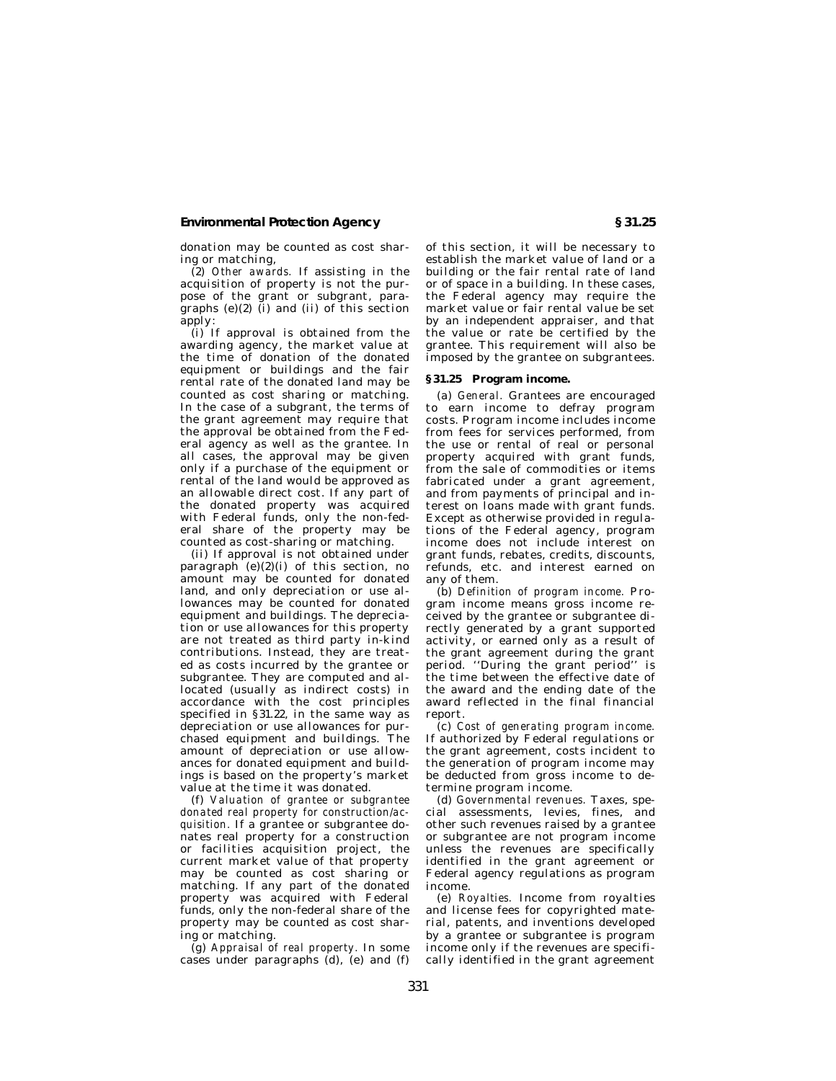donation may be counted as cost sharing or matching,

(2) *Other awards.* If assisting in the acquisition of property is not the purpose of the grant or subgrant, paragraphs (e)(2) (i) and (ii) of this section apply:

(i) If approval is obtained from the awarding agency, the market value at the time of donation of the donated equipment or buildings and the fair rental rate of the donated land may be counted as cost sharing or matching. In the case of a subgrant, the terms of the grant agreement may require that the approval be obtained from the Federal agency as well as the grantee. In all cases, the approval may be given only if a purchase of the equipment or rental of the land would be approved as an allowable direct cost. If any part of the donated property was acquired with Federal funds, only the non-federal share of the property may be counted as cost-sharing or matching.

(ii) If approval is not obtained under paragraph  $(e)(2)(i)$  of this section, no amount may be counted for donated land, and only depreciation or use allowances may be counted for donated equipment and buildings. The depreciation or use allowances for this property are not treated as third party in-kind contributions. Instead, they are treated as costs incurred by the grantee or subgrantee. They are computed and allocated (usually as indirect costs) in accordance with the cost principles specified in §31.22, in the same way as depreciation or use allowances for purchased equipment and buildings. The amount of depreciation or use allowances for donated equipment and buildings is based on the property's market value at the time it was donated.

(f) *Valuation of grantee or subgrantee donated real property for construction/acquisition.* If a grantee or subgrantee donates real property for a construction or facilities acquisition project, the current market value of that property may be counted as cost sharing or matching. If any part of the donated property was acquired with Federal funds, only the non-federal share of the property may be counted as cost sharing or matching.

(g) *Appraisal of real property.* In some cases under paragraphs (d), (e) and (f) of this section, it will be necessary to establish the market value of land or a building or the fair rental rate of land or of space in a building. In these cases, the Federal agency may require the market value or fair rental value be set by an independent appraiser, and that the value or rate be certified by the grantee. This requirement will also be imposed by the grantee on subgrantees.

#### **§ 31.25 Program income.**

(a) *General.* Grantees are encouraged to earn income to defray program costs. Program income includes income from fees for services performed, from the use or rental of real or personal property acquired with grant funds, from the sale of commodities or items fabricated under a grant agreement, and from payments of principal and interest on loans made with grant funds. Except as otherwise provided in regulations of the Federal agency, program income does not include interest on grant funds, rebates, credits, discounts, refunds, etc. and interest earned on any of them.

(b) *Definition of program income.* Program income means gross income received by the grantee or subgrantee directly generated by a grant supported activity, or earned only as a result of the grant agreement during the grant period. ''During the grant period'' is the time between the effective date of the award and the ending date of the award reflected in the final financial report.

(c) *Cost of generating program income.* If authorized by Federal regulations or the grant agreement, costs incident to the generation of program income may be deducted from gross income to determine program income.

(d) *Governmental revenues.* Taxes, special assessments, levies, fines, and other such revenues raised by a grantee or subgrantee are not program income unless the revenues are specifically identified in the grant agreement or Federal agency regulations as program income.

(e) *Royalties.* Income from royalties and license fees for copyrighted material, patents, and inventions developed by a grantee or subgrantee is program income only if the revenues are specifically identified in the grant agreement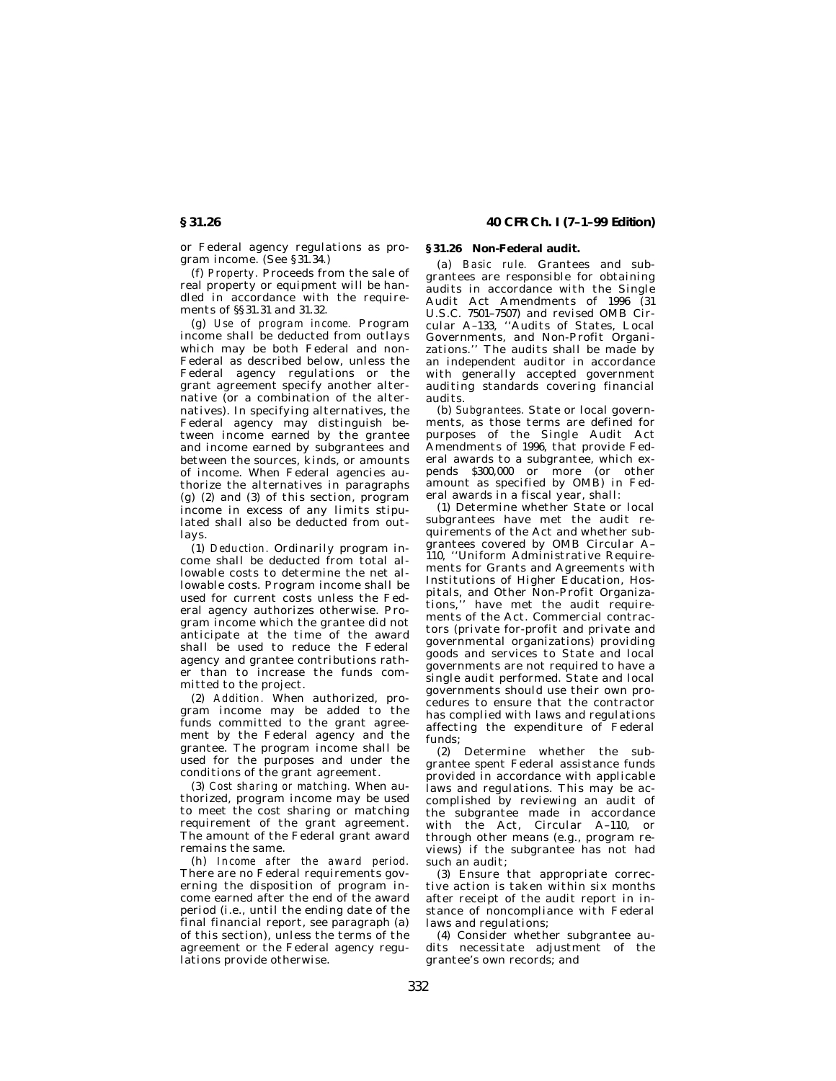or Federal agency regulations as program income. (See §31.34.)

(f) *Property.* Proceeds from the sale of real property or equipment will be handled in accordance with the requirements of §§31.31 and 31.32.

(g) *Use of program income.* Program income shall be deducted from outlays which may be both Federal and non-Federal as described below, unless the Federal agency regulations or the grant agreement specify another alternative (or a combination of the alternatives). In specifying alternatives, the Federal agency may distinguish between income earned by the grantee and income earned by subgrantees and between the sources, kinds, or amounts of income. When Federal agencies authorize the alternatives in paragraphs (g) (2) and (3) of this section, program income in excess of any limits stipulated shall also be deducted from outlays.

(1) *Deduction.* Ordinarily program income shall be deducted from total allowable costs to determine the net allowable costs. Program income shall be used for current costs unless the Federal agency authorizes otherwise. Program income which the grantee did not anticipate at the time of the award shall be used to reduce the Federal agency and grantee contributions rather than to increase the funds committed to the project.

(2) *Addition.* When authorized, program income may be added to the funds committed to the grant agreement by the Federal agency and the grantee. The program income shall be used for the purposes and under the conditions of the grant agreement.

(3) *Cost sharing or matching.* When authorized, program income may be used to meet the cost sharing or matching requirement of the grant agreement. The amount of the Federal grant award remains the same.

(h) *Income after the award period.* There are no Federal requirements governing the disposition of program income earned after the end of the award period (i.e., until the ending date of the final financial report, see paragraph (a) of this section), unless the terms of the agreement or the Federal agency regulations provide otherwise.

# **§ 31.26 40 CFR Ch. I (7–1–99 Edition)**

#### **§ 31.26 Non-Federal audit.**

(a) *Basic rule.* Grantees and subgrantees are responsible for obtaining audits in accordance with the Single Audit Act Amendments of 1996 (31 U.S.C. 7501–7507) and revised OMB Circular A–133, ''Audits of States, Local Governments, and Non-Profit Organizations.'' The audits shall be made by an independent auditor in accordance with generally accepted government auditing standards covering financial audits.

(b) *Subgrantees.* State or local governments, as those terms are defined for purposes of the Single Audit Act Amendments of 1996, that provide Federal awards to a subgrantee, which expends \$300,000 or more (or other amount as specified by OMB) in Federal awards in a fiscal year, shall:

(1) Determine whether State or local subgrantees have met the audit requirements of the Act and whether subgrantees covered by OMB Circular A– 110, ''Uniform Administrative Requirements for Grants and Agreements with Institutions of Higher Education, Hospitals, and Other Non-Profit Organizations,'' have met the audit requirements of the Act. Commercial contractors (private for-profit and private and governmental organizations) providing goods and services to State and local governments are not required to have a single audit performed. State and local governments should use their own procedures to ensure that the contractor has complied with laws and regulations affecting the expenditure of Federal funds;

(2) Determine whether the subgrantee spent Federal assistance funds provided in accordance with applicable laws and regulations. This may be accomplished by reviewing an audit of the subgrantee made in accordance with the Act, Circular A–110, or through other means (e.g., program reviews) if the subgrantee has not had such an audit;

(3) Ensure that appropriate corrective action is taken within six months after receipt of the audit report in instance of noncompliance with Federal laws and regulations;

(4) Consider whether subgrantee audits necessitate adjustment of the grantee's own records; and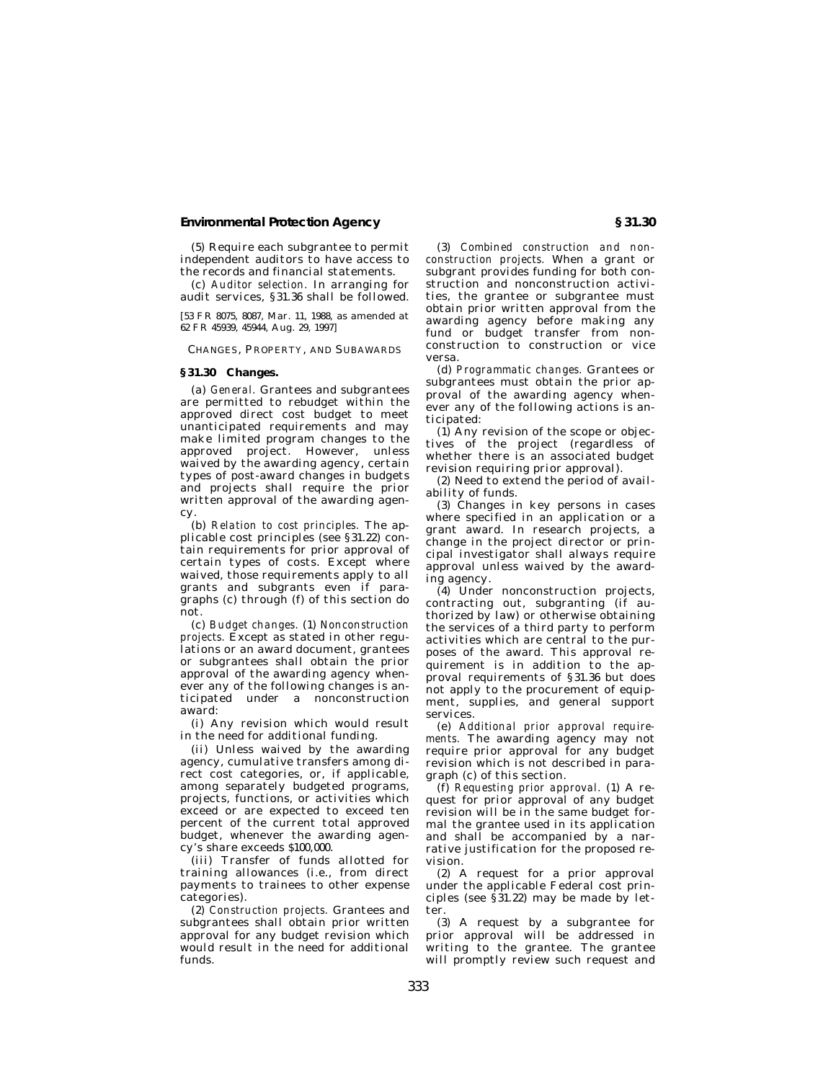(5) Require each subgrantee to permit independent auditors to have access to the records and financial statements.

(c) *Auditor selection.* In arranging for audit services, § 31.36 shall be followed.

[53 FR 8075, 8087, Mar. 11, 1988, as amended at 62 FR 45939, 45944, Aug. 29, 1997]

CHANGES, PROPERTY, AND SUBAWARDS

# **§ 31.30 Changes.**

(a) *General.* Grantees and subgrantees are permitted to rebudget within the approved direct cost budget to meet unanticipated requirements and may make limited program changes to the approved project. However, unless waived by the awarding agency, certain types of post-award changes in budgets and projects shall require the prior written approval of the awarding agency.

(b) *Relation to cost principles.* The applicable cost principles (see § 31.22) contain requirements for prior approval of certain types of costs. Except where waived, those requirements apply to all grants and subgrants even if paragraphs (c) through (f) of this section do not.

(c) *Budget changes.* (1) *Nonconstruction projects.* Except as stated in other regulations or an award document, grantees or subgrantees shall obtain the prior approval of the awarding agency whenever any of the following changes is anticipated under a nonconstruction award:

(i) Any revision which would result in the need for additional funding.

(ii) Unless waived by the awarding agency, cumulative transfers among direct cost categories, or, if applicable, among separately budgeted programs, projects, functions, or activities which exceed or are expected to exceed ten percent of the current total approved budget, whenever the awarding agency's share exceeds \$100,000.

(iii) Transfer of funds allotted for training allowances (i.e., from direct payments to trainees to other expense categories).

(2) *Construction projects.* Grantees and subgrantees shall obtain prior written approval for any budget revision which would result in the need for additional funds.

(3) *Combined construction and nonconstruction projects.* When a grant or subgrant provides funding for both construction and nonconstruction activities, the grantee or subgrantee must obtain prior written approval from the awarding agency before making any fund or budget transfer from nonconstruction to construction or vice versa.

(d) *Programmatic changes.* Grantees or subgrantees must obtain the prior approval of the awarding agency whenever any of the following actions is anticipated:

(1) Any revision of the scope or objectives of the project (regardless of whether there is an associated budget revision requiring prior approval).

(2) Need to extend the period of availability of funds.

(3) Changes in key persons in cases where specified in an application or a grant award. In research projects, a change in the project director or principal investigator shall always require approval unless waived by the awarding agency.

(4) Under nonconstruction projects, contracting out, subgranting (if authorized by law) or otherwise obtaining the services of a third party to perform activities which are central to the purposes of the award. This approval requirement is in addition to the approval requirements of § 31.36 but does not apply to the procurement of equipment, supplies, and general support services.

(e) *Additional prior approval requirements.* The awarding agency may not require prior approval for any budget revision which is not described in paragraph (c) of this section.

(f) *Requesting prior approval.* (1) A request for prior approval of any budget revision will be in the same budget formal the grantee used in its application and shall be accompanied by a narrative justification for the proposed revision.

(2) A request for a prior approval under the applicable Federal cost principles (see  $\hat{\S}$ 31.22) may be made by letter.

(3) A request by a subgrantee for prior approval will be addressed in writing to the grantee. The grantee will promptly review such request and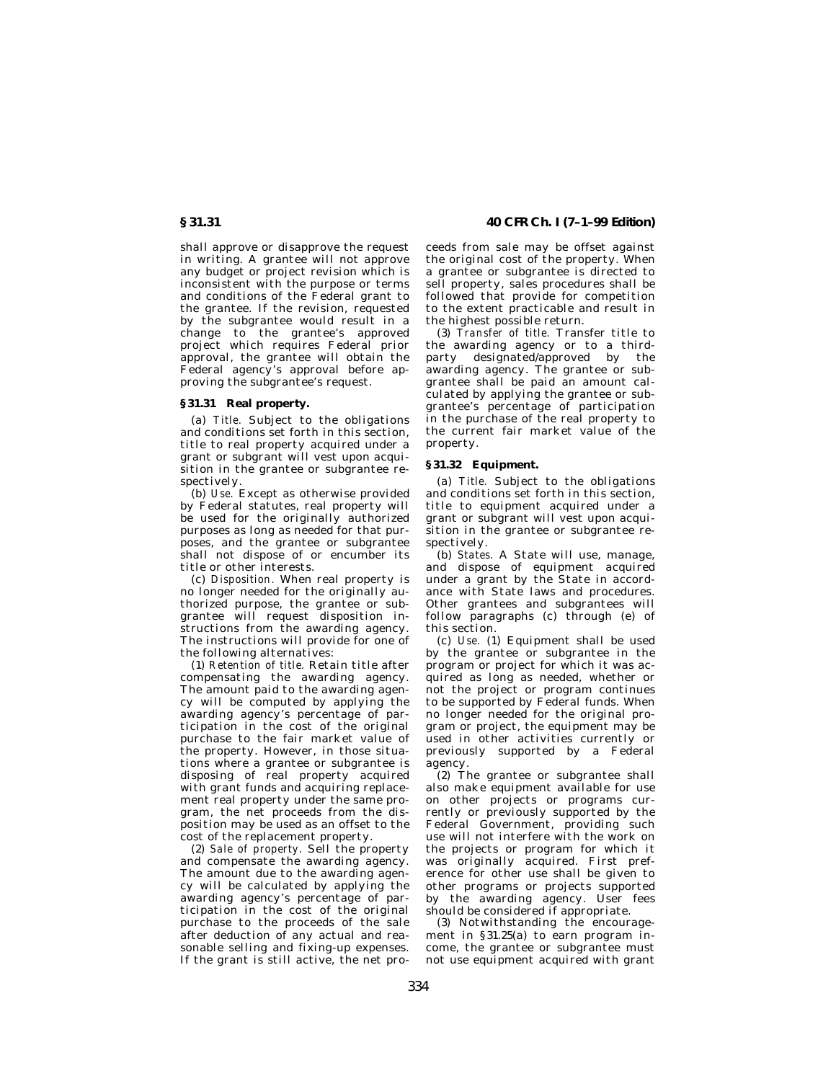**§ 31.31 40 CFR Ch. I (7–1–99 Edition)**

shall approve or disapprove the request in writing. A grantee will not approve any budget or project revision which is inconsistent with the purpose or terms and conditions of the Federal grant to the grantee. If the revision, requested by the subgrantee would result in a change to the grantee's approved project which requires Federal prior approval, the grantee will obtain the Federal agency's approval before approving the subgrantee's request.

# **§ 31.31 Real property.**

(a) *Title.* Subject to the obligations and conditions set forth in this section, title to real property acquired under a grant or subgrant will vest upon acquisition in the grantee or subgrantee respectively.

(b) *Use.* Except as otherwise provided by Federal statutes, real property will be used for the originally authorized purposes as long as needed for that purposes, and the grantee or subgrantee shall not dispose of or encumber its title or other interests.

(c) *Disposition.* When real property is no longer needed for the originally authorized purpose, the grantee or subgrantee will request disposition instructions from the awarding agency. The instructions will provide for one of the following alternatives:

(1) *Retention of title.* Retain title after compensating the awarding agency. The amount paid to the awarding agency will be computed by applying the awarding agency's percentage of participation in the cost of the original purchase to the fair market value of the property. However, in those situations where a grantee or subgrantee is disposing of real property acquired with grant funds and acquiring replacement real property under the same program, the net proceeds from the disposition may be used as an offset to the cost of the replacement property.

(2) *Sale of property.* Sell the property and compensate the awarding agency. The amount due to the awarding agency will be calculated by applying the awarding agency's percentage of participation in the cost of the original purchase to the proceeds of the sale after deduction of any actual and reasonable selling and fixing-up expenses. If the grant is still active, the net pro-

ceeds from sale may be offset against the original cost of the property. When a grantee or subgrantee is directed to sell property, sales procedures shall be followed that provide for competition to the extent practicable and result in the highest possible return.

(3) *Transfer of title.* Transfer title to the awarding agency or to a thirdparty designated/approved by the awarding agency. The grantee or subgrantee shall be paid an amount calculated by applying the grantee or subgrantee's percentage of participation in the purchase of the real property to the current fair market value of the property.

# **§ 31.32 Equipment.**

(a) *Title.* Subject to the obligations and conditions set forth in this section, title to equipment acquired under a grant or subgrant will vest upon acquisition in the grantee or subgrantee respectively.

(b) *States.* A State will use, manage, and dispose of equipment acquired under a grant by the State in accordance with State laws and procedures. Other grantees and subgrantees will follow paragraphs (c) through (e) of this section.

(c) *Use.* (1) Equipment shall be used by the grantee or subgrantee in the program or project for which it was acquired as long as needed, whether or not the project or program continues to be supported by Federal funds. When no longer needed for the original program or project, the equipment may be used in other activities currently or previously supported by a Federal agency.

(2) The grantee or subgrantee shall also make equipment available for use on other projects or programs currently or previously supported by the Federal Government, providing such use will not interfere with the work on the projects or program for which it was originally acquired. First preference for other use shall be given to other programs or projects supported by the awarding agency. User fees should be considered if appropriate.

(3) Notwithstanding the encouragement in § 31.25(a) to earn program income, the grantee or subgrantee must not use equipment acquired with grant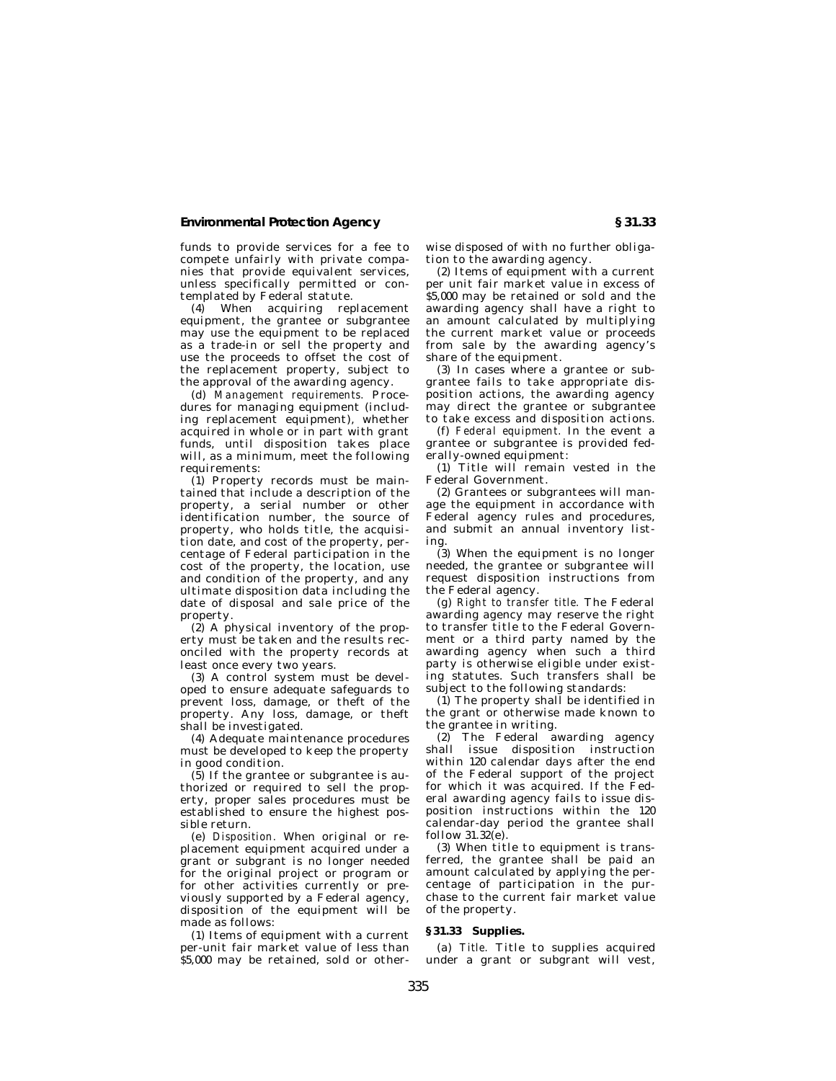funds to provide services for a fee to compete unfairly with private companies that provide equivalent services, unless specifically permitted or contemplated by Federal statute.

(4) When acquiring replacement equipment, the grantee or subgrantee may use the equipment to be replaced as a trade-in or sell the property and use the proceeds to offset the cost of the replacement property, subject to the approval of the awarding agency.

(d) *Management requirements.* Procedures for managing equipment (including replacement equipment), whether acquired in whole or in part with grant funds, until disposition takes place will, as a minimum, meet the following requirements:

(1) Property records must be maintained that include a description of the property, a serial number or other identification number, the source of property, who holds title, the acquisition date, and cost of the property, percentage of Federal participation in the cost of the property, the location, use and condition of the property, and any ultimate disposition data including the date of disposal and sale price of the property.

(2) A physical inventory of the property must be taken and the results reconciled with the property records at least once every two years.

(3) A control system must be developed to ensure adequate safeguards to prevent loss, damage, or theft of the property. Any loss, damage, or theft shall be investigated.

(4) Adequate maintenance procedures must be developed to keep the property in good condition.

(5) If the grantee or subgrantee is authorized or required to sell the property, proper sales procedures must be established to ensure the highest possible return.

(e) *Disposition.* When original or replacement equipment acquired under a grant or subgrant is no longer needed for the original project or program or for other activities currently or previously supported by a Federal agency, disposition of the equipment will be made as follows:

(1) Items of equipment with a current per-unit fair market value of less than \$5,000 may be retained, sold or otherwise disposed of with no further obligation to the awarding agency.

(2) Items of equipment with a current per unit fair market value in excess of \$5,000 may be retained or sold and the awarding agency shall have a right to an amount calculated by multiplying the current market value or proceeds from sale by the awarding agency's share of the equipment.

(3) In cases where a grantee or subgrantee fails to take appropriate disposition actions, the awarding agency may direct the grantee or subgrantee to take excess and disposition actions.

(f) *Federal equipment.* In the event a grantee or subgrantee is provided federally-owned equipment:

(1) Title will remain vested in the Federal Government.

(2) Grantees or subgrantees will manage the equipment in accordance with Federal agency rules and procedures, and submit an annual inventory listing.

(3) When the equipment is no longer needed, the grantee or subgrantee will request disposition instructions from the Federal agency.

(g) *Right to transfer title.* The Federal awarding agency may reserve the right to transfer title to the Federal Government or a third party named by the awarding agency when such a third party is otherwise eligible under existing statutes. Such transfers shall be subject to the following standards:

(1) The property shall be identified in the grant or otherwise made known to the grantee in writing.

(2) The Federal awarding agency shall issue disposition instruction within 120 calendar days after the end of the Federal support of the project for which it was acquired. If the Federal awarding agency fails to issue disposition instructions within the 120 calendar-day period the grantee shall follow  $31.32(e)$ .

(3) When title to equipment is transferred, the grantee shall be paid an amount calculated by applying the percentage of participation in the purchase to the current fair market value of the property.

# **§ 31.33 Supplies.**

(a) *Title.* Title to supplies acquired under a grant or subgrant will vest,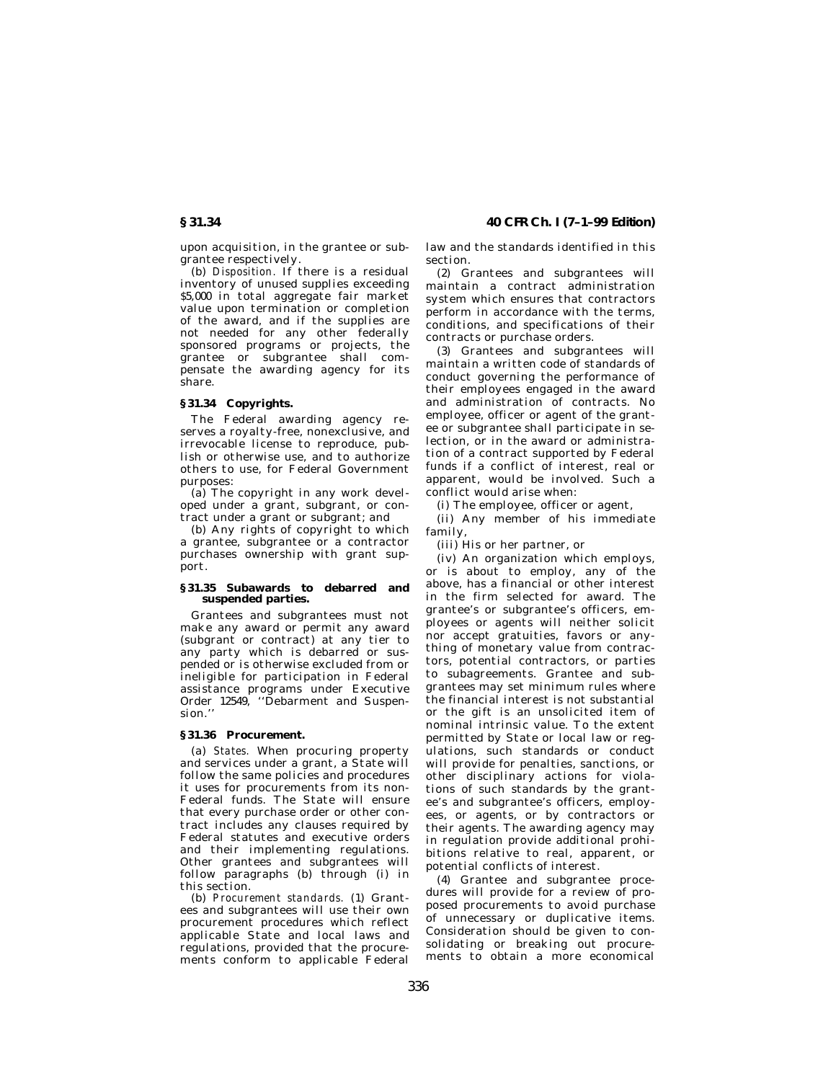# **§ 31.34 40 CFR Ch. I (7–1–99 Edition)**

upon acquisition, in the grantee or subgrantee respectively.

(b) *Disposition.* If there is a residual inventory of unused supplies exceeding \$5,000 in total aggregate fair market value upon termination or completion of the award, and if the supplies are not needed for any other federally sponsored programs or projects, the grantee or subgrantee shall compensate the awarding agency for its share.

### **§ 31.34 Copyrights.**

The Federal awarding agency reserves a royalty-free, nonexclusive, and irrevocable license to reproduce, publish or otherwise use, and to authorize others to use, for Federal Government purposes:

(a) The copyright in any work developed under a grant, subgrant, or contract under a grant or subgrant; and

(b) Any rights of copyright to which a grantee, subgrantee or a contractor purchases ownership with grant support.

#### **§ 31.35 Subawards to debarred and suspended parties.**

Grantees and subgrantees must not make any award or permit any award (subgrant or contract) at any tier to any party which is debarred or suspended or is otherwise excluded from or ineligible for participation in Federal assistance programs under Executive Order 12549, ''Debarment and Suspension.''

#### **§ 31.36 Procurement.**

(a) *States.* When procuring property and services under a grant, a State will follow the same policies and procedures it uses for procurements from its non-Federal funds. The State will ensure that every purchase order or other contract includes any clauses required by Federal statutes and executive orders and their implementing regulations. Other grantees and subgrantees will follow paragraphs (b) through (i) in this section.

(b) *Procurement standards.* (1) Grantees and subgrantees will use their own procurement procedures which reflect applicable State and local laws and regulations, provided that the procurements conform to applicable Federal law and the standards identified in this section.

(2) Grantees and subgrantees will maintain a contract administration system which ensures that contractors perform in accordance with the terms, conditions, and specifications of their contracts or purchase orders.

(3) Grantees and subgrantees will maintain a written code of standards of conduct governing the performance of their employees engaged in the award and administration of contracts. No employee, officer or agent of the grantee or subgrantee shall participate in selection, or in the award or administration of a contract supported by Federal funds if a conflict of interest, real or apparent, would be involved. Such a conflict would arise when:

(i) The employee, officer or agent,

(ii) Any member of his immediate family,

(iii) His or her partner, or

(iv) An organization which employs, or is about to employ, any of the above, has a financial or other interest in the firm selected for award. The grantee's or subgrantee's officers, employees or agents will neither solicit nor accept gratuities, favors or anything of monetary value from contractors, potential contractors, or parties to subagreements. Grantee and subgrantees may set minimum rules where the financial interest is not substantial or the gift is an unsolicited item of nominal intrinsic value. To the extent permitted by State or local law or regulations, such standards or conduct will provide for penalties, sanctions, or other disciplinary actions for violations of such standards by the grantee's and subgrantee's officers, employees, or agents, or by contractors or their agents. The awarding agency may in regulation provide additional prohibitions relative to real, apparent, or potential conflicts of interest.

(4) Grantee and subgrantee procedures will provide for a review of proposed procurements to avoid purchase of unnecessary or duplicative items. Consideration should be given to consolidating or breaking out procurements to obtain a more economical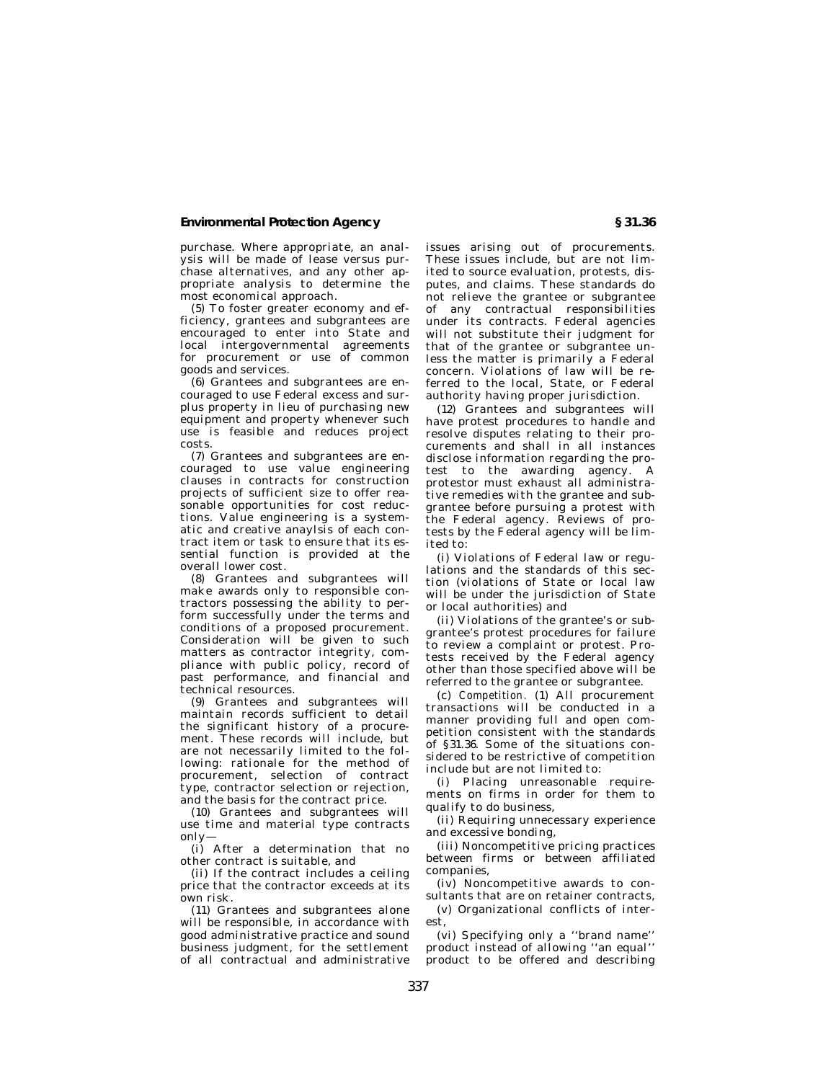purchase. Where appropriate, an analysis will be made of lease versus purchase alternatives, and any other appropriate analysis to determine the most economical approach.

(5) To foster greater economy and efficiency, grantees and subgrantees are encouraged to enter into State and local intergovernmental agreements for procurement or use of common goods and services.

(6) Grantees and subgrantees are encouraged to use Federal excess and surplus property in lieu of purchasing new equipment and property whenever such use is feasible and reduces project costs.

(7) Grantees and subgrantees are encouraged to use value engineering clauses in contracts for construction projects of sufficient size to offer reasonable opportunities for cost reductions. Value engineering is a systematic and creative anaylsis of each contract item or task to ensure that its essential function is provided at the overall lower cost.

(8) Grantees and subgrantees will make awards only to responsible contractors possessing the ability to perform successfully under the terms and conditions of a proposed procurement. Consideration will be given to such matters as contractor integrity, compliance with public policy, record of past performance, and financial and technical resources.

(9) Grantees and subgrantees will maintain records sufficient to detail the significant history of a procurement. These records will include, but are not necessarily limited to the following: rationale for the method of procurement, selection of contract type, contractor selection or rejection, and the basis for the contract price.

(10) Grantees and subgrantees will use time and material type contracts only—

(i) After a determination that no other contract is suitable, and

(ii) If the contract includes a ceiling price that the contractor exceeds at its own risk.

(11) Grantees and subgrantees alone will be responsible, in accordance with good administrative practice and sound business judgment, for the settlement of all contractual and administrative

issues arising out of procurements. These issues include, but are not limited to source evaluation, protests, disputes, and claims. These standards do not relieve the grantee or subgrantee of any contractual responsibilities under its contracts. Federal agencies will not substitute their judgment for that of the grantee or subgrantee unless the matter is primarily a Federal concern. Violations of law will be referred to the local, State, or Federal authority having proper jurisdiction.

(12) Grantees and subgrantees will have protest procedures to handle and resolve disputes relating to their procurements and shall in all instances disclose information regarding the protest to the awarding agency. A protestor must exhaust all administrative remedies with the grantee and subgrantee before pursuing a protest with the Federal agency. Reviews of protests by the Federal agency will be limited to:

(i) Violations of Federal law or regulations and the standards of this section (violations of State or local law will be under the jurisdiction of State or local authorities) and

(ii) Violations of the grantee's or subgrantee's protest procedures for failure to review a complaint or protest. Protests received by the Federal agency other than those specified above will be referred to the grantee or subgrantee.

(c) *Competition.* (1) All procurement transactions will be conducted in a manner providing full and open competition consistent with the standards of § 31.36. Some of the situations considered to be restrictive of competition include but are not limited to:

(i) Placing unreasonable requirements on firms in order for them to qualify to do business,

(ii) Requiring unnecessary experience and excessive bonding,

(iii) Noncompetitive pricing practices between firms or between affiliated companies,

(iv) Noncompetitive awards to consultants that are on retainer contracts,

(v) Organizational conflicts of interest,

(vi) Specifying only a ''brand name'' product instead of allowing ''an equal'' product to be offered and describing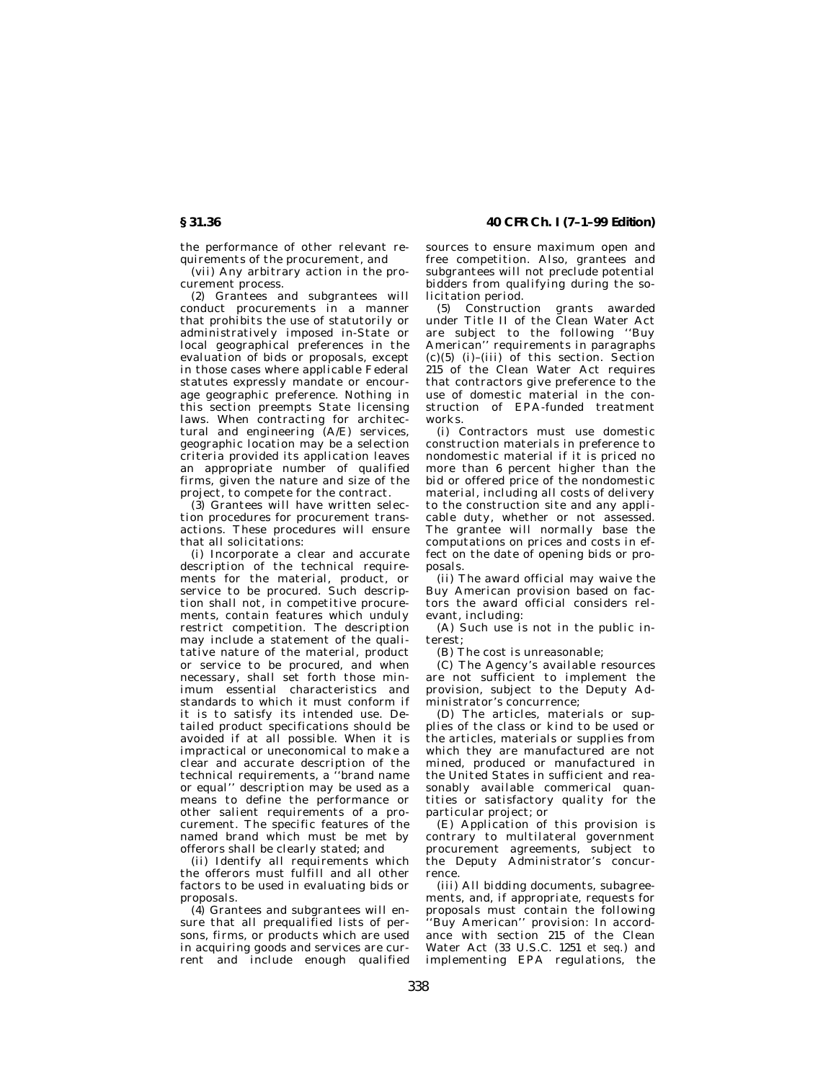the performance of other relevant requirements of the procurement, and

(vii) Any arbitrary action in the procurement process.

(2) Grantees and subgrantees will conduct procurements in a manner that prohibits the use of statutorily or administratively imposed in-State or local geographical preferences in the evaluation of bids or proposals, except in those cases where applicable Federal statutes expressly mandate or encourage geographic preference. Nothing in this section preempts State licensing laws. When contracting for architectural and engineering (A/E) services, geographic location may be a selection criteria provided its application leaves an appropriate number of qualified firms, given the nature and size of the project, to compete for the contract.

(3) Grantees will have written selection procedures for procurement transactions. These procedures will ensure that all solicitations:

(i) Incorporate a clear and accurate description of the technical requirements for the material, product, or service to be procured. Such description shall not, in competitive procurements, contain features which unduly restrict competition. The description may include a statement of the qualitative nature of the material, product or service to be procured, and when necessary, shall set forth those minimum essential characteristics and standards to which it must conform if it is to satisfy its intended use. Detailed product specifications should be avoided if at all possible. When it is impractical or uneconomical to make a clear and accurate description of the technical requirements, a ''brand name or equal'' description may be used as a means to define the performance or other salient requirements of a procurement. The specific features of the named brand which must be met by offerors shall be clearly stated; and

(ii) Identify all requirements which the offerors must fulfill and all other factors to be used in evaluating bids or proposals.

(4) Grantees and subgrantees will ensure that all prequalified lists of persons, firms, or products which are used in acquiring goods and services are current and include enough qualified sources to ensure maximum open and free competition. Also, grantees and subgrantees will not preclude potential bidders from qualifying during the solicitation period.

(5) Construction grants awarded under Title II of the Clean Water Act are subject to the following ''Buy American'' requirements in paragraphs  $(c)(5)$  (i)–(iii) of this section. Section 215 of the Clean Water Act requires that contractors give preference to the use of domestic material in the construction of EPA-funded treatment works.

(i) Contractors must use domestic construction materials in preference to nondomestic material if it is priced no more than 6 percent higher than the bid or offered price of the nondomestic material, including all costs of delivery to the construction site and any applicable duty, whether or not assessed. The grantee will normally base the computations on prices and costs in effect on the date of opening bids or proposals.

(ii) The award official may waive the Buy American provision based on factors the award official considers relevant, including:

(A) Such use is not in the public interest;

(B) The cost is unreasonable;

(C) The Agency's available resources are not sufficient to implement the provision, subject to the Deputy Administrator's concurrence;

(D) The articles, materials or supplies of the class or kind to be used or the articles, materials or supplies from which they are manufactured are not mined, produced or manufactured in the United States in sufficient and reasonably available commerical quantities or satisfactory quality for the particular project; or

(E) Application of this provision is contrary to multilateral government procurement agreements, subject to the Deputy Administrator's concurrence.

(iii) All bidding documents, subagreements, and, if appropriate, requests for proposals must contain the following 'Buy American'' provision: In accordance with section 215 of the Clean Water Act (33 U.S.C. 1251 *et seq.*) and implementing EPA regulations, the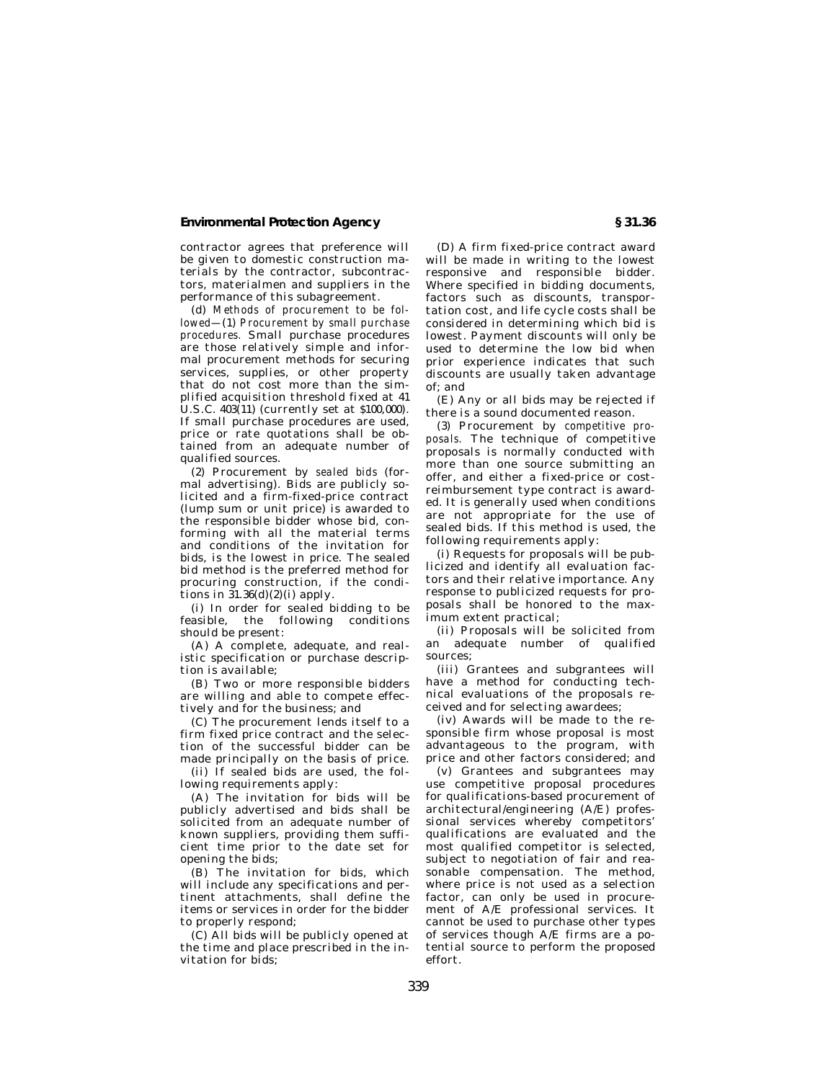contractor agrees that preference will be given to domestic construction materials by the contractor, subcontractors, materialmen and suppliers in the performance of this subagreement.

(d) *Methods of procurement to be followed—*(1) *Procurement by small purchase procedures.* Small purchase procedures are those relatively simple and informal procurement methods for securing services, supplies, or other property that do not cost more than the simplified acquisition threshold fixed at 41 U.S.C. 403(11) (currently set at \$100,000). If small purchase procedures are used, price or rate quotations shall be obtained from an adequate number of qualified sources.

(2) Procurement by *sealed bids* (formal advertising). Bids are publicly solicited and a firm-fixed-price contract (lump sum or unit price) is awarded to the responsible bidder whose bid, conforming with all the material terms and conditions of the invitation for bids, is the lowest in price. The sealed bid method is the preferred method for procuring construction, if the conditions in  $31.36(d)(2)(i)$  apply.

(i) In order for sealed bidding to be feasible, the following conditions should be present:

(A) A complete, adequate, and realistic specification or purchase description is available;

(B) Two or more responsible bidders are willing and able to compete effectively and for the business; and

(C) The procurement lends itself to a firm fixed price contract and the selection of the successful bidder can be made principally on the basis of price.

(ii) If sealed bids are used, the following requirements apply:

(A) The invitation for bids will be publicly advertised and bids shall be solicited from an adequate number of known suppliers, providing them sufficient time prior to the date set for opening the bids;

(B) The invitation for bids, which will include any specifications and pertinent attachments, shall define the items or services in order for the bidder to properly respond;

(C) All bids will be publicly opened at the time and place prescribed in the invitation for bids;

(D) A firm fixed-price contract award will be made in writing to the lowest responsive and responsible bidder. Where specified in bidding documents, factors such as discounts, transportation cost, and life cycle costs shall be considered in determining which bid is lowest. Payment discounts will only be used to determine the low bid when prior experience indicates that such discounts are usually taken advantage of; and

(E) Any or all bids may be rejected if there is a sound documented reason.

(3) Procurement by *competitive proposals.* The technique of competitive proposals is normally conducted with more than one source submitting an offer, and either a fixed-price or costreimbursement type contract is awarded. It is generally used when conditions are not appropriate for the use of sealed bids. If this method is used, the following requirements apply:

(i) Requests for proposals will be publicized and identify all evaluation factors and their relative importance. Any response to publicized requests for proposals shall be honored to the maximum extent practical;

(ii) Proposals will be solicited from an adequate number of qualified sources;

(iii) Grantees and subgrantees will have a method for conducting technical evaluations of the proposals received and for selecting awardees;

(iv) Awards will be made to the responsible firm whose proposal is most advantageous to the program, with price and other factors considered; and

(v) Grantees and subgrantees may use competitive proposal procedures for qualifications-based procurement of architectural/engineering (A/E) professional services whereby competitors' qualifications are evaluated and the most qualified competitor is selected, subject to negotiation of fair and reasonable compensation. The method, where price is not used as a selection factor, can only be used in procurement of A/E professional services. It cannot be used to purchase other types of services though A/E firms are a potential source to perform the proposed effort.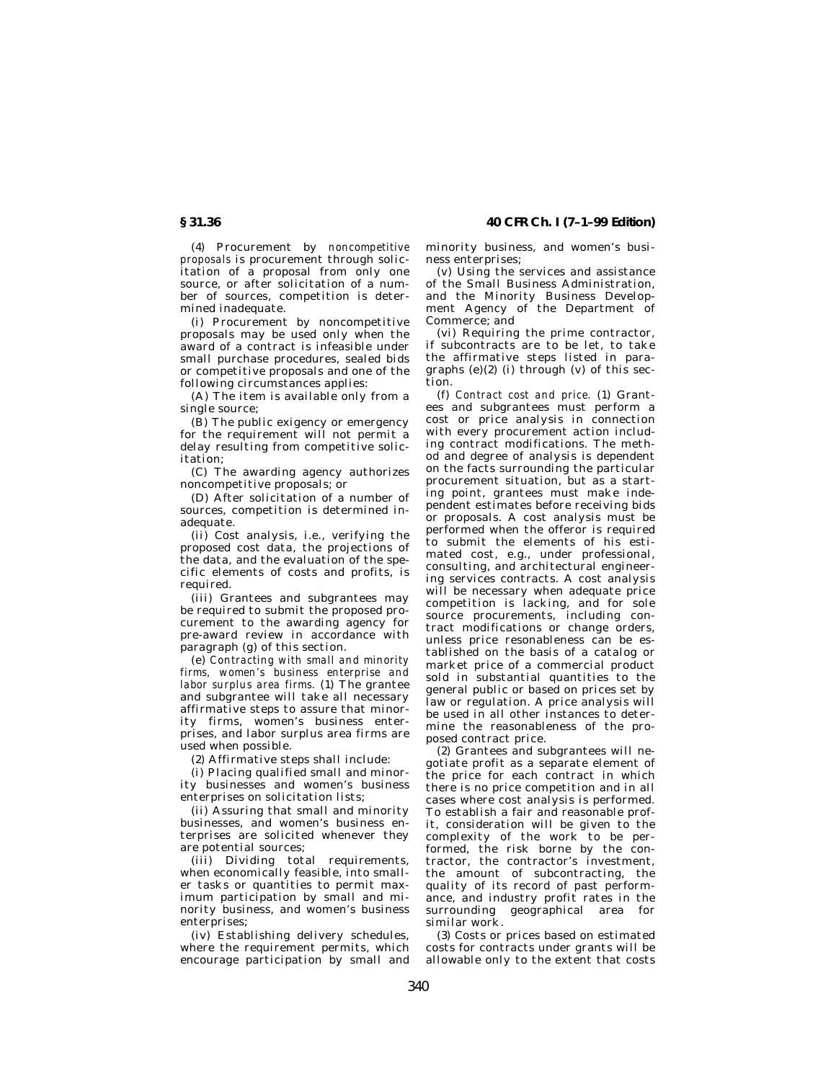# **§ 31.36 40 CFR Ch. I (7–1–99 Edition)**

(4) Procurement by *noncompetitive proposals* is procurement through solicitation of a proposal from only one source, or after solicitation of a number of sources, competition is determined inadequate.

(i) Procurement by noncompetitive proposals may be used only when the award of a contract is infeasible under small purchase procedures, sealed bids or competitive proposals and one of the following circumstances applies:

(A) The item is available only from a single source;

(B) The public exigency or emergency for the requirement will not permit a delay resulting from competitive solicitation;

(C) The awarding agency authorizes noncompetitive proposals; or

(D) After solicitation of a number of sources, competition is determined inadequate.

(ii) Cost analysis, i.e., verifying the proposed cost data, the projections of the data, and the evaluation of the specific elements of costs and profits, is required.

(iii) Grantees and subgrantees may be required to submit the proposed procurement to the awarding agency for pre-award review in accordance with paragraph (g) of this section.

(e) *Contracting with small and minority firms, women's business enterprise and labor surplus area firms.* (1) The grantee and subgrantee will take all necessary affirmative steps to assure that minority firms, women's business enterprises, and labor surplus area firms are used when possible.

(2) Affirmative steps shall include:

(i) Placing qualified small and minority businesses and women's business enterprises on solicitation lists;

(ii) Assuring that small and minority businesses, and women's business enterprises are solicited whenever they are potential sources;

(iii) Dividing total requirements, when economically feasible, into smaller tasks or quantities to permit maximum participation by small and minority business, and women's business enterprises;

(iv) Establishing delivery schedules, where the requirement permits, which encourage participation by small and minority business, and women's business enterprises;

(v) Using the services and assistance of the Small Business Administration, and the Minority Business Development Agency of the Department of Commerce; and

(vi) Requiring the prime contractor, if subcontracts are to be let, to take the affirmative steps listed in paragraphs  $(e)(2)$  (i) through  $(v)$  of this section.

(f) *Contract cost and price.* (1) Grantees and subgrantees must perform a cost or price analysis in connection with every procurement action including contract modifications. The method and degree of analysis is dependent on the facts surrounding the particular procurement situation, but as a starting point, grantees must make independent estimates before receiving bids or proposals. A cost analysis must be performed when the offeror is required to submit the elements of his estimated cost, e.g., under professional, consulting, and architectural engineering services contracts. A cost analysis will be necessary when adequate price competition is lacking, and for sole source procurements, including contract modifications or change orders, unless price resonableness can be established on the basis of a catalog or market price of a commercial product sold in substantial quantities to the general public or based on prices set by law or regulation. A price analysis will be used in all other instances to determine the reasonableness of the proposed contract price.

(2) Grantees and subgrantees will negotiate profit as a separate element of the price for each contract in which there is no price competition and in all cases where cost analysis is performed. To establish a fair and reasonable profit, consideration will be given to the complexity of the work to be performed, the risk borne by the contractor, the contractor's investment, the amount of subcontracting, the quality of its record of past performance, and industry profit rates in the surrounding geographical area for similar work.

(3) Costs or prices based on estimated costs for contracts under grants will be allowable only to the extent that costs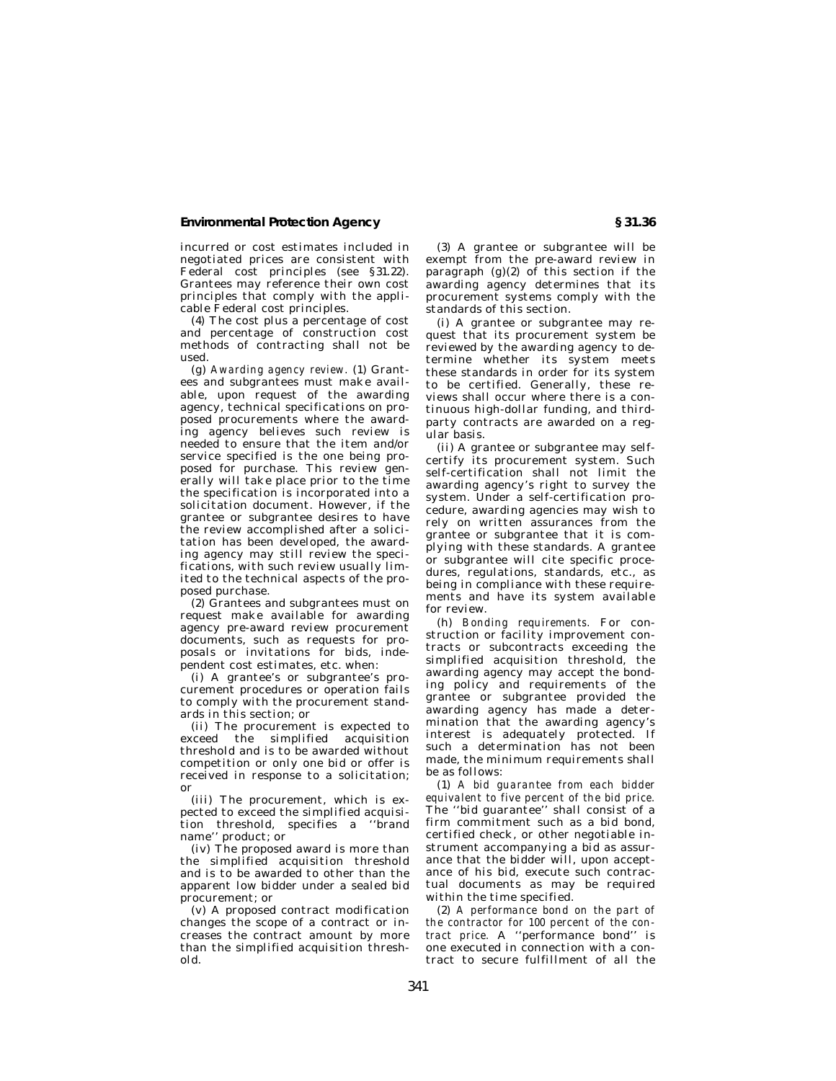incurred or cost estimates included in negotiated prices are consistent with Federal cost principles (see § 31.22). Grantees may reference their own cost principles that comply with the applicable Federal cost principles.

(4) The cost plus a percentage of cost and percentage of construction cost methods of contracting shall not be used.

(g) *Awarding agency review.* (1) Grantees and subgrantees must make available, upon request of the awarding agency, technical specifications on proposed procurements where the awarding agency believes such review is needed to ensure that the item and/or service specified is the one being proposed for purchase. This review generally will take place prior to the time the specification is incorporated into a solicitation document. However, if the grantee or subgrantee desires to have the review accomplished after a solicitation has been developed, the awarding agency may still review the specifications, with such review usually limited to the technical aspects of the proposed purchase.

(2) Grantees and subgrantees must on request make available for awarding agency pre-award review procurement documents, such as requests for proposals or invitations for bids, independent cost estimates, etc. when:

(i) A grantee's or subgrantee's procurement procedures or operation fails to comply with the procurement standards in this section; or

(ii) The procurement is expected to exceed the simplified acquisition threshold and is to be awarded without competition or only one bid or offer is received in response to a solicitation; or

(iii) The procurement, which is expected to exceed the simplified acquisition threshold, specifies a ''brand name'' product; or

(iv) The proposed award is more than the simplified acquisition threshold and is to be awarded to other than the apparent low bidder under a sealed bid procurement; or

(v) A proposed contract modification changes the scope of a contract or increases the contract amount by more than the simplified acquisition threshold.

(3) A grantee or subgrantee will be exempt from the pre-award review in paragraph  $(g)(2)$  of this section if the awarding agency determines that its procurement systems comply with the standards of this section.

(i) A grantee or subgrantee may request that its procurement system be reviewed by the awarding agency to determine whether its system meets these standards in order for its system to be certified. Generally, these reviews shall occur where there is a continuous high-dollar funding, and thirdparty contracts are awarded on a regular basis.

(ii) A grantee or subgrantee may selfcertify its procurement system. Such self-certification shall not limit the awarding agency's right to survey the system. Under a self-certification procedure, awarding agencies may wish to rely on written assurances from the grantee or subgrantee that it is complying with these standards. A grantee or subgrantee will cite specific procedures, regulations, standards, etc., as being in compliance with these requirements and have its system available for review.

(h) *Bonding requirements.* For construction or facility improvement contracts or subcontracts exceeding the simplified acquisition threshold, the awarding agency may accept the bonding policy and requirements of the grantee or subgrantee provided the awarding agency has made a determination that the awarding agency's interest is adequately protected. If such a determination has not been made, the minimum requirements shall be as follows:

(1) *A bid guarantee from each bidder equivalent to five percent of the bid price.* The ''bid guarantee'' shall consist of a firm commitment such as a bid bond, certified check, or other negotiable instrument accompanying a bid as assurance that the bidder will, upon acceptance of his bid, execute such contractual documents as may be required within the time specified.

(2) *A performance bond on the part of the contractor for 100 percent of the contract price.* A ''performance bond'' is one executed in connection with a contract to secure fulfillment of all the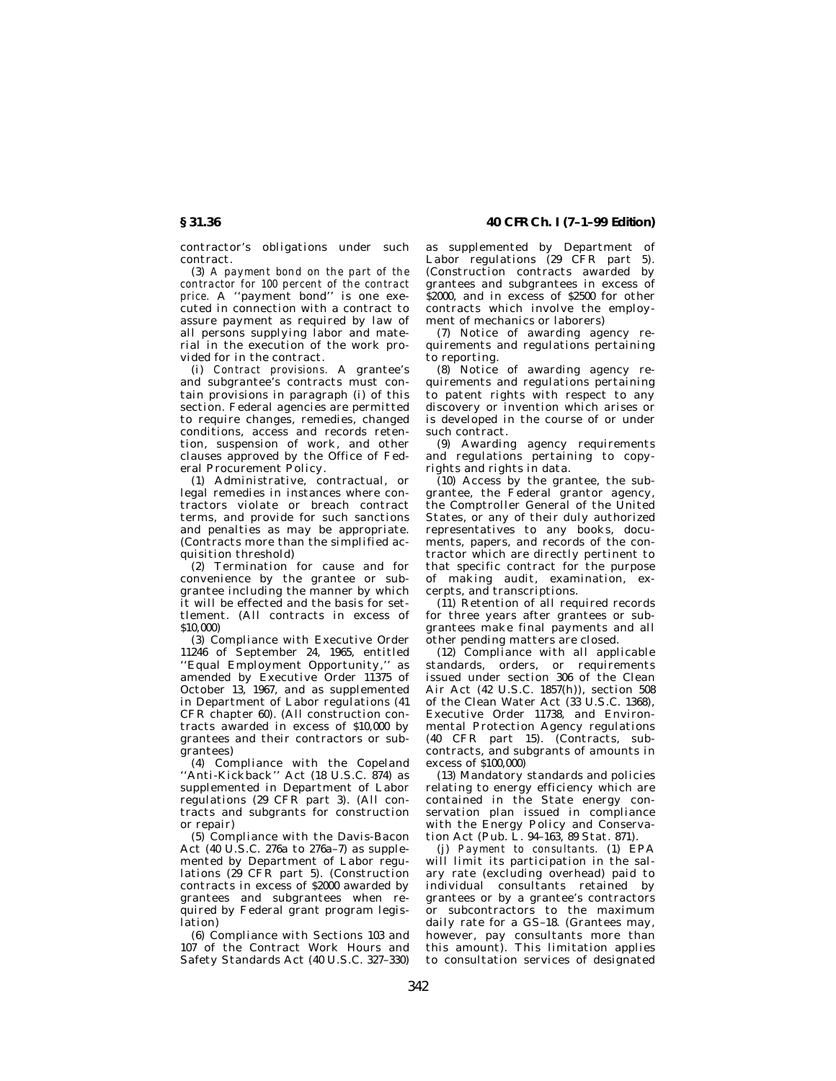**§ 31.36 40 CFR Ch. I (7–1–99 Edition)**

contractor's obligations under such contract.

(3) *A payment bond on the part of the contractor for 100 percent of the contract price.* A ''payment bond'' is one executed in connection with a contract to assure payment as required by law of all persons supplying labor and material in the execution of the work provided for in the contract.

(i) *Contract provisions.* A grantee's and subgrantee's contracts must contain provisions in paragraph (i) of this section. Federal agencies are permitted to require changes, remedies, changed conditions, access and records retention, suspension of work, and other clauses approved by the Office of Federal Procurement Policy.

(1) Administrative, contractual, or legal remedies in instances where contractors violate or breach contract terms, and provide for such sanctions and penalties as may be appropriate. (Contracts more than the simplified acquisition threshold)

(2) Termination for cause and for convenience by the grantee or subgrantee including the manner by which it will be effected and the basis for settlement. (All contracts in excess of \$10,000)

(3) Compliance with Executive Order 11246 of September 24, 1965, entitled ''Equal Employment Opportunity,'' as amended by Executive Order 11375 of October 13, 1967, and as supplemented in Department of Labor regulations (41 CFR chapter 60). (All construction contracts awarded in excess of \$10,000 by grantees and their contractors or subgrantees)

(4) Compliance with the Copeland ''Anti-Kickback'' Act (18 U.S.C. 874) as supplemented in Department of Labor regulations (29 CFR part 3). (All contracts and subgrants for construction or repair)

(5) Compliance with the Davis-Bacon Act (40 U.S.C. 276a to 276a–7) as supplemented by Department of Labor regulations (29 CFR part 5). (Construction contracts in excess of \$2000 awarded by grantees and subgrantees when required by Federal grant program legislation)

(6) Compliance with Sections 103 and 107 of the Contract Work Hours and Safety Standards Act (40 U.S.C. 327–330) as supplemented by Department of Labor regulations  $(29 \tCFR part 5)$ . (Construction contracts awarded by grantees and subgrantees in excess of \$2000, and in excess of \$2500 for other contracts which involve the employment of mechanics or laborers)

(7) Notice of awarding agency requirements and regulations pertaining to reporting.

(8) Notice of awarding agency requirements and regulations pertaining to patent rights with respect to any discovery or invention which arises or is developed in the course of or under such contract.

(9) Awarding agency requirements and regulations pertaining to copyrights and rights in data.

(10) Access by the grantee, the subgrantee, the Federal grantor agency, the Comptroller General of the United States, or any of their duly authorized representatives to any books, documents, papers, and records of the contractor which are directly pertinent to that specific contract for the purpose of making audit, examination, excerpts, and transcriptions.

(11) Retention of all required records for three years after grantees or subgrantees make final payments and all other pending matters are closed.

(12) Compliance with all applicable standards, orders, or requirements issued under section 306 of the Clean Air Act (42 U.S.C. 1857(h)), section 508 of the Clean Water Act (33 U.S.C. 1368), Executive Order 11738, and Environmental Protection Agency regulations (40 CFR part 15). (Contracts, subcontracts, and subgrants of amounts in excess of \$100,000)

(13) Mandatory standards and policies relating to energy efficiency which are contained in the State energy conservation plan issued in compliance with the Energy Policy and Conservation Act (Pub. L. 94–163, 89 Stat. 871).

(j) *Payment to consultants.* (1) EPA will limit its participation in the salary rate (excluding overhead) paid to individual consultants retained by grantees or by a grantee's contractors or subcontractors to the maximum daily rate for a GS–18. (Grantees may, however, pay consultants more than this amount). This limitation applies to consultation services of designated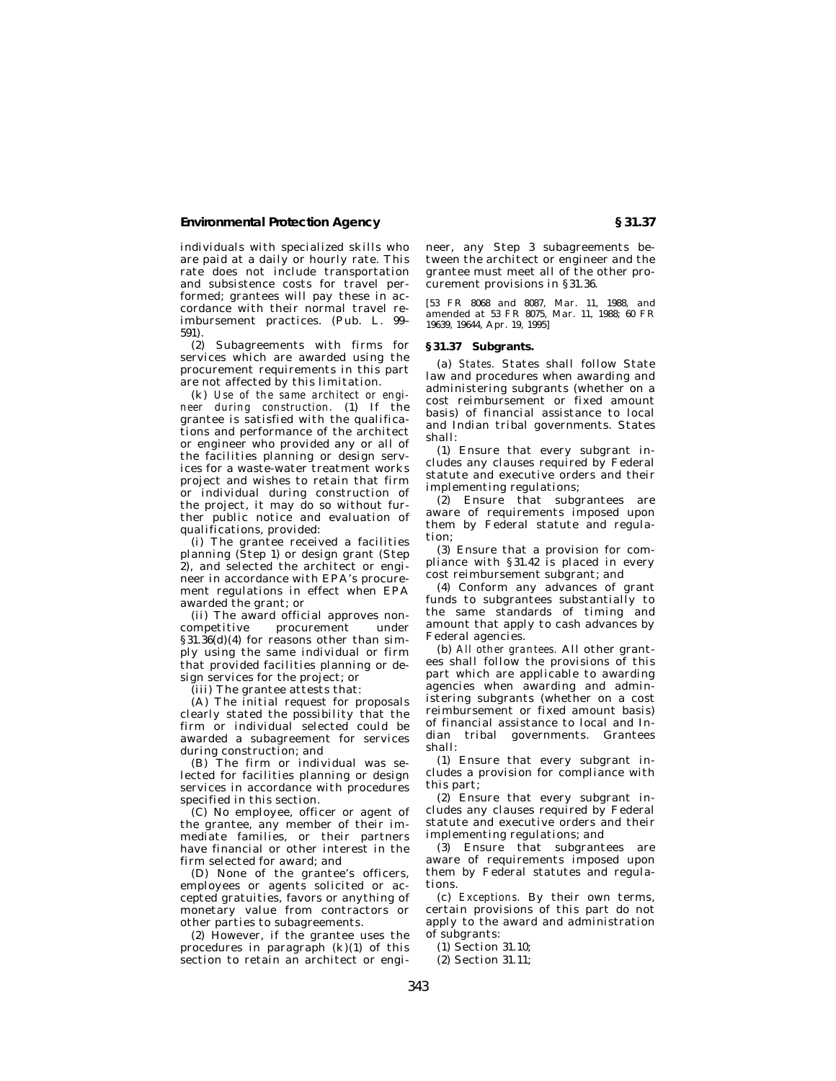individuals with specialized skills who are paid at a daily or hourly rate. This rate does not include transportation and subsistence costs for travel performed; grantees will pay these in accordance with their normal travel reimbursement practices. (Pub. L. 99– 591).

(2) Subagreements with firms for services which are awarded using the procurement requirements in this part are not affected by this limitation.

(k) *Use of the same architect or engineer during construction.* (1) If the grantee is satisfied with the qualifications and performance of the architect or engineer who provided any or all of the facilities planning or design services for a waste-water treatment works project and wishes to retain that firm or individual during construction of the project, it may do so without further public notice and evaluation of qualifications, provided:

(i) The grantee received a facilities planning (Step 1) or design grant (Step 2), and selected the architect or engineer in accordance with EPA's procurement regulations in effect when EPA awarded the grant; or

(ii) The award official approves non-<br>competitive procurement under procurement § 31.36(d)(4) for reasons other than simply using the same individual or firm that provided facilities planning or design services for the project; or

(iii) The grantee attests that:

(A) The initial request for proposals clearly stated the possibility that the firm or individual selected could be awarded a subagreement for services during construction; and

(B) The firm or individual was selected for facilities planning or design services in accordance with procedures specified in this section.

(C) No employee, officer or agent of the grantee, any member of their immediate families, or their partners have financial or other interest in the firm selected for award; and

(D) None of the grantee's officers, employees or agents solicited or accepted gratuities, favors or anything of monetary value from contractors or other parties to subagreements.

(2) However, if the grantee uses the procedures in paragraph (k)(1) of this section to retain an architect or engineer, any Step 3 subagreements between the architect or engineer and the grantee must meet all of the other procurement provisions in §31.36.

[53 FR 8068 and 8087, Mar. 11, 1988, and amended at 53 FR 8075, Mar. 11, 1988; 60 FR 19639, 19644, Apr. 19, 1995]

#### **§ 31.37 Subgrants.**

(a) *States.* States shall follow State law and procedures when awarding and administering subgrants (whether on a cost reimbursement or fixed amount basis) of financial assistance to local and Indian tribal governments. States shall:

(1) Ensure that every subgrant includes any clauses required by Federal statute and executive orders and their implementing regulations;

(2) Ensure that subgrantees are aware of requirements imposed upon them by Federal statute and regulation;

(3) Ensure that a provision for compliance with § 31.42 is placed in every cost reimbursement subgrant; and

(4) Conform any advances of grant funds to subgrantees substantially to the same standards of timing and amount that apply to cash advances by Federal agencies.

(b) *All other grantees.* All other grantees shall follow the provisions of this part which are applicable to awarding agencies when awarding and administering subgrants (whether on a cost reimbursement or fixed amount basis) of financial assistance to local and Indian tribal governments. Grantees shall:

(1) Ensure that every subgrant includes a provision for compliance with this part;

(2) Ensure that every subgrant includes any clauses required by Federal statute and executive orders and their implementing regulations; and

(3) Ensure that subgrantees are aware of requirements imposed upon them by Federal statutes and regulations.

(c) *Exceptions.* By their own terms, certain provisions of this part do not apply to the award and administration of subgrants:

(1) Section 31.10;

(2) Section 31.11;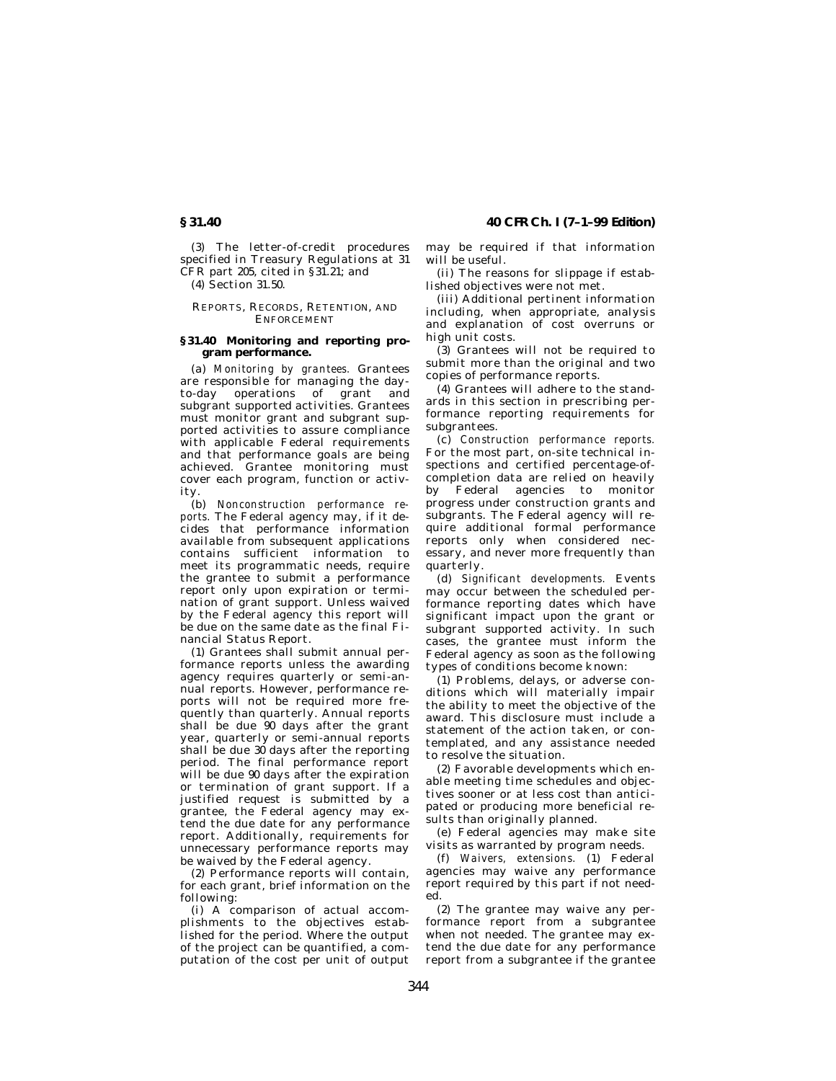(3) The letter-of-credit procedures specified in Treasury Regulations at 31 CFR part 205, cited in §31.21; and

(4) Section 31.50.

REPORTS, RECORDS, RETENTION, AND ENFORCEMENT

#### **§ 31.40 Monitoring and reporting program performance.**

(a) *Monitoring by grantees.* Grantees are responsible for managing the dayto-day operations of grant and subgrant supported activities. Grantees must monitor grant and subgrant supported activities to assure compliance with applicable Federal requirements and that performance goals are being achieved. Grantee monitoring must cover each program, function or activity.

(b) *Nonconstruction performance reports.* The Federal agency may, if it decides that performance information available from subsequent applications contains sufficient information to meet its programmatic needs, require the grantee to submit a performance report only upon expiration or termination of grant support. Unless waived by the Federal agency this report will be due on the same date as the final Financial Status Report.

(1) Grantees shall submit annual performance reports unless the awarding agency requires quarterly or semi-annual reports. However, performance reports will not be required more frequently than quarterly. Annual reports shall be due 90 days after the grant year, quarterly or semi-annual reports shall be due 30 days after the reporting period. The final performance report will be due 90 days after the expiration or termination of grant support. If a justified request is submitted by a grantee, the Federal agency may extend the due date for any performance report. Additionally, requirements for unnecessary performance reports may be waived by the Federal agency.

(2) Performance reports will contain, for each grant, brief information on the following:

(i) A comparison of actual accomplishments to the objectives established for the period. Where the output of the project can be quantified, a computation of the cost per unit of output may be required if that information will be useful.

(ii) The reasons for slippage if established objectives were not met.

(iii) Additional pertinent information including, when appropriate, analysis and explanation of cost overruns or high unit costs.

(3) Grantees will not be required to submit more than the original and two copies of performance reports.

(4) Grantees will adhere to the standards in this section in prescribing performance reporting requirements for subgrantees.

(c) *Construction performance reports.* For the most part, on-site technical inspections and certified percentage-ofcompletion data are relied on heavily by Federal agencies to monitor progress under construction grants and subgrants. The Federal agency will require additional formal performance reports only when considered necessary, and never more frequently than quarterly.

(d) *Significant developments.* Events may occur between the scheduled performance reporting dates which have significant impact upon the grant or subgrant supported activity. In such cases, the grantee must inform the Federal agency as soon as the following types of conditions become known:

(1) Problems, delays, or adverse conditions which will materially impair the ability to meet the objective of the award. This disclosure must include a statement of the action taken, or contemplated, and any assistance needed to resolve the situation.

(2) Favorable developments which enable meeting time schedules and objectives sooner or at less cost than anticipated or producing more beneficial results than originally planned.

(e) Federal agencies may make site visits as warranted by program needs.

(f) *Waivers, extensions.* (1) Federal agencies may waive any performance report required by this part if not needed.

(2) The grantee may waive any performance report from a subgrantee when not needed. The grantee may extend the due date for any performance report from a subgrantee if the grantee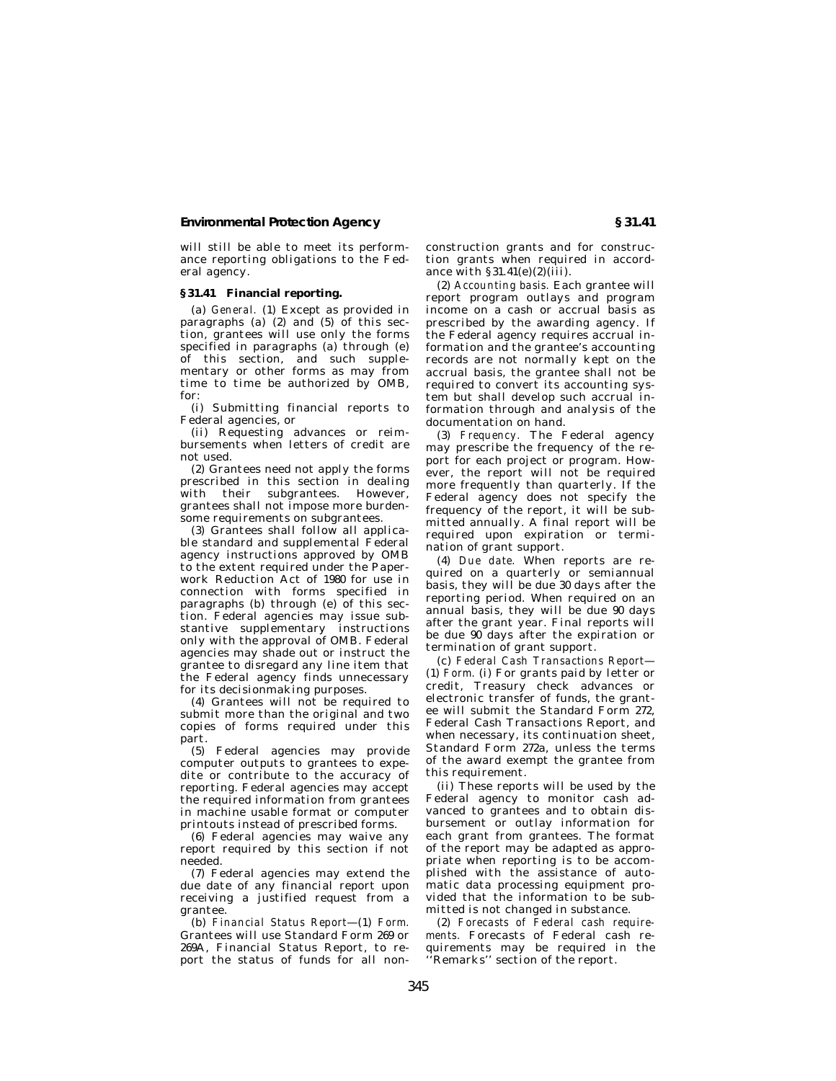will still be able to meet its performance reporting obligations to the Federal agency.

#### **§ 31.41 Financial reporting.**

(a) *General.* (1) Except as provided in paragraphs (a)  $(2)$  and  $(5)$  of this section, grantees will use only the forms specified in paragraphs (a) through (e) of this section, and such supplementary or other forms as may from time to time be authorized by OMB, for:

(i) Submitting financial reports to Federal agencies, or

(ii) Requesting advances or reimbursements when letters of credit are not used.

(2) Grantees need not apply the forms prescribed in this section in dealing with their subgrantees. However, grantees shall not impose more burdensome requirements on subgrantees.

(3) Grantees shall follow all applicable standard and supplemental Federal agency instructions approved by OMB to the extent required under the Paperwork Reduction Act of 1980 for use in connection with forms specified in paragraphs (b) through (e) of this section. Federal agencies may issue substantive supplementary instructions only with the approval of OMB. Federal agencies may shade out or instruct the grantee to disregard any line item that the Federal agency finds unnecessary for its decisionmaking purposes.

(4) Grantees will not be required to submit more than the original and two copies of forms required under this part.

(5) Federal agencies may provide computer outputs to grantees to expedite or contribute to the accuracy of reporting. Federal agencies may accept the required information from grantees in machine usable format or computer printouts instead of prescribed forms.

(6) Federal agencies may waive any report required by this section if not needed.

(7) Federal agencies may extend the due date of any financial report upon receiving a justified request from a grantee.

(b) *Financial Status Report*—(1) *Form.* Grantees will use Standard Form 269 or 269A, Financial Status Report, to report the status of funds for all nonconstruction grants and for construction grants when required in accordance with  $\S 31.41(e)(2)(iii)$ .

(2) *Accounting basis.* Each grantee will report program outlays and program income on a cash or accrual basis as prescribed by the awarding agency. If the Federal agency requires accrual information and the grantee's accounting records are not normally kept on the accrual basis, the grantee shall not be required to convert its accounting system but shall develop such accrual information through and analysis of the documentation on hand.

(3) *Frequency.* The Federal agency may prescribe the frequency of the report for each project or program. However, the report will not be required more frequently than quarterly. If the Federal agency does not specify the frequency of the report, it will be submitted annually. A final report will be required upon expiration or termination of grant support.

(4) *Due date.* When reports are required on a quarterly or semiannual basis, they will be due 30 days after the reporting period. When required on an annual basis, they will be due 90 days after the grant year. Final reports will be due 90 days after the expiration or termination of grant support.

(c) *Federal Cash Transactions Report*— (1) *Form.* (i) For grants paid by letter or credit, Treasury check advances or electronic transfer of funds, the grantee will submit the Standard Form 272, Federal Cash Transactions Report, and when necessary, its continuation sheet, Standard Form 272a, unless the terms of the award exempt the grantee from this requirement.

(ii) These reports will be used by the Federal agency to monitor cash advanced to grantees and to obtain disbursement or outlay information for each grant from grantees. The format of the report may be adapted as appropriate when reporting is to be accomplished with the assistance of automatic data processing equipment provided that the information to be submitted is not changed in substance.

(2) *Forecasts of Federal cash requirements.* Forecasts of Federal cash requirements may be required in the Remarks" section of the report.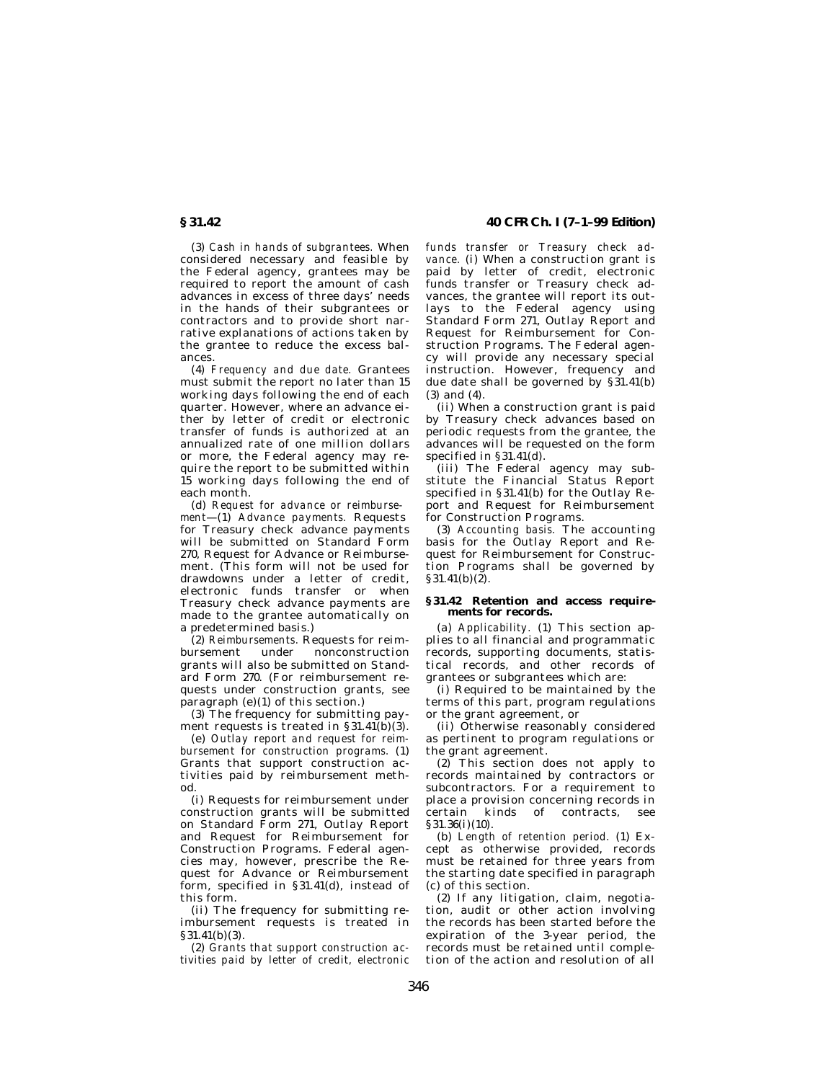(3) *Cash in hands of subgrantees.* When considered necessary and feasible by the Federal agency, grantees may be required to report the amount of cash advances in excess of three days' needs in the hands of their subgrantees or contractors and to provide short narrative explanations of actions taken by the grantee to reduce the excess balances.

(4) *Frequency and due date.* Grantees must submit the report no later than 15 working days following the end of each quarter. However, where an advance either by letter of credit or electronic transfer of funds is authorized at an annualized rate of one million dollars or more, the Federal agency may require the report to be submitted within 15 working days following the end of each month.

(d) *Request for advance or reimbursement*—(1) *Advance payments.* Requests for Treasury check advance payments will be submitted on Standard Form 270, Request for Advance or Reimbursement. (This form will not be used for drawdowns under a letter of credit, electronic funds transfer or when Treasury check advance payments are made to the grantee automatically on a predetermined basis.)

(2) *Reimbursements.* Requests for reimbursement under grants will also be submitted on Standard Form 270. (For reimbursement requests under construction grants, see paragraph (e)(1) of this section.)

(3) The frequency for submitting payment requests is treated in  $\S 31.41(b)(3)$ .

(e) *Outlay report and request for reimbursement for construction programs.* (1) Grants that support construction activities paid by reimbursement method.

(i) Requests for reimbursement under construction grants will be submitted on Standard Form 271, Outlay Report and Request for Reimbursement for Construction Programs. Federal agencies may, however, prescribe the Request for Advance or Reimbursement form, specified in § 31.41(d), instead of this form.

(ii) The frequency for submitting reimbursement requests is treated in §31.41(b)(3).

(2) *Grants that support construction activities paid by letter of credit, electronic*

**§ 31.42 40 CFR Ch. I (7–1–99 Edition)**

*funds transfer or Treasury check advance.* (i) When a construction grant is paid by letter of credit, electronic funds transfer or Treasury check advances, the grantee will report its outlays to the Federal agency using Standard Form 271, Outlay Report and Request for Reimbursement for Construction Programs. The Federal agency will provide any necessary special instruction. However, frequency and due date shall be governed by  $\S 31.41(b)$  $(3)$  and  $(4)$ .

(ii) When a construction grant is paid by Treasury check advances based on periodic requests from the grantee, the advances will be requested on the form specified in §31.41(d).

(iii) The Federal agency may substitute the Financial Status Report specified in §31.41(b) for the Outlay  $Re$ port and Request for Reimbursement for Construction Programs.

(3) *Accounting basis.* The accounting basis for the Outlay Report and Request for Reimbursement for Construction Programs shall be governed by  $§ 31.41(b)(2)$ .

#### **§ 31.42 Retention and access requirements for records.**

(a) *Applicability.* (1) This section applies to all financial and programmatic records, supporting documents, statistical records, and other records of grantees or subgrantees which are:

(i) Required to be maintained by the terms of this part, program regulations or the grant agreement, or

(ii) Otherwise reasonably considered as pertinent to program regulations or the grant agreement.

(2) This section does not apply to records maintained by contractors or subcontractors. For a requirement to place a provision concerning records in certain kinds of contracts, see § 31.36(i)(10).

(b) *Length of retention period.* (1) Except as otherwise provided, records must be retained for three years from the starting date specified in paragraph (c) of this section.

(2) If any litigation, claim, negotiation, audit or other action involving the records has been started before the expiration of the 3-year period, the records must be retained until completion of the action and resolution of all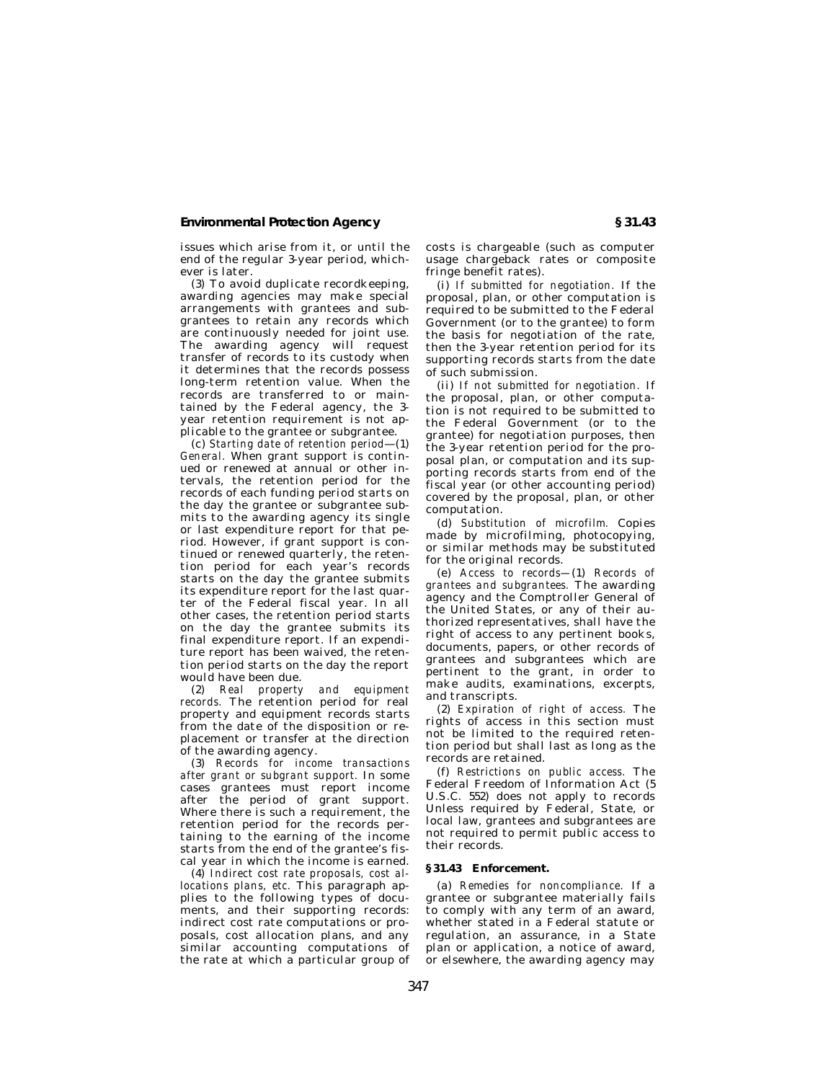issues which arise from it, or until the end of the regular 3-year period, whichever is later.

(3) To avoid duplicate recordkeeping, awarding agencies may make special arrangements with grantees and subgrantees to retain any records which are continuously needed for joint use. The awarding agency will request transfer of records to its custody when it determines that the records possess long-term retention value. When the records are transferred to or maintained by the Federal agency, the 3 year retention requirement is not applicable to the grantee or subgrantee.

(c) *Starting date of retention period*—(1) *General.* When grant support is continued or renewed at annual or other intervals, the retention period for the records of each funding period starts on the day the grantee or subgrantee submits to the awarding agency its single or last expenditure report for that period. However, if grant support is continued or renewed quarterly, the retention period for each year's records starts on the day the grantee submits its expenditure report for the last quarter of the Federal fiscal year. In all other cases, the retention period starts on the day the grantee submits its final expenditure report. If an expenditure report has been waived, the retention period starts on the day the report would have been due.

(2) *Real property and equipment records.* The retention period for real property and equipment records starts from the date of the disposition or replacement or transfer at the direction of the awarding agency.

(3) *Records for income transactions after grant or subgrant support.* In some cases grantees must report income after the period of grant support. Where there is such a requirement, the retention period for the records pertaining to the earning of the income starts from the end of the grantee's fiscal year in which the income is earned.

(4) *Indirect cost rate proposals, cost allocations plans, etc.* This paragraph applies to the following types of documents, and their supporting records: indirect cost rate computations or proposals, cost allocation plans, and any similar accounting computations of the rate at which a particular group of costs is chargeable (such as computer usage chargeback rates or composite fringe benefit rates).

(i) *If submitted for negotiation.* If the proposal, plan, or other computation is required to be submitted to the Federal Government (or to the grantee) to form the basis for negotiation of the rate, then the 3-year retention period for its supporting records starts from the date of such submission.

(ii) *If not submitted for negotiation.* If the proposal, plan, or other computation is not required to be submitted to the Federal Government (or to the grantee) for negotiation purposes, then the 3-year retention period for the proposal plan, or computation and its supporting records starts from end of the fiscal year (or other accounting period) covered by the proposal, plan, or other computation.

(d) *Substitution of microfilm.* Copies made by microfilming, photocopying, or similar methods may be substituted for the original records.

(e) *Access to records—*(1) *Records of grantees and subgrantees.* The awarding agency and the Comptroller General of the United States, or any of their authorized representatives, shall have the right of access to any pertinent books, documents, papers, or other records of grantees and subgrantees which are pertinent to the grant, in order to make audits, examinations, excerpts, and transcripts.

(2) *Expiration of right of access.* The rights of access in this section must not be limited to the required retention period but shall last as long as the records are retained.

(f) *Restrictions on public access.* The Federal Freedom of Information Act (5 U.S.C. 552) does not apply to records Unless required by Federal, State, or local law, grantees and subgrantees are not required to permit public access to their records.

### **§ 31.43 Enforcement.**

(a) *Remedies for noncompliance.* If a grantee or subgrantee materially fails to comply with any term of an award, whether stated in a Federal statute or regulation, an assurance, in a State plan or application, a notice of award, or elsewhere, the awarding agency may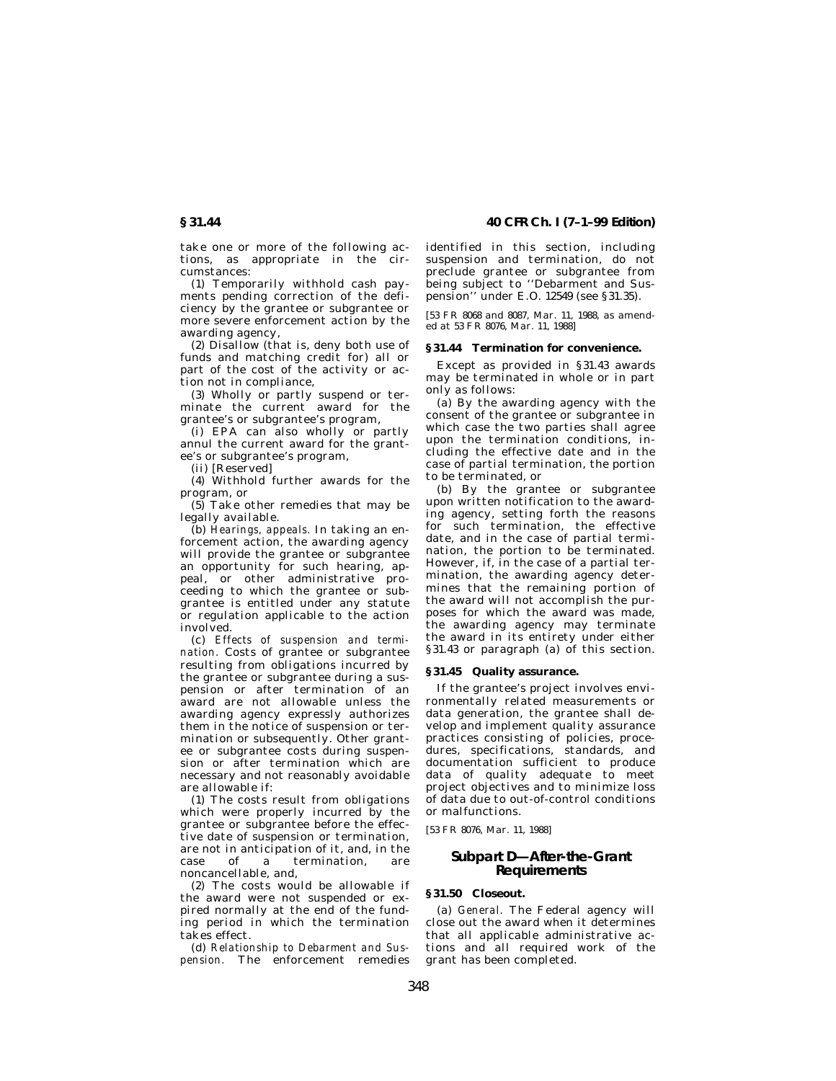take one or more of the following actions, as appropriate in the circumstances:

(1) Temporarily withhold cash payments pending correction of the deficiency by the grantee or subgrantee or more severe enforcement action by the awarding agency,

(2) Disallow (that is, deny both use of funds and matching credit for) all or part of the cost of the activity or ac-.<br>tion not in compliance,

(3) Wholly or partly suspend or terminate the current award for the grantee's or subgrantee's program,

(i) EPA can also wholly or partly annul the current award for the grantee's or subgrantee's program,

(ii) [Reserved]

(4) Withhold further awards for the program, or

(5) Take other remedies that may be legally available.

(b) *Hearings, appeals.* In taking an enforcement action, the awarding agency will provide the grantee or subgrantee an opportunity for such hearing, appeal, or other administrative proceeding to which the grantee or subgrantee is entitled under any statute or regulation applicable to the action involved.

(c) *Effects of suspension and termination.* Costs of grantee or subgrantee resulting from obligations incurred by the grantee or subgrantee during a suspension or after termination of an award are not allowable unless the awarding agency expressly authorizes them in the notice of suspension or termination or subsequently. Other grantee or subgrantee costs during suspension or after termination which are necessary and not reasonably avoidable are allowable if:

(1) The costs result from obligations which were properly incurred by the grantee or subgrantee before the effective date of suspension or termination, are not in anticipation of it, and, in the case of a termination, are termination, are noncancellable, and,

(2) The costs would be allowable if the award were not suspended or expired normally at the end of the funding period in which the termination takes effect.

(d) *Relationship to Debarment and Suspension.* The enforcement remedies

**§ 31.44 40 CFR Ch. I (7–1–99 Edition)**

identified in this section, including suspension and termination, do not preclude grantee or subgrantee from being subject to ''Debarment and Suspension'' under E.O. 12549 (see § 31.35).

[53 FR 8068 and 8087, Mar. 11, 1988, as amended at 53 FR 8076, Mar. 11, 1988]

#### **§ 31.44 Termination for convenience.**

Except as provided in § 31.43 awards may be terminated in whole or in part only as follows:

(a) By the awarding agency with the consent of the grantee or subgrantee in which case the two parties shall agree upon the termination conditions, including the effective date and in the case of partial termination, the portion to be terminated, or

(b) By the grantee or subgrantee upon written notification to the awarding agency, setting forth the reasons for such termination, the effective date, and in the case of partial termination, the portion to be terminated. However, if, in the case of a partial termination, the awarding agency determines that the remaining portion of the award will not accomplish the purposes for which the award was made, the awarding agency may terminate the award in its entirety under either § 31.43 or paragraph (a) of this section.

#### **§ 31.45 Quality assurance.**

If the grantee's project involves environmentally related measurements or data generation, the grantee shall develop and implement quality assurance practices consisting of policies, procedures, specifications, standards, and documentation sufficient to produce data of quality adequate to meet project objectives and to minimize loss of data due to out-of-control conditions or malfunctions.

[53 FR 8076, Mar. 11, 1988]

### **Subpart D—After-the-Grant Requirements**

# **§ 31.50 Closeout.**

(a) *General.* The Federal agency will close out the award when it determines that all applicable administrative actions and all required work of the grant has been completed.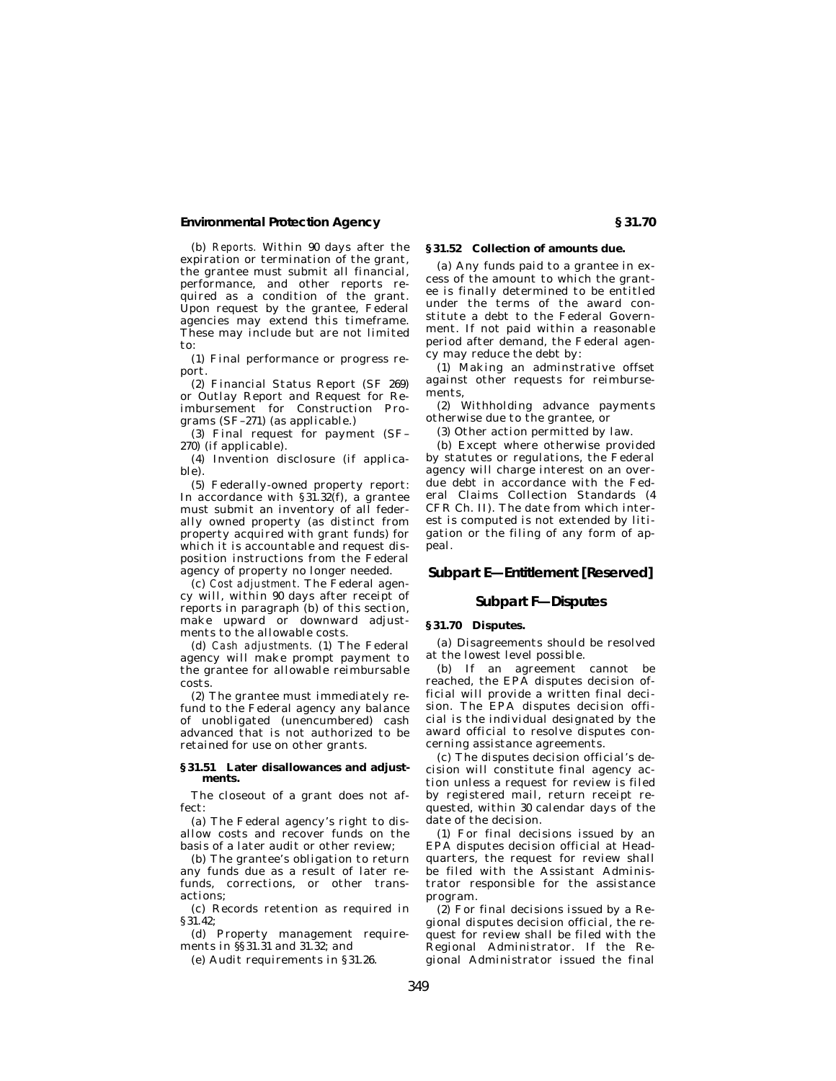(b) *Reports.* Within 90 days after the expiration or termination of the grant, the grantee must submit all financial, performance, and other reports required as a condition of the grant. Upon request by the grantee, Federal agencies may extend this timeframe. These may include but are not limited to:

(1) Final performance or progress report.

(2) Financial Status Report (SF 269) or Outlay Report and Request for Reimbursement for Construction Programs (SF–271) (as applicable.)

(3) Final request for payment (SF– 270) (if applicable).

(4) Invention disclosure (if applicable).

(5) Federally-owned property report: In accordance with § 31.32(f), a grantee must submit an inventory of all federally owned property (as distinct from property acquired with grant funds) for which it is accountable and request disposition instructions from the Federal agency of property no longer needed.

(c) *Cost adjustment.* The Federal agency will, within 90 days after receipt of reports in paragraph (b) of this section, make upward or downward adjustments to the allowable costs.

(d) *Cash adjustments.* (1) The Federal agency will make prompt payment to the grantee for allowable reimbursable costs.

(2) The grantee must immediately refund to the Federal agency any balance of unobligated (unencumbered) cash advanced that is not authorized to be retained for use on other grants.

### **§ 31.51 Later disallowances and adjustments.**

The closeout of a grant does not affect:

(a) The Federal agency's right to disallow costs and recover funds on the basis of a later audit or other review;

(b) The grantee's obligation to return any funds due as a result of later refunds, corrections, or other transactions;

(c) Records retention as required in §31.42;

(d) Property management requirements in §§31.31 and 31.32; and

(e) Audit requirements in § 31.26.

# **§ 31.52 Collection of amounts due.**

(a) Any funds paid to a grantee in excess of the amount to which the grantee is finally determined to be entitled under the terms of the award constitute a debt to the Federal Government. If not paid within a reasonable period after demand, the Federal agency may reduce the debt by:

(1) Making an adminstrative offset against other requests for reimbursements,

(2) Withholding advance payments otherwise due to the grantee, or

(3) Other action permitted by law.

(b) Except where otherwise provided by statutes or regulations, the Federal agency will charge interest on an overdue debt in accordance with the Federal Claims Collection Standards (4 CFR Ch. II). The date from which interest is computed is not extended by litigation or the filing of any form of appeal.

# **Subpart E—Entitlement [Reserved]**

# **Subpart F—Disputes**

#### **§ 31.70 Disputes.**

(a) Disagreements should be resolved at the lowest level possible.

(b) If an agreement cannot be reached, the EPA disputes decision official will provide a written final decision. The EPA disputes decision official is the individual designated by the award official to resolve disputes concerning assistance agreements.

(c) The disputes decision official's decision will constitute final agency action unless a request for review is filed by registered mail, return receipt requested, within 30 calendar days of the date of the decision.

(1) For final decisions issued by an EPA disputes decision official at Headquarters, the request for review shall be filed with the Assistant Administrator responsible for the assistance program.

(2) For final decisions issued by a Regional disputes decision official, the request for review shall be filed with the Regional Administrator. If the Regional Administrator issued the final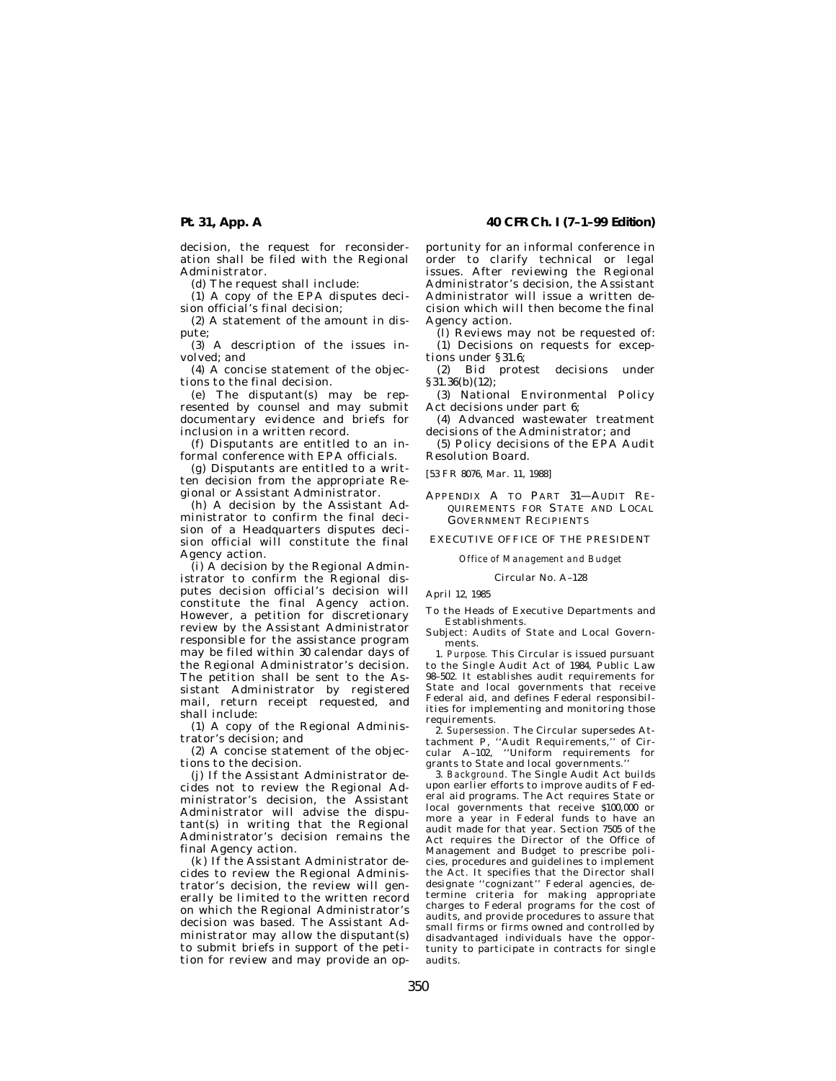**Pt. 31, App. A 40 CFR Ch. I (7–1–99 Edition)**

decision, the request for reconsideration shall be filed with the Regional Administrator.

(d) The request shall include:

(1) A copy of the EPA disputes decision official's final decision;

(2) A statement of the amount in dispute;

(3) A description of the issues involved; and

(4) A concise statement of the objections to the final decision.

(e) The disputant(s) may be represented by counsel and may submit documentary evidence and briefs for inclusion in a written record.

(f) Disputants are entitled to an informal conference with EPA officials.

(g) Disputants are entitled to a written decision from the appropriate Regional or Assistant Administrator.

(h) A decision by the Assistant Administrator to confirm the final decision of a Headquarters disputes decision official will constitute the final Agency action.

(i) A decision by the Regional Administrator to confirm the Regional disputes decision official's decision will constitute the final Agency action. However, a petition for discretionary review by the Assistant Administrator responsible for the assistance program may be filed within 30 calendar days of the Regional Administrator's decision. The petition shall be sent to the Assistant Administrator by registered mail, return receipt requested, and shall include:

(1) A copy of the Regional Administrator's decision; and

(2) A concise statement of the objections to the decision.

(j) If the Assistant Administrator decides not to review the Regional Administrator's decision, the Assistant Administrator will advise the disputant(s) in writing that the Regional Administrator's decision remains the final Agency action.

(k) If the Assistant Administrator decides to review the Regional Administrator's decision, the review will generally be limited to the written record on which the Regional Administrator's decision was based. The Assistant Administrator may allow the disputant(s) to submit briefs in support of the petition for review and may provide an opportunity for an informal conference in order to clarify technical or legal issues. After reviewing the Regional Administrator's decision, the Assistant Administrator will issue a written decision which will then become the final Agency action.

(l) Reviews may not be requested of: (1) Decisions on requests for exceptions under §31.6;

(2) Bid protest decisions under § 31.36(b)(12);

(3) National Environmental Policy Act decisions under part 6;

(4) Advanced wastewater treatment decisions of the Administrator; and

(5) Policy decisions of the EPA Audit Resolution Board.

[53 FR 8076, Mar. 11, 1988]

APPENDIX A TO PART 31—AUDIT RE-QUIREMENTS FOR STATE AND LOCAL GOVERNMENT RECIPIENTS

EXECUTIVE OFFICE OF THE PRESIDENT

*Office of Management and Budget*

#### Circular No. A–128

April 12, 1985

To the Heads of Executive Departments and Establishments.

Subject: Audits of State and Local Governments.

1. *Purpose.* This Circular is issued pursuant to the Single Audit Act of 1984, Public Law 98–502. It establishes audit requirements for State and local governments that receive Federal aid, and defines Federal responsibilities for implementing and monitoring those requirements.

2. *Supersession.* The Circular supersedes Attachment P, ''Audit Requirements,'' of Circular A–102, ''Uniform requirements for grants to State and local governments.''

3. *Background.* The Single Audit Act builds upon earlier efforts to improve audits of Federal aid programs. The Act requires State or local governments that receive \$100,000 or more a year in Federal funds to have an audit made for that year. Section 7505 of the Act requires the Director of the Office of Management and Budget to prescribe policies, procedures and guidelines to implement the Act. It specifies that the Director shall designate ''cognizant'' Federal agencies, determine criteria for making appropriate charges to Federal programs for the cost of audits, and provide procedures to assure that small firms or firms owned and controlled by disadvantaged individuals have the opportunity to participate in contracts for single audits.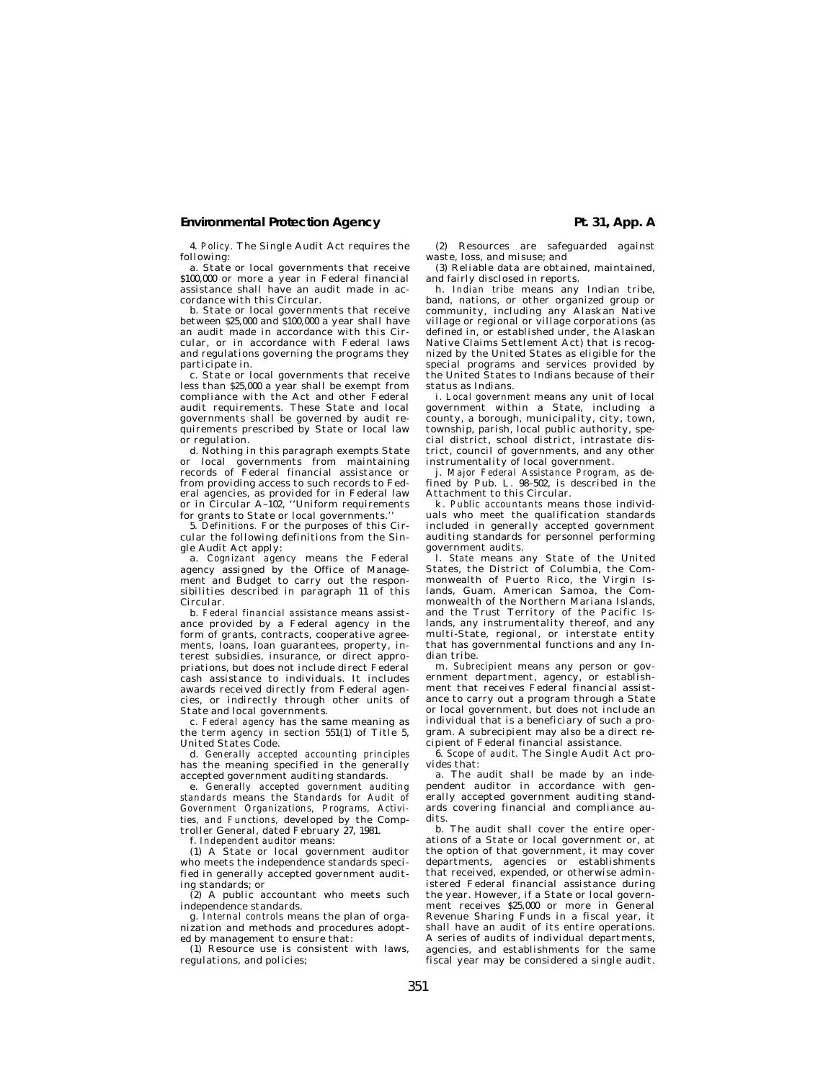# Environmental Protection Agency **Pt. 31, App. A**

4. *Policy.* The Single Audit Act requires the following:

a. State or local governments that receive \$100,000 or more a year in Federal financial assistance shall have an audit made in accordance with this Circular.

b. State or local governments that receive between \$25,000 and \$100,000 a year shall have an audit made in accordance with this Circular, or in accordance with Federal laws and regulations governing the programs they participate in.

c. State or local governments that receive less than \$25,000 a year shall be exempt from compliance with the Act and other Federal audit requirements. These State and local governments shall be governed by audit re-quirements prescribed by State or local law or regulation.

d. Nothing in this paragraph exempts State or local governments from maintaining records of Federal financial assistance or from providing access to such records to Federal agencies, as provided for in Federal law or in Circular A–102, ''Uniform requirements for grants to State or local governments.

5. *Definitions.* For the purposes of this Circular the following definitions from the Single Audit Act apply:

a. *Cognizant agency* means the Federal agency assigned by the Office of Management and Budget to carry out the responsibilities described in paragraph 11 of this Circular.

b. *Federal financial assistance* means assistance provided by a Federal agency in the form of grants, contracts, cooperative agreements, loans, loan guarantees, property, interest subsidies, insurance, or direct appropriations, but does not include direct Federal cash assistance to individuals. It includes awards received directly from Federal agencies, or indirectly through other units of State and local governments.

c. *Federal agency* has the same meaning as the term *agency* in section 551(1) of Title 5, United States Code.

d. *Generally accepted accounting principles* has the meaning specified in the generally accepted government auditing standards.

e. *Generally accepted government auditing standards* means the *Standards for Audit of Government Organizations, Programs, Activities, and Functions,* developed by the Comptroller General, dated February 27, 1981.

f. *Independent auditor* means:

(1) A State or local government auditor who meets the independence standards specified in generally accepted government auditing standards; or

(2) A public accountant who meets such independence standards.

g. *Internal controls* means the plan of organization and methods and procedures adopted by management to ensure that:

(1) Resource use is consistent with laws, regulations, and policies;

(2) Resources are safeguarded against waste, loss, and misuse; and

(3) Reliable data are obtained, maintained, and fairly disclosed in reports.

h. *Indian tribe* means any Indian tribe, band, nations, or other organized group or community, including any Alaskan Native village or regional or village corporations (as defined in, or established under, the Alaskan Native Claims Settlement Act) that is recognized by the United States as eligible for the special programs and services provided by the United States to Indians because of their status as Indians.

i. *Local government* means any unit of local government within a State, including a county, a borough, municipality, city, town, township, parish, local public authority, special district, school district, intrastate district, council of governments, and any other instrumentality of local government.

j. *Major Federal Assistance Program,* as defined by Pub. L. 98–502, is described in the Attachment to this Circular.

k. *Public accountants* means those individuals who meet the qualification standards included in generally accepted government auditing standards for personnel performing government audits.

l. *State* means any State of the United States, the District of Columbia, the Commonwealth of Puerto Rico, the Virgin Islands, Guam, American Samoa, the Commonwealth of the Northern Mariana Islands, and the Trust Territory of the Pacific Islands, any instrumentality thereof, and any multi-State, regional, or interstate entity that has governmental functions and any Indian tribe.

m. *Subrecipient* means any person or government department, agency, or establishment that receives Federal financial assistance to carry out a program through a State or local government, but does not include an individual that is a beneficiary of such a program. A subrecipient may also be a direct recipient of Federal financial assistance.

6. *Scope of audit.* The Single Audit Act provides that:

a. The audit shall be made by an independent auditor in accordance with generally accepted government auditing standards covering financial and compliance audits.

b. The audit shall cover the entire operations of a State or local government or, at the option of that government, it may cover departments, agencies or establishments that received, expended, or otherwise administered Federal financial assistance during the year. However, if a State or local government receives \$25,000 or more in General Revenue Sharing Funds in a fiscal year, it shall have an audit of its entire operations. A series of audits of individual departments, agencies, and establishments for the same fiscal year may be considered a single audit.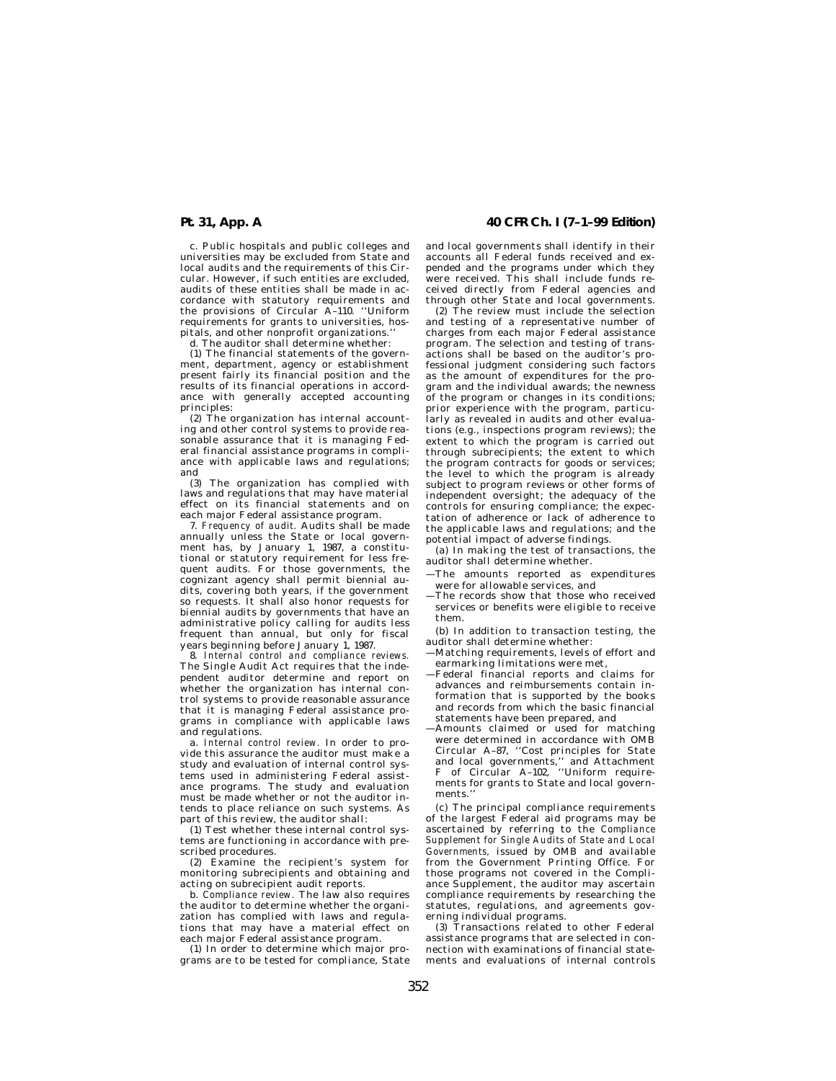c. Public hospitals and public colleges and universities may be excluded from State and local audits and the requirements of this Circular. However, if such entities are excluded, audits of these entities shall be made in accordance with statutory requirements and the provisions of Circular A–110. ''Uniform requirements for grants to universities, hospitals, and other nonprofit organizations.

d. The auditor shall determine whether:

(1) The financial statements of the government, department, agency or establishment present fairly its financial position and the results of its financial operations in accordance with generally accepted accounting principles:

(2) The organization has internal accounting and other control systems to provide reasonable assurance that it is managing Federal financial assistance programs in compliance with applicable laws and regulations; and

(3) The organization has complied with laws and regulations that may have material effect on its financial statements and on each major Federal assistance program.

7. *Frequency of audit.* Audits shall be made annually unless the State or local government has, by January 1, 1987, a constitutional or statutory requirement for less frequent audits. For those governments, the cognizant agency shall permit biennial audits, covering both years, if the government so requests. It shall also honor requests for biennial audits by governments that have an administrative policy calling for audits less frequent than annual, but only for fiscal years beginning before January 1, 1987.

8. *Internal control and compliance reviews.* The Single Audit Act requires that the independent auditor determine and report on whether the organization has internal control systems to provide reasonable assurance that it is managing Federal assistance programs in compliance with applicable laws and regulations.

a. *Internal control review.* In order to provide this assurance the auditor must make a study and evaluation of internal control systems used in administering Federal assistance programs. The study and evaluation must be made whether or not the auditor intends to place reliance on such systems. As part of this review, the auditor shall:

(1) Test whether these internal control systems are functioning in accordance with prescribed procedures.

(2) Examine the recipient's system for monitoring subrecipients and obtaining and acting on subrecipient audit reports.

b. *Compliance review.* The law also requires the auditor to determine whether the organization has complied with laws and regulations that may have a material effect on each major Federal assistance program.

(1) In order to determine which major programs are to be tested for compliance, State

### **Pt. 31, App. A 40 CFR Ch. I (7–1–99 Edition)**

and local governments shall identify in their accounts all Federal funds received and expended and the programs under which they were received. This shall include funds received directly from Federal agencies and through other State and local governments.

(2) The review must include the selection and testing of a representative number of charges from each major Federal assistance program. The selection and testing of transactions shall be based on the auditor's professional judgment considering such factors as the amount of expenditures for the program and the individual awards; the newness of the program or changes in its conditions; prior experience with the program, particularly as revealed in audits and other evaluations (e.g., inspections program reviews); the extent to which the program is carried out through subrecipients; the extent to which the program contracts for goods or services; the level to which the program is already subject to program reviews or other forms of independent oversight; the adequacy of the controls for ensuring compliance; the expectation of adherence or lack of adherence to the applicable laws and regulations; and the potential impact of adverse findings.

(a) In making the test of transactions, the auditor shall determine whether.

- —The amounts reported as expenditures were for allowable services, and
- —The records show that those who received services or benefits were eligible to receive them.

(b) In addition to transaction testing, the auditor shall determine whether:

—Matching requirements, levels of effort and earmarking limitations were met,

- —Federal financial reports and claims for advances and reimbursements contain information that is supported by the books and records from which the basic financial statements have been prepared, and
- —Amounts claimed or used for matching were determined in accordance with OMB Circular A–87, ''Cost principles for State and local governments,'' and Attachment F of Circular A–102, ''Uniform requirements for grants to State and local governments.

(c) The principal compliance requirements of the largest Federal aid programs may be ascertained by referring to the *Compliance Supplement for Single Audits of State and Local Governments,* issued by OMB and available from the Government Printing Office. For those programs not covered in the Compliance Supplement, the auditor may ascertain compliance requirements by researching the statutes, regulations, and agreements gov-

erning individual programs. (3) Transactions related to other Federal assistance programs that are selected in connection with examinations of financial statements and evaluations of internal controls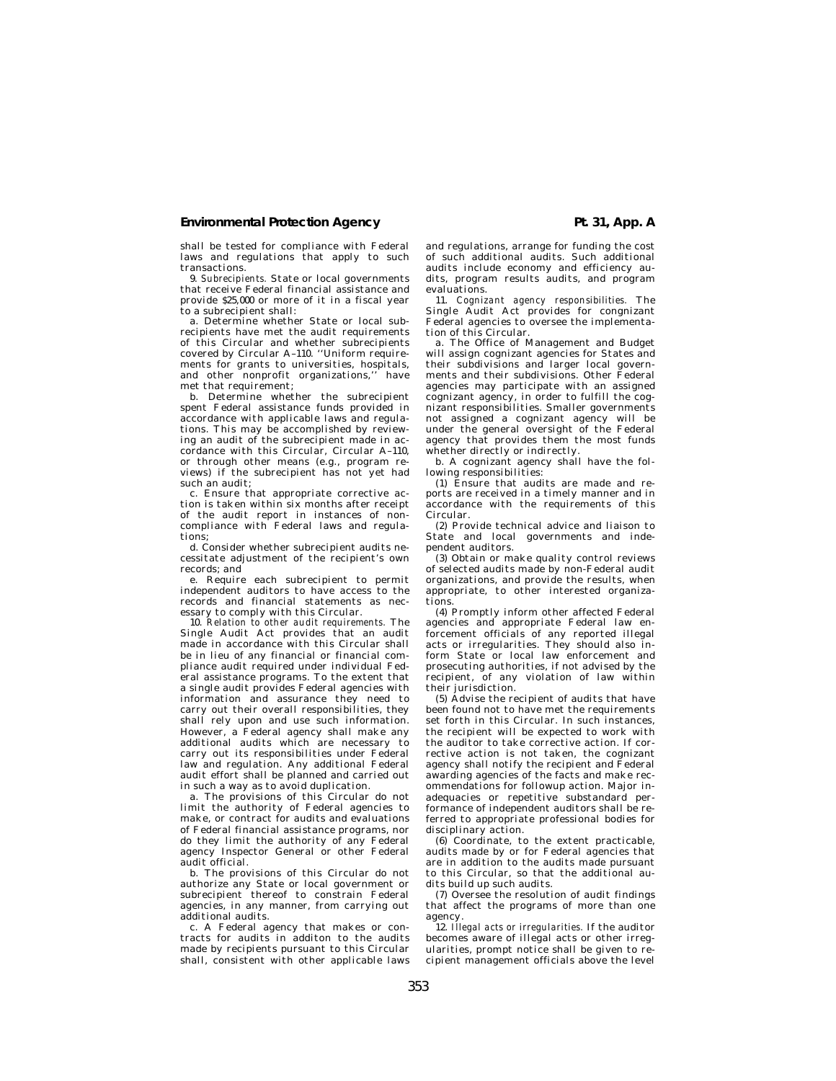#### **Environmental Protection Agency Pt. 31, App. A**

shall be tested for compliance with Federal laws and regulations that apply to such transactions.

9. *Subrecipients.* State or local governments that receive Federal financial assistance and provide \$25,000 or more of it in a fiscal year to a subrecipient shall:

a. Determine whether State or local subrecipients have met the audit requirements of this Circular and whether subrecipients covered by Circular A–110. ''Uniform requirements for grants to universities, hospitals, and other nonprofit organizations," have met that requirement;

b. Determine whether the subrecipient spent Federal assistance funds provided in accordance with applicable laws and regulations. This may be accomplished by reviewing an audit of the subrecipient made in accordance with this Circular, Circular A–110, or through other means (e.g., program reviews) if the subrecipient has not yet had such an audit;

c. Ensure that appropriate corrective action is taken within six months after receipt of the audit report in instances of noncompliance with Federal laws and regulations;

d. Consider whether subrecipient audits necessitate adjustment of the recipient's own records; and

e. Require each subrecipient to permit independent auditors to have access to the records and financial statements as necessary to comply with this Circular.

10. *Relation to other audit requirements.* The Single Audit Act provides that an audit made in accordance with this Circular shall be in lieu of any financial or financial compliance audit required under individual Federal assistance programs. To the extent that a single audit provides Federal agencies with information and assurance they need to carry out their overall responsibilities, they shall rely upon and use such information. However, a Federal agency shall make any additional audits which are necessary to carry out its responsibilities under Federal law and regulation. Any additional Federal audit effort shall be planned and carried out in such a way as to avoid duplication.

a. The provisions of this Circular do not limit the authority of Federal agencies to make, or contract for audits and evaluations of Federal financial assistance programs, nor do they limit the authority of any Federal agency Inspector General or other Federal audit official.

b. The provisions of this Circular do not authorize any State or local government or subrecipient thereof to constrain Federal agencies, in any manner, from carrying out additional audits.

c. A Federal agency that makes or contracts for audits in additon to the audits made by recipients pursuant to this Circular shall, consistent with other applicable laws and regulations, arrange for funding the cost of such additional audits. Such additional audits include economy and efficiency audits, program results audits, and program evaluations.

11. *Cognizant agency responsibilities.* The Single Audit Act provides for congnizant Federal agencies to oversee the implementation of this Circular.

a. The Office of Management and Budget will assign cognizant agencies for States and their subdivisions and larger local govern-ments and their subdivisions. Other Federal agencies may participate with an assigned cognizant agency, in order to fulfill the cognizant responsibilities. Smaller governments not assigned a cognizant agency will be under the general oversight of the Federal agency that provides them the most funds whether directly or indirectly.

b. A cognizant agency shall have the following responsibilities:

(1) Ensure that audits are made and reports are received in a timely manner and in accordance with the requirements of this Circular.

(2) Provide technical advice and liaison to State and local governments and independent auditors.

(3) Obtain or make quality control reviews of selected audits made by non-Federal audit organizations, and provide the results, when appropriate, to other interested organizations.

(4) Promptly inform other affected Federal agencies and appropriate Federal law enforcement officials of any reported illegal acts or irregularities. They should also inform State or local law enforcement and prosecuting authorities, if not advised by the recipient, of any violation of law within their jurisdiction.

(5) Advise the recipient of audits that have been found not to have met the requirements set forth in this Circular. In such instances, the recipient will be expected to work with the auditor to take corrective action. If corrective action is not taken, the cognizant agency shall notify the recipient and Federal awarding agencies of the facts and make recommendations for followup action. Major inadequacies or repetitive substandard performance of independent auditors shall be referred to appropriate professional bodies for disciplinary action.

(6) Coordinate, to the extent practicable, audits made by or for Federal agencies that are in addition to the audits made pursuant to this Circular, so that the additional audits build up such audits.

(7) Oversee the resolution of audit findings that affect the programs of more than one agency.

12. *Illegal acts or irregularities.* If the auditor becomes aware of illegal acts or other irregularities, prompt notice shall be given to recipient management officials above the level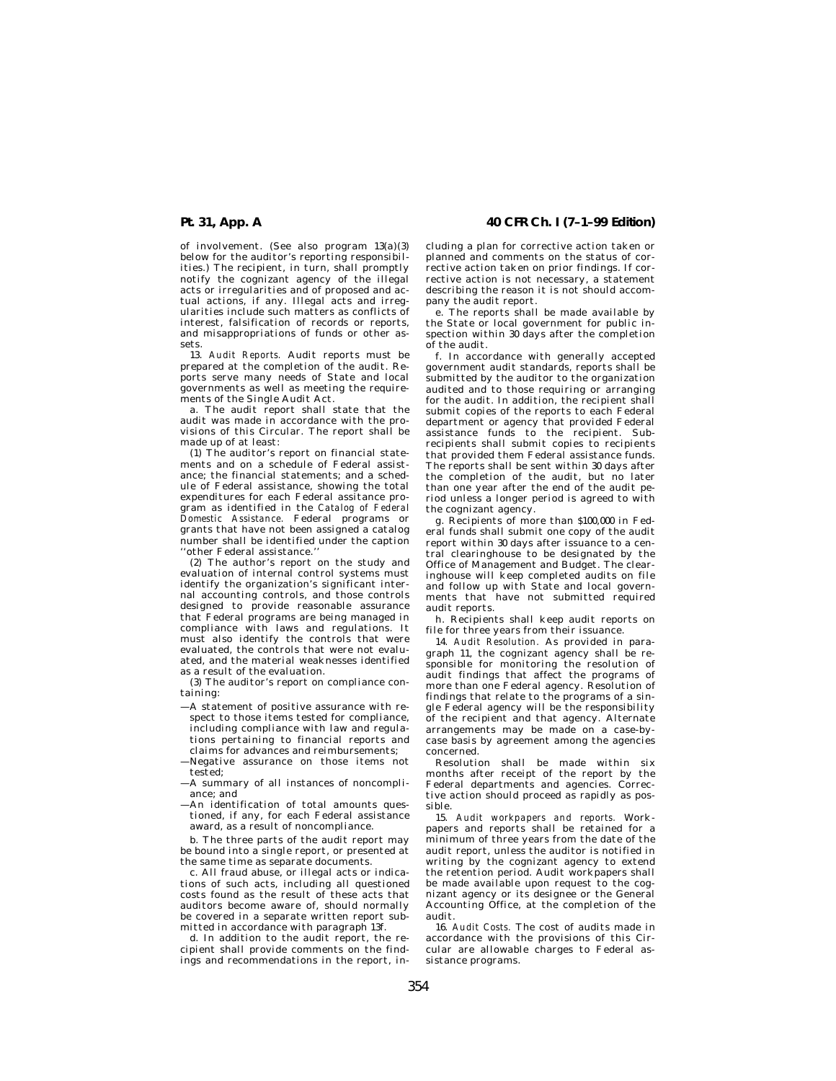of involvement. (See also program 13(a)(3) below for the auditor's reporting responsibilities.) The recipient, in turn, shall promptly notify the cognizant agency of the illegal acts or irregularities and of proposed and actual actions, if any. Illegal acts and irregularities include such matters as conflicts of interest, falsification of records or reports, and misappropriations of funds or other assets.

13. *Audit Reports.* Audit reports must be prepared at the completion of the audit. Reports serve many needs of State and local governments as well as meeting the requirements of the Single Audit Act.

a. The audit report shall state that the audit was made in accordance with the provisions of this Circular. The report shall be made up of at least:

(1) The auditor's report on financial statements and on a schedule of Federal assistance; the financial statements; and a schedule of Federal assistance, showing the total expenditures for each Federal assitance program as identified in the *Catalog of Federal Domestic Assistance.* Federal programs or grants that have not been assigned a catalog number shall be identified under the caption 'other Federal assistance.

(2) The author's report on the study and evaluation of internal control systems must identify the organization's significant internal accounting controls, and those controls designed to provide reasonable assurance that Federal programs are being managed in compliance with laws and regulations. It must also identify the controls that were evaluated, the controls that were not evaluated, and the material weaknesses identified as a result of the evaluation.

(3) The auditor's report on compliance containing:

- —A statement of positive assurance with respect to those items tested for compliance. including compliance with law and regulations pertaining to financial reports and claims for advances and reimbursements;
- —Negative assurance on those items not tested;
- —A summary of all instances of noncompliance; and
- —An identification of total amounts questioned, if any, for each Federal assistance award, as a result of noncompliance.

b. The three parts of the audit report may be bound into a single report, or presented at the same time as separate documents.

c. All fraud abuse, or illegal acts or indications of such acts, including all questioned costs found as the result of these acts that auditors become aware of, should normally be covered in a separate written report submitted in accordance with paragraph 13f.

d. In addition to the audit report, the recipient shall provide comments on the findings and recommendations in the report, in-

### **Pt. 31, App. A 40 CFR Ch. I (7–1–99 Edition)**

cluding a plan for corrective action taken or planned and comments on the status of corrective action taken on prior findings. If corrective action is not necessary, a statement describing the reason it is not should accompany the audit report.

e. The reports shall be made available by the State or local government for public inspection within 30 days after the completion of the audit.

f. In accordance with generally accepted government audit standards, reports shall be submitted by the auditor to the organization audited and to those requiring or arranging for the audit. In addition, the recipient shall submit copies of the reports to each Federal department or agency that provided Federal assistance funds to the recipient. Subrecipients shall submit copies to recipients that provided them Federal assistance funds. The reports shall be sent within 30 days after the completion of the audit, but no later than one year after the end of the audit period unless a longer period is agreed to with the cognizant agency.

g. Recipients of more than \$100,000 in Federal funds shall submit one copy of the audit report within 30 days after issuance to a central clearinghouse to be designated by the Office of Management and Budget. The clearinghouse will keep completed audits on file and follow up with State and local governments that have not submitted required audit reports.

h. Recipients shall keep audit reports on file for three years from their issuance.

14. *Audit Resolution.* As provided in paragraph 11, the cognizant agency shall be responsible for monitoring the resolution of audit findings that affect the programs of more than one Federal agency. Resolution of findings that relate to the programs of a single Federal agency will be the responsibility of the recipient and that agency. Alternate arrangements may be made on a case-bycase basis by agreement among the agencies concerned.

Resolution shall be made within six months after receipt of the report by the Federal departments and agencies. Corrective action should proceed as rapidly as possible.

15. *Audit workpapers and reports.* Workpapers and reports shall be retained for a minimum of three years from the date of the audit report, unless the auditor is notified in writing by the cognizant agency to extend the retention period. Audit workpapers shall be made available upon request to the cognizant agency or its designee or the General Accounting Office, at the completion of the audit.

16. *Audit Costs.* The cost of audits made in accordance with the provisions of this Circular are allowable charges to Federal assistance programs.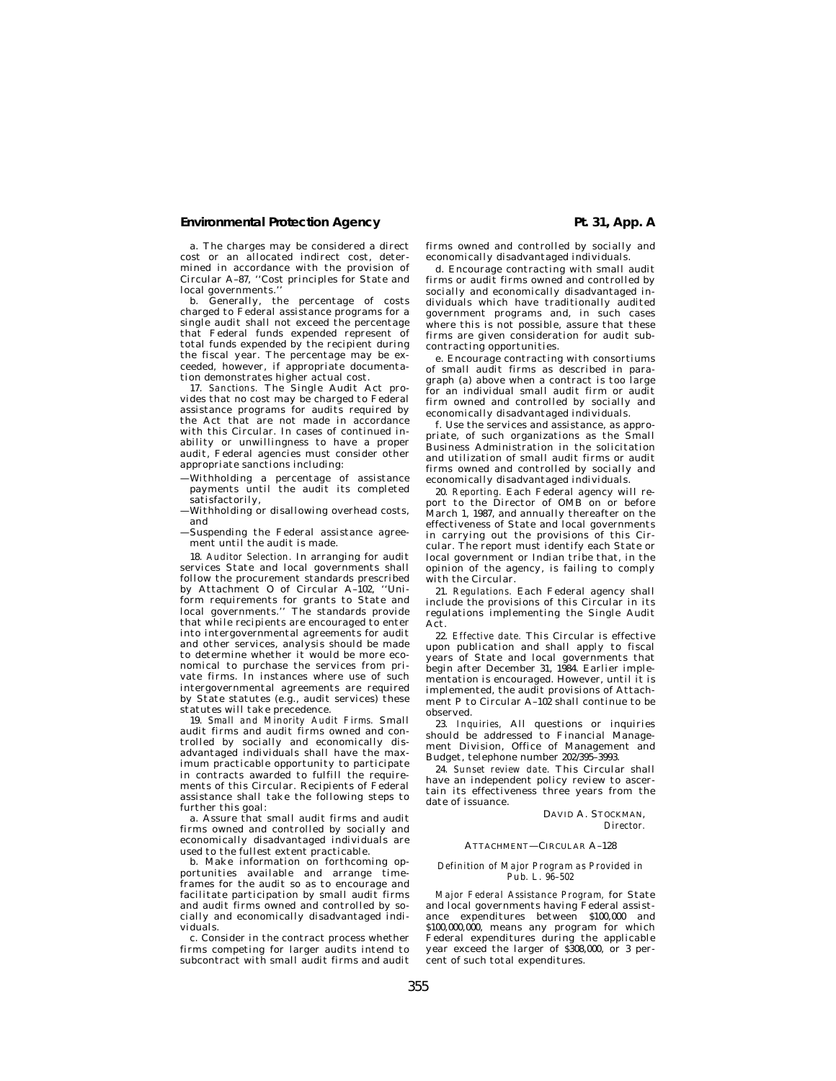#### **Environmental Protection Agency Pt. 31, App. A**

a. The charges may be considered a direct cost or an allocated indirect cost, determined in accordance with the provision of Circular A–87, ''Cost principles for State and

local governments.'' b. Generally, the percentage of costs charged to Federal assistance programs for a single audit shall not exceed the percentage that Federal funds expended represent of total funds expended by the recipient during the fiscal year. The percentage may be exceeded, however, if appropriate documentation demonstrates higher actual cost.

17. *Sanctions.* The Single Audit Act provides that no cost may be charged to Federal assistance programs for audits required by the Act that are not made in accordance with this Circular. In cases of continued inability or unwillingness to have a proper audit, Federal agencies must consider other appropriate sanctions including:

- —Withholding a percentage of assistance payments until the audit its completed satisfactorily,
- —Withholding or disallowing overhead costs, and
- —Suspending the Federal assistance agreement until the audit is made.

18. *Auditor Selection.* In arranging for audit services State and local governments shall follow the procurement standards prescribed by Attachment O of Circular A–102, ''Uniform requirements for grants to State and local governments.'' The standards provide that while recipients are encouraged to enter into intergovernmental agreements for audit and other services, analysis should be made to determine whether it would be more economical to purchase the services from private firms. In instances where use of such intergovernmental agreements are required by State statutes (e.g., audit services) these statutes will take precedence.

19. *Small and Minority Audit Firms.* Small audit firms and audit firms owned and controlled by socially and economically disadvantaged individuals shall have the maximum practicable opportunity to participate in contracts awarded to fulfill the requirements of this Circular. Recipients of Federal assistance shall take the following steps to further this goal:

a. Assure that small audit firms and audit firms owned and controlled by socially and economically disadvantaged individuals are used to the fullest extent practicable.

b. Make information on forthcoming opportunities available and arrange timeframes for the audit so as to encourage and facilitate participation by small audit firms and audit firms owned and controlled by socially and economically disadvantaged individuals.

c. Consider in the contract process whether firms competing for larger audits intend to subcontract with small audit firms and audit firms owned and controlled by socially and economically disadvantaged individuals.

d. Encourage contracting with small audit firms or audit firms owned and controlled by socially and economically disadvantaged individuals which have traditionally audited government programs and, in such cases where this is not possible, assure that these firms are given consideration for audit subcontracting opportunities.

e. Encourage contracting with consortiums of small audit firms as described in paragraph (a) above when a contract is too large for an individual small audit firm or audit firm owned and controlled by socially and economically disadvantaged individuals.

f. Use the services and assistance, as appropriate, of such organizations as the Small Business Administration in the solicitation and utilization of small audit firms or audit firms owned and controlled by socially and economically disadvantaged individuals.

20. *Reporting.* Each Federal agency will re-port to the Director of OMB on or before March 1, 1987, and annually thereafter on the effectiveness of State and local governments in carrying out the provisions of this Circular. The report must identify each State or local government or Indian tribe that, in the opinion of the agency, is failing to comply with the Circular.

21. *Regulations.* Each Federal agency shall include the provisions of this Circular in its regulations implementing the Single Audit Act.

22. *Effective date.* This Circular is effective upon publication and shall apply to fiscal years of State and local governments that begin after December 31, 1984. Earlier implementation is encouraged. However, until it is implemented, the audit provisions of Attachment P to Circular A–102 shall continue to be observed.

23. *Inquiries,* All questions or inquiries should be addressed to Financial Management Division, Office of Management and Budget, telephone number 202/395–3993.

24. *Sunset review date.* This Circular shall have an independent policy review to ascertain its effectiveness three years from the date of issuance.

> DAVID A. STOCKMAN, *Director.*

#### ATTACHMENT—CIRCULAR A–128

# *Definition of Major Program as Provided in Pub. L. 96–502*

*Major Federal Assistance Program,* for State and local governments having Federal assistance expenditures between \$100,000 and \$100,000,000, means any program for which Federal expenditures during the applicable year exceed the larger of \$308,000, or 3 percent of such total expenditures.